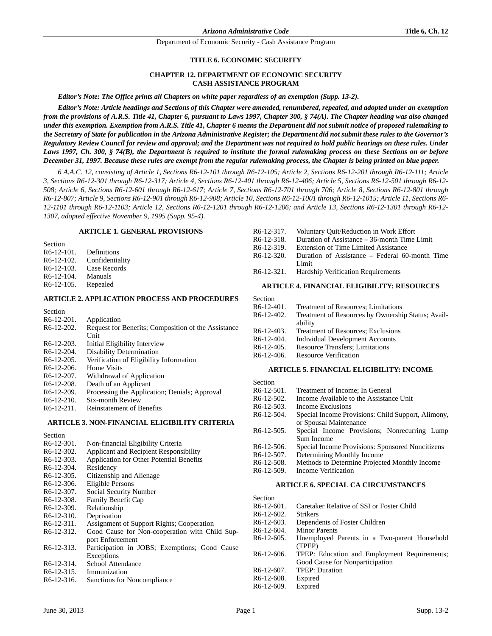# **TITLE 6. ECONOMIC SECURITY**

# **CHAPTER 12. DEPARTMENT OF ECONOMIC SECURITY CASH ASSISTANCE PROGRAM**

*Editor's Note: The Office prints all Chapters on white paper regardless of an exemption (Supp. 13-2).*

*Editor's Note: Article headings and Sections of this Chapter were amended, renumbered, repealed, and adopted under an exemption from the provisions of A.R.S. Title 41, Chapter 6, pursuant to Laws 1997, Chapter 300, § 74(A). The Chapter heading was also changed under this exemption. Exemption from A.R.S. Title 41, Chapter 6 means the Department did not submit notice of proposed rulemaking to the Secretary of State for publication in the Arizona Administrative Register; the Department did not submit these rules to the Governor's Regulatory Review Council for review and approval; and the Department was not required to hold public hearings on these rules. Under Laws 1997, Ch. 300, § 74(B), the Department is required to institute the formal rulemaking process on these Sections on or before December 31, 1997. Because these rules are exempt from the regular rulemaking process, the Chapter is being printed on blue paper.* 

*6 A.A.C. 12, consisting of Article 1, Sections R6-12-101 through R6-12-105; Article 2, Sections R6-12-201 through R6-12-111; Article 3, Sections R6-12-301 through R6-12-317; Article 4, Sections R6-12-401 through R6-12-406; Article 5, Sections R6-12-501 through R6-12- 508; Article 6, Sections R6-12-601 through R6-12-617; Article 7, Sections R6-12-701 through 706; Article 8, Sections R6-12-801 through R6-12-807; Article 9, Sections R6-12-901 through R6-12-908; Article 10, Sections R6-12-1001 through R6-12-1015; Article 11, Sections R6- 12-1101 through R6-12-1103; Article 12, Sections R6-12-1201 through R6-12-1206; and Article 13, Sections R6-12-1301 through R6-12- 1307, adopted effective November 9, 1995 (Supp. 95-4).*

### **ARTICLE 1. GENERAL PROVISIONS**

Section R6-12-101. Definitions R6-12-102. Confidentiality

- R6-12-103. Case Records
- R6-12-104. Manuals
- R6-12-105. Repealed

### **ARTICLE 2. APPLICATION PROCESS AND PROCEDURES**

| Section    |                                                     |
|------------|-----------------------------------------------------|
| R6-12-201. | Application                                         |
| R6-12-202. | Request for Benefits; Composition of the Assistance |
|            | Unit                                                |
| R6-12-203. | Initial Eligibility Interview                       |
| R6-12-204. | <b>Disability Determination</b>                     |
| R6-12-205. | Verification of Eligibility Information             |
| R6-12-206. | Home Visits                                         |
| R6-12-207. | Withdrawal of Application                           |
| R6-12-208. | Death of an Applicant                               |
| R6-12-209. | Processing the Application; Denials; Approval       |
| R6-12-210. | Six-month Review                                    |
| R6-12-211. | Reinstatement of Benefits                           |
|            |                                                     |

# **ARTICLE 3. NON-FINANCIAL ELIGIBILITY CRITERIA**

| Section                 |                                                |
|-------------------------|------------------------------------------------|
| $R6-12-301$ .           | Non-financial Eligibility Criteria             |
| R <sub>6</sub> -12-302. | Applicant and Recipient Responsibility         |
| R <sub>6</sub> -12-303. | Application for Other Potential Benefits       |
| R <sub>6</sub> -12-304. | Residency                                      |
| R <sub>6</sub> -12-305. | Citizenship and Alienage                       |
| R <sub>6</sub> -12-306. | Eligible Persons                               |
| R <sub>6</sub> -12-307. | Social Security Number                         |
| R <sub>6</sub> -12-308. | <b>Family Benefit Cap</b>                      |
| R <sub>6</sub> -12-309. | Relationship                                   |
| $R6-12-310.$            | Deprivation                                    |
| R <sub>6</sub> -12-311. | Assignment of Support Rights; Cooperation      |
| R <sub>6</sub> -12-312. | Good Cause for Non-cooperation with Child Sup- |
|                         | port Enforcement                               |
| R <sub>6</sub> -12-313. | Participation in JOBS; Exemptions; Good Cause  |
|                         | Exceptions                                     |
| R <sub>6</sub> -12-314. | School Attendance                              |
| R <sub>6</sub> -12-315. | Immunization                                   |
| R <sub>6</sub> -12-316. | Sanctions for Noncompliance                    |
|                         |                                                |

|                         | R6-12-317. Voluntary Quit/Reduction in Work Effort |
|-------------------------|----------------------------------------------------|
| R <sub>6</sub> -12-318. | Duration of Assistance – 36-month Time Limit       |
| R <sub>6</sub> -12-319. | Extension of Time Limited Assistance               |
| $R6-12-320$             | Duration of Assistance – Federal 60-month Time     |
|                         | Limit                                              |
|                         | R6-12-321. Hardship Verification Requirements      |
|                         |                                                    |

### **ARTICLE 4. FINANCIAL ELIGIBILITY: RESOURCES**

| Section                 |                                                    |
|-------------------------|----------------------------------------------------|
| $R6-12-401$ .           | <b>Treatment of Resources: Limitations</b>         |
| $R6-12-402.$            | Treatment of Resources by Ownership Status; Avail- |
|                         | ability                                            |
| $R6-12-403.$            | <b>Treatment of Resources: Exclusions</b>          |
| R <sub>6</sub> -12-404. | <b>Individual Development Accounts</b>             |
| R <sub>6</sub> -12-405. | <b>Resource Transfers: Limitations</b>             |
| $R6-12-406.$            | <b>Resource Verification</b>                       |

#### **ARTICLE 5. FINANCIAL ELIGIBILITY: INCOME**

| Section       |                                                    |
|---------------|----------------------------------------------------|
| $R6-12-501$ . | Treatment of Income; In General                    |
| $R6-12-502$ . | Income Available to the Assistance Unit            |
| $R6-12-503$   | Income Exclusions                                  |
| $R6-12-504.$  | Special Income Provisions: Child Support, Alimony, |
|               | or Spousal Maintenance                             |
| $R6-12-505$ . | Special Income Provisions; Nonrecurring Lump       |
|               | Sum Income                                         |
| $R6-12-506.$  | Special Income Provisions: Sponsored Noncitizens   |
| $R6-12-507$ . | Determining Monthly Income                         |
| $R6-12-508$ . | Methods to Determine Projected Monthly Income      |
| $R6-12-509.$  | Income Verification                                |
|               |                                                    |

# **ARTICLE 6. SPECIAL CA CIRCUMSTANCES**

| Section                 |                                              |
|-------------------------|----------------------------------------------|
| $R6-12-601$ .           | Caretaker Relative of SSI or Foster Child    |
| $R6-12-602$ .           | <b>Strikers</b>                              |
| $R6-12-603.$            | Dependents of Foster Children                |
| $R6-12-604.$            | <b>Minor Parents</b>                         |
| $R6-12-605$ .           | Unemployed Parents in a Two-parent Household |
|                         | (TPEP)                                       |
| R <sub>6</sub> -12-606. | TPEP: Education and Employment Requirements; |
|                         | Good Cause for Nonparticipation              |
| $R6-12-607$ .           | <b>TPEP</b> : Duration                       |
| $R6-12-608.$            | Expired                                      |
| R <sub>6</sub> -12-609. | Expired                                      |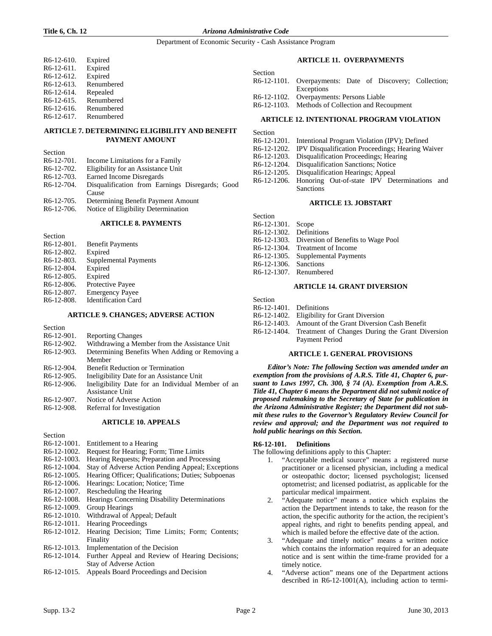#### **Title 6, Ch. 12** *Arizona Administrative Code*

Department of Economic Security - Cash Assistance Program

| R6-12-610.  | Expired    |
|-------------|------------|
| R6-12-611.  | Expired    |
| R6-12-612.  | Expired    |
| R6-12-613.  | Renumbered |
| R6-12-614.  | Repealed   |
| R6-12-615.  | Renumbered |
| R6-12-616.  | Renumbered |
| $R6-12-617$ | Renumbered |

# **ARTICLE 7. DETERMINING ELIGIBILITY AND BENEFIT PAYMENT AMOUNT**

| Section                 |                                                                                                                                                                                                                                                                                                                                           |
|-------------------------|-------------------------------------------------------------------------------------------------------------------------------------------------------------------------------------------------------------------------------------------------------------------------------------------------------------------------------------------|
| $R6-12-701$ .           | Income Limitations for a Family                                                                                                                                                                                                                                                                                                           |
| R <sub>6</sub> -12-702. | Eligibility for an Assistance Unit                                                                                                                                                                                                                                                                                                        |
| $R6-12-703$ .           | Earned Income Disregards                                                                                                                                                                                                                                                                                                                  |
| R <sub>6</sub> -12-704. | Disqualification from Earnings Disregards; Good                                                                                                                                                                                                                                                                                           |
|                         | Cause                                                                                                                                                                                                                                                                                                                                     |
| $D \times 10.705$       | $\mathbf{D}$ , $\mathbf{D}$ , $\mathbf{D}$ , $\mathbf{D}$ , $\mathbf{D}$ , $\mathbf{D}$ , $\mathbf{D}$ , $\mathbf{D}$ , $\mathbf{D}$ , $\mathbf{D}$ , $\mathbf{D}$ , $\mathbf{D}$ , $\mathbf{D}$ , $\mathbf{D}$ , $\mathbf{D}$ , $\mathbf{D}$ , $\mathbf{D}$ , $\mathbf{D}$ , $\mathbf{D}$ , $\mathbf{D}$ , $\mathbf{D}$ , $\mathbf{D}$ , |

R6-12-705. Determining Benefit Payment Amount R6-12-706. Notice of Eligibility Determination

#### **ARTICLE 8. PAYMENTS**

**Section** R6-12-801. Benefit Payments R6-12-802. Expired R6-12-803. Supplemental Payments R6-12-804. Expired R6-12-805. Expired R6-12-806. Protective Payee R6-12-807. Emergency Payee R6-12-808. Identification Card

#### **ARTICLE 9. CHANGES; ADVERSE ACTION**

Section<br> $R6-12-901$ . Reporting Changes R6-12-902. Withdrawing a Member from the Assistance Unit R6-12-903. Determining Benefits When Adding or Removing a Member R6-12-904. Benefit Reduction or Termination R6-12-905. Ineligibility Date for an Assistance Unit R6-12-906. Ineligibility Date for an Individual Me Ineligibility Date for an Individual Member of an Assistance Unit R6-12-907. Notice of Adverse Action<br>R6-12-908. Referral for Investigation Referral for Investigation

#### **ARTICLE 10. APPEALS**

Section

- R6-12-1001. Entitlement to a Hearing
- R6-12-1002. Request for Hearing; Form; Time Limits
- R6-12-1003. Hearing Requests; Preparation and Processing
- R6-12-1004. Stay of Adverse Action Pending Appeal; Exceptions
- R6-12-1005. Hearing Officer; Qualifications; Duties; Subpoenas
- R6-12-1006. Hearings: Location; Notice; Time
- R6-12-1007. Rescheduling the Hearing
- R6-12-1008. Hearings Concerning Disability Determinations
- R6-12-1009. Group Hearings
- R6-12-1010. Withdrawal of Appeal; Default
- R6-12-1011. Hearing Proceedings
- R6-12-1012. Hearing Decision; Time Limits; Form; Contents; Finality
- R6-12-1013. Implementation of the Decision
- R6-12-1014. Further Appeal and Review of Hearing Decisions; Stay of Adverse Action
- R6-12-1015. Appeals Board Proceedings and Decision

# **ARTICLE 11. OVERPAYMENTS**

| Section |                                                          |
|---------|----------------------------------------------------------|
|         | R6-12-1101. Overpayments: Date of Discovery; Collection; |
|         | Exceptions                                               |
|         | R6-12-1102. Overpayments: Persons Liable                 |
|         | R6-12-1103. Methods of Collection and Recoupment         |

# **ARTICLE 12. INTENTIONAL PROGRAM VIOLATION**

Section

- R6-12-1201. Intentional Program Violation (IPV); Defined
- R6-12-1202. IPV Disqualification Proceedings; Hearing Waiver
- R6-12-1203. Disqualification Proceedings; Hearing
- R6-12-1204. Disqualification Sanctions; Notice
- 
- R6-12-1205. Disqualification Hearings; Appeal R6-12-1206. Honoring Out-of-state IPV De Honoring Out-of-state IPV Determinations and Sanctions

#### **ARTICLE 13. JOBSTART**

Section

- R6-12-1301. Scope R6-12-1302. Definitions
- 
- R6-12-1303. Diversion of Benefits to Wage Pool
- R6-12-1304. Treatment of Income
- R6-12-1305. Supplemental Payments
- R6-12-1306. Sanctions R6-12-1307. Renumbered

### **ARTICLE 14. GRANT DIVERSION**

Section

- R6-12-1401. Definitions
- R6-12-1402. Eligibility for Grant Diversion
- R6-12-1403. Amount of the Grant Diversion Cash Benefit
- R6-12-1404. Treatment of Changes During the Grant Diversion Payment Period

# **ARTICLE 1. GENERAL PROVISIONS**

*Editor's Note: The following Section was amended under an exemption from the provisions of A.R.S. Title 41, Chapter 6, pursuant to Laws 1997, Ch. 300, § 74 (A). Exemption from A.R.S. Title 41, Chapter 6 means the Department did not submit notice of proposed rulemaking to the Secretary of State for publication in the Arizona Administrative Register; the Department did not submit these rules to the Governor's Regulatory Review Council for review and approval; and the Department was not required to hold public hearings on this Section.* 

# **R6-12-101. Definitions**

The following definitions apply to this Chapter:

- 1. "Acceptable medical source" means a registered nurse practitioner or a licensed physician, including a medical or osteopathic doctor; licensed psychologist; licensed optometrist; and licensed podiatrist, as applicable for the particular medical impairment.
- 2. "Adequate notice" means a notice which explains the action the Department intends to take, the reason for the action, the specific authority for the action, the recipient's appeal rights, and right to benefits pending appeal, and which is mailed before the effective date of the action.
- 3. "Adequate and timely notice" means a written notice which contains the information required for an adequate notice and is sent within the time-frame provided for a timely notice.
- 4. "Adverse action" means one of the Department actions described in R6-12-1001(A), including action to termi-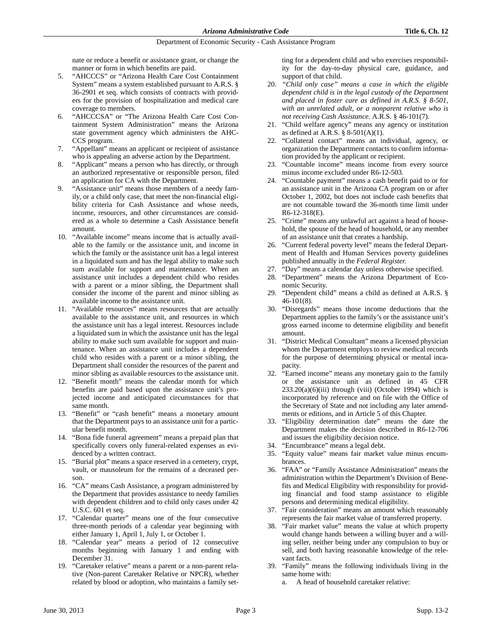nate or reduce a benefit or assistance grant, or change the manner or form in which benefits are paid.

- 5. "AHCCCS" or "Arizona Health Care Cost Containment System" means a system established pursuant to A.R.S. § 36-2901 et seq. which consists of contracts with providers for the provision of hospitalization and medical care coverage to members.
- "AHCCCSA" or "The Arizona Health Care Cost Containment System Administration" means the Arizona state government agency which administers the AHC-CCS program.
- 7. "Appellant" means an applicant or recipient of assistance who is appealing an adverse action by the Department.
- 8. "Applicant" means a person who has directly, or through an authorized representative or responsible person, filed an application for CA with the Department.
- 9. "Assistance unit" means those members of a needy family, or a child only case, that meet the non-financial eligibility criteria for Cash Assistance and whose needs, income, resources, and other circumstances are considered as a whole to determine a Cash Assistance benefit amount.
- 10. "Available income" means income that is actually available to the family or the assistance unit, and income in which the family or the assistance unit has a legal interest in a liquidated sum and has the legal ability to make such sum available for support and maintenance. When an assistance unit includes a dependent child who resides with a parent or a minor sibling, the Department shall consider the income of the parent and minor sibling as available income to the assistance unit.
- 11. "Available resources" means resources that are actually available to the assistance unit, and resources in which the assistance unit has a legal interest. Resources include a liquidated sum in which the assistance unit has the legal ability to make such sum available for support and maintenance. When an assistance unit includes a dependent child who resides with a parent or a minor sibling, the Department shall consider the resources of the parent and minor sibling as available resources to the assistance unit.
- 12. "Benefit month" means the calendar month for which benefits are paid based upon the assistance unit's projected income and anticipated circumstances for that same month.
- 13. "Benefit" or "cash benefit" means a monetary amount that the Department pays to an assistance unit for a particular benefit month.
- 14. "Bona fide funeral agreement" means a prepaid plan that specifically covers only funeral-related expenses as evidenced by a written contract.
- 15. "Burial plot" means a space reserved in a cemetery, crypt, vault, or mausoleum for the remains of a deceased person.
- 16. "CA" means Cash Assistance, a program administered by the Department that provides assistance to needy families with dependent children and to child only cases under 42 U.S.C. 601 et seq.
- 17. "Calendar quarter" means one of the four consecutive three-month periods of a calendar year beginning with either January 1, April 1, July 1, or October 1.
- 18. "Calendar year" means a period of 12 consecutive months beginning with January 1 and ending with December 31.
- 19. "Caretaker relative" means a parent or a non-parent relative (Non-parent Caretaker Relative or NPCR), whether related by blood or adoption, who maintains a family set-

ting for a dependent child and who exercises responsibility for the day-to-day physical care, guidance, and support of that child.

- 20. *"Child only case" means a case in which the eligible dependent child is in the legal custody of the Department and placed in foster care as defined in A.R.S. § 8-501, with an unrelated adult, or a nonparent relative who is not receiving Cash Assistance.* A.R.S. § 46-101(7).
- 21. "Child welfare agency" means any agency or institution as defined at A.R.S. § 8-501(A)(1).
- 22. "Collateral contact" means an individual, agency, or organization the Department contacts to confirm information provided by the applicant or recipient.
- 23. "Countable income" means income from every source minus income excluded under R6-12-503.
- 24. "Countable payment" means a cash benefit paid to or for an assistance unit in the Arizona CA program on or after October 1, 2002, but does not include cash benefits that are not countable toward the 36-month time limit under R6-12-318(E).
- 25. "Crime" means any unlawful act against a head of household, the spouse of the head of household, or any member of an assistance unit that creates a hardship.
- 26. "Current federal poverty level" means the federal Department of Health and Human Services poverty guidelines published annually in the *Federal Register.*
- 27. "Day" means a calendar day unless otherwise specified.
- 28. "Department" means the Arizona Department of Economic Security.
- 29. "Dependent child" means a child as defined at A.R.S. § 46-101(8).
- 30. "Disregards" means those income deductions that the Department applies to the family's or the assistance unit's gross earned income to determine eligibility and benefit amount.
- 31. "District Medical Consultant" means a licensed physician whom the Department employs to review medical records for the purpose of determining physical or mental incapacity.
- 32. "Earned income" means any monetary gain to the family or the assistance unit as defined in 45 CFR  $233.20(a)(6)(iii)$  through (viii) (October 1994) which is incorporated by reference and on file with the Office of the Secretary of State and not including any later amendments or editions, and in Article 5 of this Chapter.
- 33. "Eligibility determination date" means the date the Department makes the decision described in R6-12-706 and issues the eligibility decision notice.
- 34. "Encumbrance" means a legal debt.
- 35. "Equity value" means fair market value minus encumbrances.
- 36. "FAA" or "Family Assistance Administration" means the administration within the Department's Division of Benefits and Medical Eligibility with responsibility for providing financial and food stamp assistance to eligible persons and determining medical eligibility.
- 37. "Fair consideration" means an amount which reasonably represents the fair market value of transferred property.
- 38. "Fair market value" means the value at which property would change hands between a willing buyer and a willing seller, neither being under any compulsion to buy or sell, and both having reasonable knowledge of the relevant facts.
- 39. "Family" means the following individuals living in the same home with:
	- a. A head of household caretaker relative: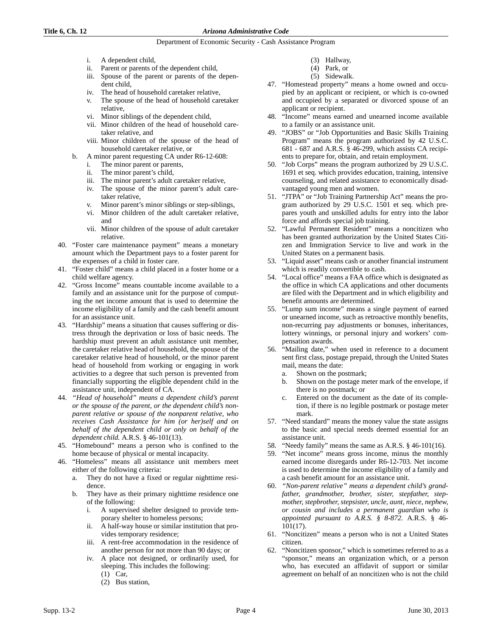# **Title 6, Ch. 12** *Arizona Administrative Code*

# Department of Economic Security - Cash Assistance Program

- i. A dependent child,
- ii. Parent or parents of the dependent child,
- iii. Spouse of the parent or parents of the dependent child,
- iv. The head of household caretaker relative,
- v. The spouse of the head of household caretaker relative,
- vi. Minor siblings of the dependent child,
- vii. Minor children of the head of household caretaker relative, and
- viii. Minor children of the spouse of the head of household caretaker relative, or
- b. A minor parent requesting CA under R6-12-608:
	- i. The minor parent or parents,
	- ii. The minor parent's child,
	- iii. The minor parent's adult caretaker relative,
	- iv. The spouse of the minor parent's adult caretaker relative,
	- v. Minor parent's minor siblings or step-siblings,
	- vi. Minor children of the adult caretaker relative, and
	- vii. Minor children of the spouse of adult caretaker relative.
- 40. "Foster care maintenance payment" means a monetary amount which the Department pays to a foster parent for the expenses of a child in foster care.
- 41. "Foster child" means a child placed in a foster home or a child welfare agency.
- 42. "Gross Income" means countable income available to a family and an assistance unit for the purpose of computing the net income amount that is used to determine the income eligibility of a family and the cash benefit amount for an assistance unit.
- 43. "Hardship" means a situation that causes suffering or distress through the deprivation or loss of basic needs. The hardship must prevent an adult assistance unit member, the caretaker relative head of household, the spouse of the caretaker relative head of household, or the minor parent head of household from working or engaging in work activities to a degree that such person is prevented from financially supporting the eligible dependent child in the assistance unit, independent of CA.
- 44. *"Head of household" means a dependent child's parent or the spouse of the parent, or the dependent child's nonparent relative or spouse of the nonparent relative, who receives Cash Assistance for him (or her)self and on behalf of the dependent child or only on behalf of the dependent child.* A.R.S. § 46-101(13).
- 45. "Homebound" means a person who is confined to the home because of physical or mental incapacity.
- 46. "Homeless" means all assistance unit members meet either of the following criteria:
	- a. They do not have a fixed or regular nighttime residence.
	- b. They have as their primary nighttime residence one of the following:
		- i. A supervised shelter designed to provide temporary shelter to homeless persons;
		- ii. A half-way house or similar institution that provides temporary residence;
		- iii. A rent-free accommodation in the residence of another person for not more than 90 days; or
		- iv. A place not designed, or ordinarily used, for sleeping. This includes the following:
			- (1) Car,
			- (2) Bus station,
- (3) Hallway,
- (4) Park, or
- (5) Sidewalk.
- 47. "Homestead property" means a home owned and occupied by an applicant or recipient, or which is co-owned and occupied by a separated or divorced spouse of an applicant or recipient.
- 48. "Income" means earned and unearned income available to a family or an assistance unit.
- 49. "JOBS" or "Job Opportunities and Basic Skills Training Program" means the program authorized by 42 U.S.C. 681 - 687 and A.R.S. § 46-299, which assists CA recipients to prepare for, obtain, and retain employment.
- 50. "Job Corps" means the program authorized by 29 U.S.C. 1691 et seq. which provides education, training, intensive counseling, and related assistance to economically disadvantaged young men and women.
- 51. "JTPA" or "Job Training Partnership Act" means the program authorized by 29 U.S.C. 1501 et seq. which prepares youth and unskilled adults for entry into the labor force and affords special job training.
- 52. "Lawful Permanent Resident" means a noncitizen who has been granted authorization by the United States Citizen and Immigration Service to live and work in the United States on a permanent basis.
- 53. "Liquid asset" means cash or another financial instrument which is readily convertible to cash.
- 54. "Local office" means a FAA office which is designated as the office in which CA applications and other documents are filed with the Department and in which eligibility and benefit amounts are determined.
- 55. "Lump sum income" means a single payment of earned or unearned income, such as retroactive monthly benefits, non-recurring pay adjustments or bonuses, inheritances, lottery winnings, or personal injury and workers' compensation awards.
- 56. "Mailing date," when used in reference to a document sent first class, postage prepaid, through the United States mail, means the date:
	- a. Shown on the postmark;
	- b. Shown on the postage meter mark of the envelope, if there is no postmark; or
	- c. Entered on the document as the date of its completion, if there is no legible postmark or postage meter mark.
- 57. "Need standard" means the money value the state assigns to the basic and special needs deemed essential for an assistance unit.
- 58. "Needy family" means the same as A.R.S. § 46-101(16).
- 59. "Net income" means gross income, minus the monthly earned income disregards under R6-12-703. Net income is used to determine the income eligibility of a family and a cash benefit amount for an assistance unit.
- 60. *"Non-parent relative" means a dependent child's grandfather, grandmother, brother, sister, stepfather, stepmother, stepbrother, stepsister, uncle, aunt, niece, nephew, or cousin and includes a permanent guardian who is appointed pursuant to A.R.S. § 8-872.* A.R.S. § 46- 101(17).
- 61. "Noncitizen" means a person who is not a United States citizen.
- 62. "Noncitizen sponsor," which is sometimes referred to as a "sponsor," means an organization which, or a person who, has executed an affidavit of support or similar agreement on behalf of an noncitizen who is not the child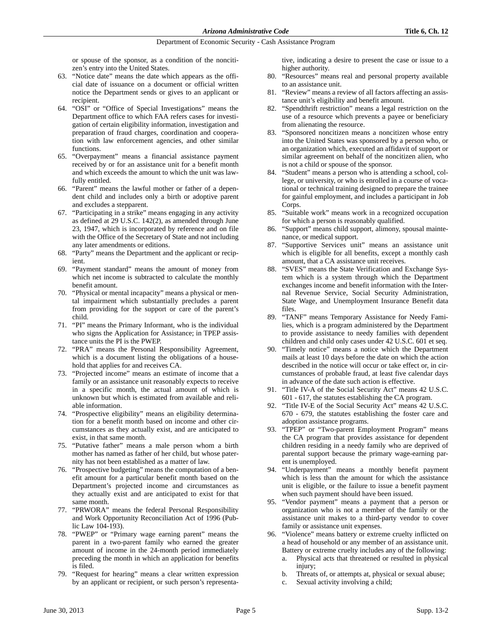or spouse of the sponsor, as a condition of the noncitizen's entry into the United States.

- 63. "Notice date" means the date which appears as the official date of issuance on a document or official written notice the Department sends or gives to an applicant or recipient.
- 64. "OSI" or "Office of Special Investigations" means the Department office to which FAA refers cases for investigation of certain eligibility information, investigation and preparation of fraud charges, coordination and cooperation with law enforcement agencies, and other similar functions.
- 65. "Overpayment" means a financial assistance payment received by or for an assistance unit for a benefit month and which exceeds the amount to which the unit was lawfully entitled.
- 66. "Parent" means the lawful mother or father of a dependent child and includes only a birth or adoptive parent and excludes a stepparent.
- 67. "Participating in a strike" means engaging in any activity as defined at 29 U.S.C. 142(2), as amended through June 23, 1947, which is incorporated by reference and on file with the Office of the Secretary of State and not including any later amendments or editions.
- 68. "Party" means the Department and the applicant or recipient.
- 69. "Payment standard" means the amount of money from which net income is subtracted to calculate the monthly benefit amount.
- 70. "Physical or mental incapacity" means a physical or mental impairment which substantially precludes a parent from providing for the support or care of the parent's child.
- 71. "PI" means the Primary Informant, who is the individual who signs the Application for Assistance; in TPEP assistance units the PI is the PWEP.
- 72. "PRA" means the Personal Responsibility Agreement, which is a document listing the obligations of a household that applies for and receives CA.
- 73. "Projected income" means an estimate of income that a family or an assistance unit reasonably expects to receive in a specific month, the actual amount of which is unknown but which is estimated from available and reliable information.
- 74. "Prospective eligibility" means an eligibility determination for a benefit month based on income and other circumstances as they actually exist, and are anticipated to exist, in that same month.
- 75. "Putative father" means a male person whom a birth mother has named as father of her child, but whose paternity has not been established as a matter of law.
- 76. "Prospective budgeting" means the computation of a benefit amount for a particular benefit month based on the Department's projected income and circumstances as they actually exist and are anticipated to exist for that same month.
- 77. "PRWORA" means the federal Personal Responsibility and Work Opportunity Reconciliation Act of 1996 (Public Law 104-193).
- 78. "PWEP" or "Primary wage earning parent" means the parent in a two-parent family who earned the greater amount of income in the 24-month period immediately preceding the month in which an application for benefits is filed.
- 79. "Request for hearing" means a clear written expression by an applicant or recipient, or such person's representa-

tive, indicating a desire to present the case or issue to a higher authority.

- 80. "Resources" means real and personal property available to an assistance unit.
- 81. "Review" means a review of all factors affecting an assistance unit's eligibility and benefit amount.
- 82. "Spendthrift restriction" means a legal restriction on the use of a resource which prevents a payee or beneficiary from alienating the resource.
- 83. "Sponsored noncitizen means a noncitizen whose entry into the United States was sponsored by a person who, or an organization which, executed an affidavit of support or similar agreement on behalf of the noncitizen alien, who is not a child or spouse of the sponsor.
- 84. "Student" means a person who is attending a school, college, or university, or who is enrolled in a course of vocational or technical training designed to prepare the trainee for gainful employment, and includes a participant in Job Corps.
- 85. "Suitable work" means work in a recognized occupation for which a person is reasonably qualified.
- 86. "Support" means child support, alimony, spousal maintenance, or medical support.
- 87. "Supportive Services unit" means an assistance unit which is eligible for all benefits, except a monthly cash amount, that a CA assistance unit receives.
- 88. "SVES" means the State Verification and Exchange System which is a system through which the Department exchanges income and benefit information with the Internal Revenue Service, Social Security Administration, State Wage, and Unemployment Insurance Benefit data files.
- 89. "TANF" means Temporary Assistance for Needy Families, which is a program administered by the Department to provide assistance to needy families with dependent children and child only cases under 42 U.S.C. 601 et seq.
- 90. "Timely notice" means a notice which the Department mails at least 10 days before the date on which the action described in the notice will occur or take effect or, in circumstances of probable fraud, at least five calendar days in advance of the date such action is effective.
- 91. "Title IV-A of the Social Security Act" means 42 U.S.C. 601 - 617, the statutes establishing the CA program.
- 92. "Title IV-E of the Social Security Act" means 42 U.S.C. 670 - 679, the statutes establishing the foster care and adoption assistance programs.
- 93. "TPEP" or "Two-parent Employment Program" means the CA program that provides assistance for dependent children residing in a needy family who are deprived of parental support because the primary wage-earning parent is unemployed.
- 94. "Underpayment" means a monthly benefit payment which is less than the amount for which the assistance unit is eligible, or the failure to issue a benefit payment when such payment should have been issued.
- 95. "Vendor payment" means a payment that a person or organization who is not a member of the family or the assistance unit makes to a third-party vendor to cover family or assistance unit expenses.
- 96. "Violence" means battery or extreme cruelty inflicted on a head of household or any member of an assistance unit. Battery or extreme cruelty includes any of the following:
	- a. Physical acts that threatened or resulted in physical injury:
	- b. Threats of, or attempts at, physical or sexual abuse;
	- c. Sexual activity involving a child;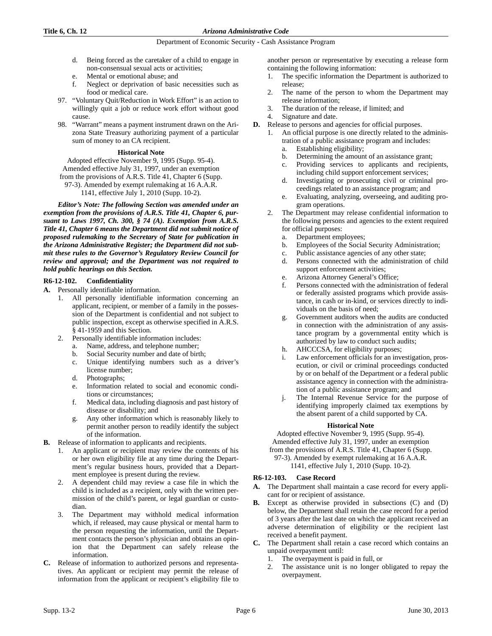- d. Being forced as the caretaker of a child to engage in non-consensual sexual acts or activities;
- e. Mental or emotional abuse; and
- f. Neglect or deprivation of basic necessities such as food or medical care.
- 97. "Voluntary Quit/Reduction in Work Effort" is an action to willingly quit a job or reduce work effort without good cause.
- 98. "Warrant" means a payment instrument drawn on the Arizona State Treasury authorizing payment of a particular sum of money to an CA recipient.

### **Historical Note**

Adopted effective November 9, 1995 (Supp. 95-4). Amended effective July 31, 1997, under an exemption from the provisions of A.R.S. Title 41, Chapter 6 (Supp.

97-3). Amended by exempt rulemaking at 16 A.A.R. 1141, effective July 1, 2010 (Supp. 10-2).

*Editor's Note: The following Section was amended under an exemption from the provisions of A.R.S. Title 41, Chapter 6, pursuant to Laws 1997, Ch. 300, § 74 (A). Exemption from A.R.S. Title 41, Chapter 6 means the Department did not submit notice of proposed rulemaking to the Secretary of State for publication in the Arizona Administrative Register; the Department did not submit these rules to the Governor's Regulatory Review Council for review and approval; and the Department was not required to hold public hearings on this Section.* 

# **R6-12-102. Confidentiality**

- **A.** Personally identifiable information.
	- 1. All personally identifiable information concerning an applicant, recipient, or member of a family in the possession of the Department is confidential and not subject to public inspection, except as otherwise specified in A.R.S. § 41-1959 and this Section.
	- 2. Personally identifiable information includes:
		- a. Name, address, and telephone number;
		- b. Social Security number and date of birth;
		- c. Unique identifying numbers such as a driver's license number;
		- d. Photographs;
		- e. Information related to social and economic conditions or circumstances;
		- f. Medical data, including diagnosis and past history of disease or disability; and
		- g. Any other information which is reasonably likely to permit another person to readily identify the subject of the information.
- **B.** Release of information to applicants and recipients.
	- 1. An applicant or recipient may review the contents of his or her own eligibility file at any time during the Department's regular business hours, provided that a Department employee is present during the review.
	- 2. A dependent child may review a case file in which the child is included as a recipient, only with the written permission of the child's parent, or legal guardian or custodian.
	- The Department may withhold medical information which, if released, may cause physical or mental harm to the person requesting the information, until the Department contacts the person's physician and obtains an opinion that the Department can safely release the information.
- **C.** Release of information to authorized persons and representatives. An applicant or recipient may permit the release of information from the applicant or recipient's eligibility file to

another person or representative by executing a release form containing the following information:

- 1. The specific information the Department is authorized to release;
- 2. The name of the person to whom the Department may release information;
- 3. The duration of the release, if limited; and
- Signature and date.
- **D.** Release to persons and agencies for official purposes.
	- 1. An official purpose is one directly related to the administration of a public assistance program and includes:
		- a. Establishing eligibility;
		- b. Determining the amount of an assistance grant;
		- c. Providing services to applicants and recipients, including child support enforcement services;
		- d. Investigating or prosecuting civil or criminal proceedings related to an assistance program; and
		- e. Evaluating, analyzing, overseeing, and auditing program operations.
	- 2. The Department may release confidential information to the following persons and agencies to the extent required for official purposes:
		- a. Department employees;
		- b. Employees of the Social Security Administration;
		- c. Public assistance agencies of any other state;
		- d. Persons connected with the administration of child support enforcement activities;
		- e. Arizona Attorney General's Office;
		- f. Persons connected with the administration of federal or federally assisted programs which provide assistance, in cash or in-kind, or services directly to individuals on the basis of need;
		- g. Government auditors when the audits are conducted in connection with the administration of any assistance program by a governmental entity which is authorized by law to conduct such audits;
		- h. AHCCCSA, for eligibility purposes;
		- i. Law enforcement officials for an investigation, prosecution, or civil or criminal proceedings conducted by or on behalf of the Department or a federal public assistance agency in connection with the administration of a public assistance program; and
		- j. The Internal Revenue Service for the purpose of identifying improperly claimed tax exemptions by the absent parent of a child supported by CA.

# **Historical Note**

Adopted effective November 9, 1995 (Supp. 95-4). Amended effective July 31, 1997, under an exemption from the provisions of A.R.S. Title 41, Chapter 6 (Supp. 97-3). Amended by exempt rulemaking at 16 A.A.R. 1141, effective July 1, 2010 (Supp. 10-2).

# **R6-12-103. Case Record**

- **A.** The Department shall maintain a case record for every applicant for or recipient of assistance.
- **B.** Except as otherwise provided in subsections (C) and (D) below, the Department shall retain the case record for a period of 3 years after the last date on which the applicant received an adverse determination of eligibility or the recipient last received a benefit payment.
- **C.** The Department shall retain a case record which contains an unpaid overpayment until:
	- 1. The overpayment is paid in full, or
	- 2. The assistance unit is no longer obligated to repay the overpayment.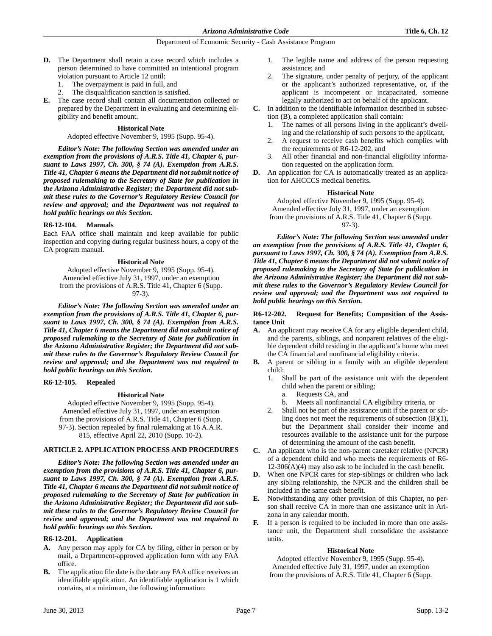- **D.** The Department shall retain a case record which includes a person determined to have committed an intentional program violation pursuant to Article 12 until:
	- 1. The overpayment is paid in full, and
	- 2. The disqualification sanction is satisfied.
- **E.** The case record shall contain all documentation collected or prepared by the Department in evaluating and determining eligibility and benefit amount.

### **Historical Note**

Adopted effective November 9, 1995 (Supp. 95-4).

*Editor's Note: The following Section was amended under an exemption from the provisions of A.R.S. Title 41, Chapter 6, pursuant to Laws 1997, Ch. 300, § 74 (A). Exemption from A.R.S. Title 41, Chapter 6 means the Department did not submit notice of proposed rulemaking to the Secretary of State for publication in the Arizona Administrative Register; the Department did not submit these rules to the Governor's Regulatory Review Council for review and approval; and the Department was not required to hold public hearings on this Section.* 

# **R6-12-104. Manuals**

Each FAA office shall maintain and keep available for public inspection and copying during regular business hours, a copy of the CA program manual.

# **Historical Note**

Adopted effective November 9, 1995 (Supp. 95-4). Amended effective July 31, 1997, under an exemption from the provisions of A.R.S. Title 41, Chapter 6 (Supp. 97-3).

*Editor's Note: The following Section was amended under an exemption from the provisions of A.R.S. Title 41, Chapter 6, pursuant to Laws 1997, Ch. 300, § 74 (A). Exemption from A.R.S. Title 41, Chapter 6 means the Department did not submit notice of proposed rulemaking to the Secretary of State for publication in the Arizona Administrative Register; the Department did not submit these rules to the Governor's Regulatory Review Council for review and approval; and the Department was not required to hold public hearings on this Section.* 

# **R6-12-105. Repealed**

#### **Historical Note**

Adopted effective November 9, 1995 (Supp. 95-4). Amended effective July 31, 1997, under an exemption from the provisions of A.R.S. Title 41, Chapter 6 (Supp. 97-3). Section repealed by final rulemaking at 16 A.A.R. 815, effective April 22, 2010 (Supp. 10-2).

# **ARTICLE 2. APPLICATION PROCESS AND PROCEDURES**

*Editor's Note: The following Section was amended under an exemption from the provisions of A.R.S. Title 41, Chapter 6, pursuant to Laws 1997, Ch. 300, § 74 (A). Exemption from A.R.S. Title 41, Chapter 6 means the Department did not submit notice of proposed rulemaking to the Secretary of State for publication in the Arizona Administrative Register; the Department did not submit these rules to the Governor's Regulatory Review Council for review and approval; and the Department was not required to hold public hearings on this Section.* 

# **R6-12-201. Application**

- **A.** Any person may apply for CA by filing, either in person or by mail, a Department-approved application form with any FAA office.
- **B.** The application file date is the date any FAA office receives an identifiable application. An identifiable application is 1 which contains, at a minimum, the following information:
- 1. The legible name and address of the person requesting assistance; and
- 2. The signature, under penalty of perjury, of the applicant or the applicant's authorized representative, or, if the applicant is incompetent or incapacitated, someone legally authorized to act on behalf of the applicant.
- **C.** In addition to the identifiable information described in subsection (B), a completed application shall contain:
	- The names of all persons living in the applicant's dwelling and the relationship of such persons to the applicant,
	- 2. A request to receive cash benefits which complies with the requirements of R6-12-202, and
	- 3. All other financial and non-financial eligibility information requested on the application form.
- **D.** An application for CA is automatically treated as an application for AHCCCS medical benefits.

#### **Historical Note**

Adopted effective November 9, 1995 (Supp. 95-4). Amended effective July 31, 1997, under an exemption from the provisions of A.R.S. Title 41, Chapter 6 (Supp. 97-3).

*Editor's Note: The following Section was amended under an exemption from the provisions of A.R.S. Title 41, Chapter 6, pursuant to Laws 1997, Ch. 300, § 74 (A). Exemption from A.R.S. Title 41, Chapter 6 means the Department did not submit notice of proposed rulemaking to the Secretary of State for publication in the Arizona Administrative Register; the Department did not submit these rules to the Governor's Regulatory Review Council for review and approval; and the Department was not required to hold public hearings on this Section.* 

# **R6-12-202. Request for Benefits; Composition of the Assistance Unit**

- **A.** An applicant may receive CA for any eligible dependent child, and the parents, siblings, and nonparent relatives of the eligible dependent child residing in the applicant's home who meet the CA financial and nonfinancial eligibility criteria.
- **B.** A parent or sibling in a family with an eligible dependent child:
	- 1. Shall be part of the assistance unit with the dependent child when the parent or sibling:
		- a. Requests CA, and
		- b. Meets all nonfinancial CA eligibility criteria, or
	- 2. Shall not be part of the assistance unit if the parent or sibling does not meet the requirements of subsection (B)(1), but the Department shall consider their income and resources available to the assistance unit for the purpose of determining the amount of the cash benefit.
- **C.** An applicant who is the non-parent caretaker relative (NPCR) of a dependent child and who meets the requirements of R6- 12-306(A)(4) may also ask to be included in the cash benefit.
- **D.** When one NPCR cares for step-siblings or children who lack any sibling relationship, the NPCR and the children shall be included in the same cash benefit.
- **E.** Notwithstanding any other provision of this Chapter, no person shall receive CA in more than one assistance unit in Arizona in any calendar month.
- **F.** If a person is required to be included in more than one assistance unit, the Department shall consolidate the assistance units.

# **Historical Note**

Adopted effective November 9, 1995 (Supp. 95-4). Amended effective July 31, 1997, under an exemption from the provisions of A.R.S. Title 41, Chapter 6 (Supp.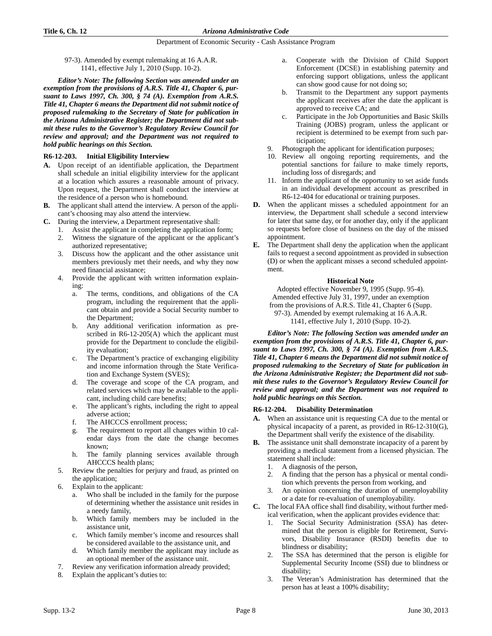97-3). Amended by exempt rulemaking at 16 A.A.R. 1141, effective July 1, 2010 (Supp. 10-2).

*Editor's Note: The following Section was amended under an exemption from the provisions of A.R.S. Title 41, Chapter 6, pursuant to Laws 1997, Ch. 300, § 74 (A). Exemption from A.R.S. Title 41, Chapter 6 means the Department did not submit notice of proposed rulemaking to the Secretary of State for publication in the Arizona Administrative Register; the Department did not submit these rules to the Governor's Regulatory Review Council for review and approval; and the Department was not required to hold public hearings on this Section.* 

# **R6-12-203. Initial Eligibility Interview**

- **A.** Upon receipt of an identifiable application, the Department shall schedule an initial eligibility interview for the applicant at a location which assures a reasonable amount of privacy. Upon request, the Department shall conduct the interview at the residence of a person who is homebound.
- **B.** The applicant shall attend the interview. A person of the applicant's choosing may also attend the interview.
- **C.** During the interview, a Department representative shall:
	- 1. Assist the applicant in completing the application form;
	- 2. Witness the signature of the applicant or the applicant's authorized representative;
	- 3. Discuss how the applicant and the other assistance unit members previously met their needs, and why they now need financial assistance;
	- 4. Provide the applicant with written information explaining:
		- a. The terms, conditions, and obligations of the CA program, including the requirement that the applicant obtain and provide a Social Security number to the Department;
		- b. Any additional verification information as prescribed in R6-12-205(A) which the applicant must provide for the Department to conclude the eligibility evaluation;
		- c. The Department's practice of exchanging eligibility and income information through the State Verification and Exchange System (SVES);
		- d. The coverage and scope of the CA program, and related services which may be available to the applicant, including child care benefits;
		- e. The applicant's rights, including the right to appeal adverse action;
		- f. The AHCCCS enrollment process;
		- The requirement to report all changes within 10 calendar days from the date the change becomes known;
		- h. The family planning services available through AHCCCS health plans;
	- 5. Review the penalties for perjury and fraud, as printed on the application;
	- 6. Explain to the applicant:
		- a. Who shall be included in the family for the purpose of determining whether the assistance unit resides in a needy family,
		- b. Which family members may be included in the assistance unit,
		- c. Which family member's income and resources shall be considered available to the assistance unit, and
		- d. Which family member the applicant may include as an optional member of the assistance unit.
	- 7. Review any verification information already provided;
	- 8. Explain the applicant's duties to:
- a. Cooperate with the Division of Child Support Enforcement (DCSE) in establishing paternity and enforcing support obligations, unless the applicant can show good cause for not doing so;
- b. Transmit to the Department any support payments the applicant receives after the date the applicant is approved to receive CA; and
- c. Participate in the Job Opportunities and Basic Skills Training (JOBS) program, unless the applicant or recipient is determined to be exempt from such participation;
- 9. Photograph the applicant for identification purposes;
- 10. Review all ongoing reporting requirements, and the potential sanctions for failure to make timely reports, including loss of disregards; and
- 11. Inform the applicant of the opportunity to set aside funds in an individual development account as prescribed in R6-12-404 for educational or training purposes.
- **D.** When the applicant misses a scheduled appointment for an interview, the Department shall schedule a second interview for later that same day, or for another day, only if the applicant so requests before close of business on the day of the missed appointment.
- **E.** The Department shall deny the application when the applicant fails to request a second appointment as provided in subsection (D) or when the applicant misses a second scheduled appointment.

# **Historical Note**

Adopted effective November 9, 1995 (Supp. 95-4). Amended effective July 31, 1997, under an exemption from the provisions of A.R.S. Title 41, Chapter 6 (Supp. 97-3). Amended by exempt rulemaking at 16 A.A.R. 1141, effective July 1, 2010 (Supp. 10-2).

*Editor's Note: The following Section was amended under an exemption from the provisions of A.R.S. Title 41, Chapter 6, pursuant to Laws 1997, Ch. 300, § 74 (A). Exemption from A.R.S. Title 41, Chapter 6 means the Department did not submit notice of proposed rulemaking to the Secretary of State for publication in the Arizona Administrative Register; the Department did not submit these rules to the Governor's Regulatory Review Council for review and approval; and the Department was not required to hold public hearings on this Section.* 

# **R6-12-204. Disability Determination**

- **A.** When an assistance unit is requesting CA due to the mental or physical incapacity of a parent, as provided in R6-12-310(G), the Department shall verify the existence of the disability.
- **B.** The assistance unit shall demonstrate incapacity of a parent by providing a medical statement from a licensed physician. The statement shall include:
	- 1. A diagnosis of the person,
	- 2. A finding that the person has a physical or mental condition which prevents the person from working, and
	- 3. An opinion concerning the duration of unemployability or a date for re-evaluation of unemployability.
- **C.** The local FAA office shall find disability, without further medical verification, when the applicant provides evidence that:
	- The Social Security Administration (SSA) has determined that the person is eligible for Retirement, Survivors, Disability Insurance (RSDI) benefits due to blindness or disability;
	- 2. The SSA has determined that the person is eligible for Supplemental Security Income (SSI) due to blindness or disability;
	- 3. The Veteran's Administration has determined that the person has at least a 100% disability;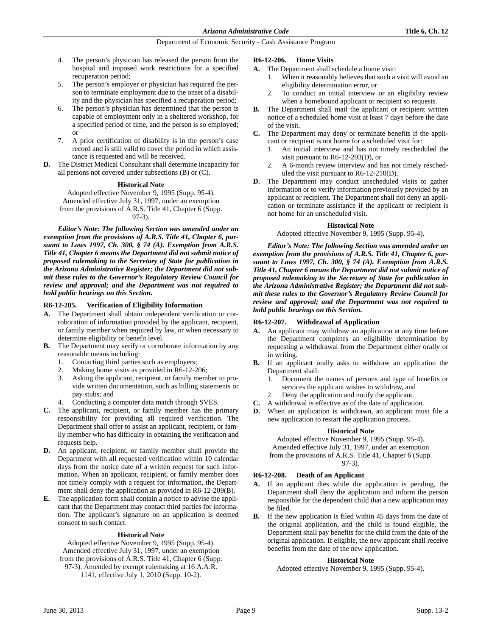- 4. The person's physician has released the person from the hospital and imposed work restrictions for a specified recuperation period;
- 5. The person's employer or physician has required the person to terminate employment due to the onset of a disability and the physician has specified a recuperation period;
- 6. The person's physician has determined that the person is capable of employment only in a sheltered workshop, for a specified period of time, and the person is so employed; or
- 7. A prior certification of disability is in the person's case record and is still valid to cover the period in which assistance is requested and will be received.
- **D.** The District Medical Consultant shall determine incapacity for all persons not covered under subsections (B) or (C).

#### **Historical Note**

Adopted effective November 9, 1995 (Supp. 95-4). Amended effective July 31, 1997, under an exemption from the provisions of A.R.S. Title 41, Chapter 6 (Supp. 97-3).

*Editor's Note: The following Section was amended under an exemption from the provisions of A.R.S. Title 41, Chapter 6, pursuant to Laws 1997, Ch. 300, § 74 (A). Exemption from A.R.S. Title 41, Chapter 6 means the Department did not submit notice of proposed rulemaking to the Secretary of State for publication in the Arizona Administrative Register; the Department did not submit these rules to the Governor's Regulatory Review Council for review and approval; and the Department was not required to hold public hearings on this Section.* 

# **R6-12-205. Verification of Eligibility Information**

- **A.** The Department shall obtain independent verification or corroboration of information provided by the applicant, recipient, or family member when required by law, or when necessary to determine eligibility or benefit level.
- **B.** The Department may verify or corroborate information by any reasonable means including:
	- 1. Contacting third parties such as employers;
	- 2. Making home visits as provided in R6-12-206;
	- 3. Asking the applicant, recipient, or family member to provide written documentation, such as billing statements or pay stubs; and
	- Conducting a computer data match through SVES.
- **C.** The applicant, recipient, or family member has the primary responsibility for providing all required verification. The Department shall offer to assist an applicant, recipient, or family member who has difficulty in obtaining the verification and requests help.
- **D.** An applicant, recipient, or family member shall provide the Department with all requested verification within 10 calendar days from the notice date of a written request for such information. When an applicant, recipient, or family member does not timely comply with a request for information, the Department shall deny the application as provided in R6-12-209(B).
- **E.** The application form shall contain a notice to advise the applicant that the Department may contact third parties for information. The applicant's signature on an application is deemed consent to such contact.

# **Historical Note**

Adopted effective November 9, 1995 (Supp. 95-4). Amended effective July 31, 1997, under an exemption from the provisions of A.R.S. Title 41, Chapter 6 (Supp. 97-3). Amended by exempt rulemaking at 16 A.A.R. 1141, effective July 1, 2010 (Supp. 10-2).

# **R6-12-206. Home Visits**

- **A.** The Department shall schedule a home visit:
	- 1. When it reasonably believes that such a visit will avoid an eligibility determination error, or
	- 2. To conduct an initial interview or an eligibility review when a homebound applicant or recipient so requests.
- **B.** The Department shall mail the applicant or recipient written notice of a scheduled home visit at least 7 days before the date of the visit.
- **C.** The Department may deny or terminate benefits if the applicant or recipient is not home for a scheduled visit for:
	- 1. An initial interview and has not timely rescheduled the visit pursuant to R6-12-203(D), or
	- 2. A 6-month review interview and has not timely rescheduled the visit pursuant to R6-12-210(D).
- **D.** The Department may conduct unscheduled visits to gather information or to verify information previously provided by an applicant or recipient. The Department shall not deny an application or terminate assistance if the applicant or recipient is not home for an unscheduled visit.

# **Historical Note**

Adopted effective November 9, 1995 (Supp. 95-4).

*Editor's Note: The following Section was amended under an exemption from the provisions of A.R.S. Title 41, Chapter 6, pursuant to Laws 1997, Ch. 300, § 74 (A). Exemption from A.R.S. Title 41, Chapter 6 means the Department did not submit notice of proposed rulemaking to the Secretary of State for publication in the Arizona Administrative Register; the Department did not submit these rules to the Governor's Regulatory Review Council for review and approval; and the Department was not required to hold public hearings on this Section.*

# **R6-12-207. Withdrawal of Application**

- **A.** An applicant may withdraw an application at any time before the Department completes an eligibility determination by requesting a withdrawal from the Department either orally or in writing.
- **B.** If an applicant orally asks to withdraw an application the Department shall:
	- 1. Document the names of persons and type of benefits or services the applicant wishes to withdraw, and
	- 2. Deny the application and notify the applicant.
- **C.** A withdrawal is effective as of the date of application.
- **D.** When an application is withdrawn, an applicant must file a new application to restart the application process.

# **Historical Note**

Adopted effective November 9, 1995 (Supp. 95-4). Amended effective July 31, 1997, under an exemption from the provisions of A.R.S. Title 41, Chapter 6 (Supp. 97-3).

# **R6-12-208. Death of an Applicant**

- **A.** If an applicant dies while the application is pending, the Department shall deny the application and inform the person responsible for the dependent child that a new application may be filed.
- **B.** If the new application is filed within 45 days from the date of the original application, and the child is found eligible, the Department shall pay benefits for the child from the date of the original application. If eligible, the new applicant shall receive benefits from the date of the new application.

# **Historical Note**

Adopted effective November 9, 1995 (Supp. 95-4).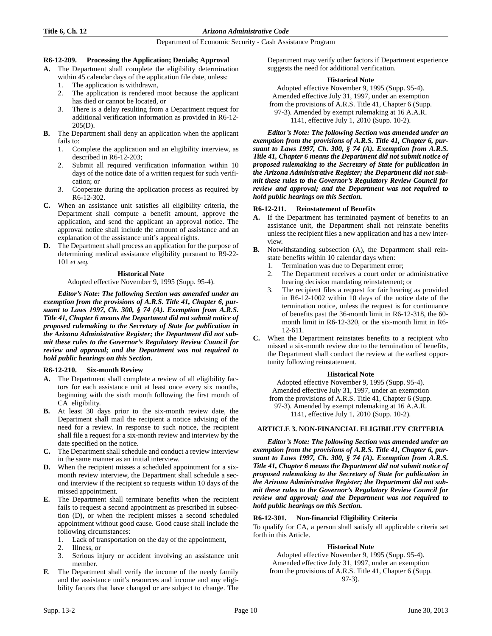### **R6-12-209. Processing the Application; Denials; Approval**

- **A.** The Department shall complete the eligibility determination
	- within 45 calendar days of the application file date, unless:
	- 1. The application is withdrawn,
	- 2. The application is rendered moot because the applicant has died or cannot be located, or
	- 3. There is a delay resulting from a Department request for additional verification information as provided in R6-12- 205(D).
- **B.** The Department shall deny an application when the applicant fails to:
	- 1. Complete the application and an eligibility interview, as described in R6-12-203;
	- 2. Submit all required verification information within 10 days of the notice date of a written request for such verification; or
	- 3. Cooperate during the application process as required by R6-12-302.
- **C.** When an assistance unit satisfies all eligibility criteria, the Department shall compute a benefit amount, approve the application, and send the applicant an approval notice. The approval notice shall include the amount of assistance and an explanation of the assistance unit's appeal rights.
- **D.** The Department shall process an application for the purpose of determining medical assistance eligibility pursuant to R9-22- 101 *et seq.*

#### **Historical Note**

Adopted effective November 9, 1995 (Supp. 95-4).

*Editor's Note: The following Section was amended under an exemption from the provisions of A.R.S. Title 41, Chapter 6, pursuant to Laws 1997, Ch. 300, § 74 (A). Exemption from A.R.S. Title 41, Chapter 6 means the Department did not submit notice of proposed rulemaking to the Secretary of State for publication in the Arizona Administrative Register; the Department did not submit these rules to the Governor's Regulatory Review Council for review and approval; and the Department was not required to hold public hearings on this Section.* 

# **R6-12-210. Six-month Review**

- **A.** The Department shall complete a review of all eligibility factors for each assistance unit at least once every six months, beginning with the sixth month following the first month of CA eligibility.
- **B.** At least 30 days prior to the six-month review date, the Department shall mail the recipient a notice advising of the need for a review. In response to such notice, the recipient shall file a request for a six-month review and interview by the date specified on the notice.
- **C.** The Department shall schedule and conduct a review interview in the same manner as an initial interview.
- **D.** When the recipient misses a scheduled appointment for a sixmonth review interview, the Department shall schedule a second interview if the recipient so requests within 10 days of the missed appointment.
- **E.** The Department shall terminate benefits when the recipient fails to request a second appointment as prescribed in subsection (D), or when the recipient misses a second scheduled appointment without good cause. Good cause shall include the following circumstances:
	- 1. Lack of transportation on the day of the appointment,
	- 2. Illness, or
	- 3. Serious injury or accident involving an assistance unit member.
- **F.** The Department shall verify the income of the needy family and the assistance unit's resources and income and any eligibility factors that have changed or are subject to change. The

Department may verify other factors if Department experience suggests the need for additional verification.

#### **Historical Note**

Adopted effective November 9, 1995 (Supp. 95-4). Amended effective July 31, 1997, under an exemption from the provisions of A.R.S. Title 41, Chapter 6 (Supp. 97-3). Amended by exempt rulemaking at 16 A.A.R. 1141, effective July 1, 2010 (Supp. 10-2).

*Editor's Note: The following Section was amended under an exemption from the provisions of A.R.S. Title 41, Chapter 6, pursuant to Laws 1997, Ch. 300, § 74 (A). Exemption from A.R.S. Title 41, Chapter 6 means the Department did not submit notice of proposed rulemaking to the Secretary of State for publication in the Arizona Administrative Register; the Department did not submit these rules to the Governor's Regulatory Review Council for review and approval; and the Department was not required to hold public hearings on this Section.*

# **R6-12-211. Reinstatement of Benefits**

- **A.** If the Department has terminated payment of benefits to an assistance unit, the Department shall not reinstate benefits unless the recipient files a new application and has a new interview.
- **B.** Notwithstanding subsection (A), the Department shall reinstate benefits within 10 calendar days when:
	- 1. Termination was due to Department error;
	- 2. The Department receives a court order or administrative hearing decision mandating reinstatement; or
	- 3. The recipient files a request for fair hearing as provided in R6-12-1002 within 10 days of the notice date of the termination notice, unless the request is for continuance of benefits past the 36-month limit in R6-12-318, the 60 month limit in R6-12-320, or the six-month limit in R6- 12-611.
- **C.** When the Department reinstates benefits to a recipient who missed a six-month review due to the termination of benefits, the Department shall conduct the review at the earliest opportunity following reinstatement.

# **Historical Note**

Adopted effective November 9, 1995 (Supp. 95-4). Amended effective July 31, 1997, under an exemption from the provisions of A.R.S. Title 41, Chapter 6 (Supp. 97-3). Amended by exempt rulemaking at 16 A.A.R. 1141, effective July 1, 2010 (Supp. 10-2).

# **ARTICLE 3. NON-FINANCIAL ELIGIBILITY CRITERIA**

*Editor's Note: The following Section was amended under an exemption from the provisions of A.R.S. Title 41, Chapter 6, pursuant to Laws 1997, Ch. 300, § 74 (A). Exemption from A.R.S. Title 41, Chapter 6 means the Department did not submit notice of proposed rulemaking to the Secretary of State for publication in the Arizona Administrative Register; the Department did not submit these rules to the Governor's Regulatory Review Council for review and approval; and the Department was not required to hold public hearings on this Section.*

# **R6-12-301. Non-financial Eligibility Criteria**

To qualify for CA, a person shall satisfy all applicable criteria set forth in this Article.

# **Historical Note**

Adopted effective November 9, 1995 (Supp. 95-4). Amended effective July 31, 1997, under an exemption from the provisions of A.R.S. Title 41, Chapter 6 (Supp. 97-3).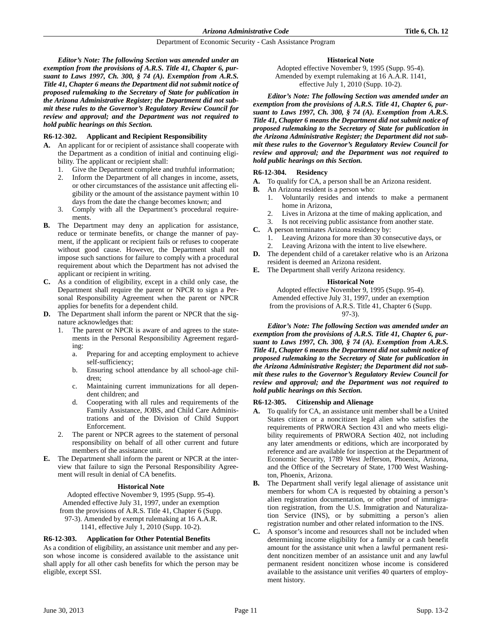*Editor's Note: The following Section was amended under an exemption from the provisions of A.R.S. Title 41, Chapter 6, pursuant to Laws 1997, Ch. 300, § 74 (A). Exemption from A.R.S. Title 41, Chapter 6 means the Department did not submit notice of proposed rulemaking to the Secretary of State for publication in the Arizona Administrative Register; the Department did not submit these rules to the Governor's Regulatory Review Council for review and approval; and the Department was not required to hold public hearings on this Section.*

# **R6-12-302. Applicant and Recipient Responsibility**

- **A.** An applicant for or recipient of assistance shall cooperate with the Department as a condition of initial and continuing eligibility. The applicant or recipient shall:
	- 1. Give the Department complete and truthful information;
	- 2. Inform the Department of all changes in income, assets, or other circumstances of the assistance unit affecting eligibility or the amount of the assistance payment within 10 days from the date the change becomes known; and
	- 3. Comply with all the Department's procedural requirements.
- **B.** The Department may deny an application for assistance, reduce or terminate benefits, or change the manner of payment, if the applicant or recipient fails or refuses to cooperate without good cause. However, the Department shall not impose such sanctions for failure to comply with a procedural requirement about which the Department has not advised the applicant or recipient in writing.
- **C.** As a condition of eligibility, except in a child only case, the Department shall require the parent or NPCR to sign a Personal Responsibility Agreement when the parent or NPCR applies for benefits for a dependent child.
- **D.** The Department shall inform the parent or NPCR that the signature acknowledges that:
	- The parent or NPCR is aware of and agrees to the statements in the Personal Responsibility Agreement regarding:
		- a. Preparing for and accepting employment to achieve self-sufficiency;
		- b. Ensuring school attendance by all school-age children;
		- c. Maintaining current immunizations for all dependent children; and
		- d. Cooperating with all rules and requirements of the Family Assistance, JOBS, and Child Care Administrations and of the Division of Child Support Enforcement.
	- 2. The parent or NPCR agrees to the statement of personal responsibility on behalf of all other current and future members of the assistance unit.
- **E.** The Department shall inform the parent or NPCR at the interview that failure to sign the Personal Responsibility Agreement will result in denial of CA benefits.

# **Historical Note**

Adopted effective November 9, 1995 (Supp. 95-4). Amended effective July 31, 1997, under an exemption from the provisions of A.R.S. Title 41, Chapter 6 (Supp. 97-3). Amended by exempt rulemaking at 16 A.A.R. 1141, effective July 1, 2010 (Supp. 10-2).

# **R6-12-303. Application for Other Potential Benefits**

As a condition of eligibility, an assistance unit member and any person whose income is considered available to the assistance unit shall apply for all other cash benefits for which the person may be eligible, except SSI.

# **Historical Note**

Adopted effective November 9, 1995 (Supp. 95-4). Amended by exempt rulemaking at 16 A.A.R. 1141, effective July 1, 2010 (Supp. 10-2).

*Editor's Note: The following Section was amended under an exemption from the provisions of A.R.S. Title 41, Chapter 6, pursuant to Laws 1997, Ch. 300, § 74 (A). Exemption from A.R.S. Title 41, Chapter 6 means the Department did not submit notice of proposed rulemaking to the Secretary of State for publication in the Arizona Administrative Register; the Department did not submit these rules to the Governor's Regulatory Review Council for review and approval; and the Department was not required to hold public hearings on this Section.*

# **R6-12-304. Residency**

- **A.** To qualify for CA, a person shall be an Arizona resident.
- **B.** An Arizona resident is a person who:
	- 1. Voluntarily resides and intends to make a permanent home in Arizona,
	- Lives in Arizona at the time of making application, and
	- 3. Is not receiving public assistance from another state.
- **C.** A person terminates Arizona residency by:
	- 1. Leaving Arizona for more than 30 consecutive days, or
	- Leaving Arizona with the intent to live elsewhere.
- **D.** The dependent child of a caretaker relative who is an Arizona resident is deemed an Arizona resident.
- **E.** The Department shall verify Arizona residency.

# **Historical Note**

Adopted effective November 9, 1995 (Supp. 95-4). Amended effective July 31, 1997, under an exemption from the provisions of A.R.S. Title 41, Chapter 6 (Supp. 97-3).

*Editor's Note: The following Section was amended under an exemption from the provisions of A.R.S. Title 41, Chapter 6, pursuant to Laws 1997, Ch. 300, § 74 (A). Exemption from A.R.S. Title 41, Chapter 6 means the Department did not submit notice of proposed rulemaking to the Secretary of State for publication in the Arizona Administrative Register; the Department did not submit these rules to the Governor's Regulatory Review Council for review and approval; and the Department was not required to hold public hearings on this Section.*

# **R6-12-305. Citizenship and Alienage**

- **A.** To qualify for CA, an assistance unit member shall be a United States citizen or a noncitizen legal alien who satisfies the requirements of PRWORA Section 431 and who meets eligibility requirements of PRWORA Section 402, not including any later amendments or editions, which are incorporated by reference and are available for inspection at the Department of Economic Security, 1789 West Jefferson, Phoenix, Arizona, and the Office of the Secretary of State, 1700 West Washington, Phoenix, Arizona.
- **B.** The Department shall verify legal alienage of assistance unit members for whom CA is requested by obtaining a person's alien registration documentation, or other proof of immigration registration, from the U.S. Immigration and Naturalization Service (INS), or by submitting a person's alien registration number and other related information to the INS.
- **C.** A sponsor's income and resources shall not be included when determining income eligibility for a family or a cash benefit amount for the assistance unit when a lawful permanent resident noncitizen member of an assistance unit and any lawful permanent resident noncitizen whose income is considered available to the assistance unit verifies 40 quarters of employment history.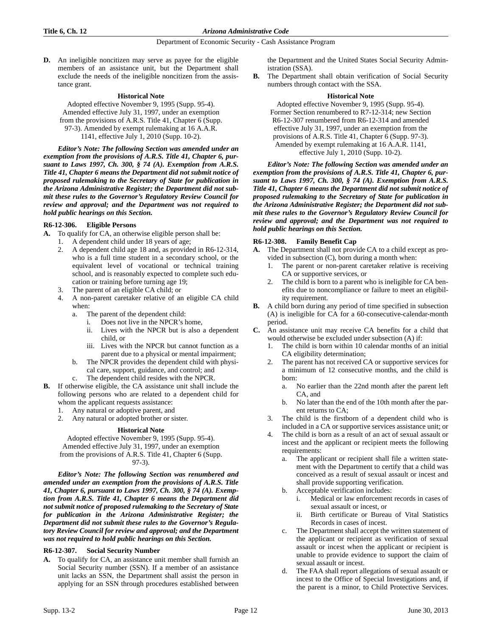**D.** An ineligible noncitizen may serve as payee for the eligible members of an assistance unit, but the Department shall exclude the needs of the ineligible noncitizen from the assistance grant.

### **Historical Note**

Adopted effective November 9, 1995 (Supp. 95-4). Amended effective July 31, 1997, under an exemption from the provisions of A.R.S. Title 41, Chapter 6 (Supp. 97-3). Amended by exempt rulemaking at 16 A.A.R. 1141, effective July 1, 2010 (Supp. 10-2).

*Editor's Note: The following Section was amended under an exemption from the provisions of A.R.S. Title 41, Chapter 6, pursuant to Laws 1997, Ch. 300, § 74 (A). Exemption from A.R.S. Title 41, Chapter 6 means the Department did not submit notice of proposed rulemaking to the Secretary of State for publication in the Arizona Administrative Register; the Department did not submit these rules to the Governor's Regulatory Review Council for review and approval; and the Department was not required to hold public hearings on this Section.*

# **R6-12-306. Eligible Persons**

- **A.** To qualify for CA, an otherwise eligible person shall be:
	- 1. A dependent child under 18 years of age;
	- 2. A dependent child age 18 and, as provided in R6-12-314, who is a full time student in a secondary school, or the equivalent level of vocational or technical training school, and is reasonably expected to complete such education or training before turning age 19;
	- 3. The parent of an eligible CA child; or
	- 4. A non-parent caretaker relative of an eligible CA child when:
		- a. The parent of the dependent child:
			- i. Does not live in the NPCR's home,
			- ii. Lives with the NPCR but is also a dependent child, or
			- iii. Lives with the NPCR but cannot function as a parent due to a physical or mental impairment;
		- b. The NPCR provides the dependent child with physical care, support, guidance, and control; and
		- c. The dependent child resides with the NPCR.
- **B.** If otherwise eligible, the CA assistance unit shall include the following persons who are related to a dependent child for whom the applicant requests assistance:
	- 1. Any natural or adoptive parent, and
	- 2. Any natural or adopted brother or sister.

# **Historical Note**

Adopted effective November 9, 1995 (Supp. 95-4). Amended effective July 31, 1997, under an exemption from the provisions of A.R.S. Title 41, Chapter 6 (Supp. 97-3).

*Editor's Note: The following Section was renumbered and amended under an exemption from the provisions of A.R.S. Title 41, Chapter 6, pursuant to Laws 1997, Ch. 300, § 74 (A). Exemption from A.R.S. Title 41, Chapter 6 means the Department did not submit notice of proposed rulemaking to the Secretary of State for publication in the Arizona Administrative Register; the Department did not submit these rules to the Governor's Regulatory Review Council for review and approval; and the Department was not required to hold public hearings on this Section.*

# **R6-12-307. Social Security Number**

**A.** To qualify for CA, an assistance unit member shall furnish an Social Security number (SSN). If a member of an assistance unit lacks an SSN, the Department shall assist the person in applying for an SSN through procedures established between the Department and the United States Social Security Administration (SSA).

**B.** The Department shall obtain verification of Social Security numbers through contact with the SSA.

### **Historical Note**

Adopted effective November 9, 1995 (Supp. 95-4). Former Section renumbered to R7-12-314; new Section R6-12-307 renumbered from R6-12-314 and amended effective July 31, 1997, under an exemption from the provisions of A.R.S. Title 41, Chapter 6 (Supp. 97-3). Amended by exempt rulemaking at 16 A.A.R. 1141, effective July 1, 2010 (Supp. 10-2).

*Editor's Note: The following Section was amended under an exemption from the provisions of A.R.S. Title 41, Chapter 6, pursuant to Laws 1997, Ch. 300, § 74 (A). Exemption from A.R.S. Title 41, Chapter 6 means the Department did not submit notice of proposed rulemaking to the Secretary of State for publication in the Arizona Administrative Register; the Department did not submit these rules to the Governor's Regulatory Review Council for review and approval; and the Department was not required to hold public hearings on this Section.*

# **R6-12-308. Family Benefit Cap**

- **A.** The Department shall not provide CA to a child except as provided in subsection (C), born during a month when:
	- 1. The parent or non-parent caretaker relative is receiving CA or supportive services, or
	- 2. The child is born to a parent who is ineligible for CA benefits due to noncompliance or failure to meet an eligibility requirement.
- **B.** A child born during any period of time specified in subsection (A) is ineligible for CA for a 60-consecutive-calendar-month period.
- **C.** An assistance unit may receive CA benefits for a child that would otherwise be excluded under subsection (A) if:
	- The child is born within 10 calendar months of an initial CA eligibility determination;
	- 2. The parent has not received CA or supportive services for a minimum of 12 consecutive months, and the child is born:
		- a. No earlier than the 22nd month after the parent left CA, and
		- b. No later than the end of the 10th month after the parent returns to CA;
	- 3. The child is the firstborn of a dependent child who is included in a CA or supportive services assistance unit; or
	- The child is born as a result of an act of sexual assault or incest and the applicant or recipient meets the following requirements:
		- a. The applicant or recipient shall file a written statement with the Department to certify that a child was conceived as a result of sexual assault or incest and shall provide supporting verification.
		- b. Acceptable verification includes:
			- i. Medical or law enforcement records in cases of sexual assault or incest, or
			- ii. Birth certificate or Bureau of Vital Statistics Records in cases of incest.
		- c. The Department shall accept the written statement of the applicant or recipient as verification of sexual assault or incest when the applicant or recipient is unable to provide evidence to support the claim of sexual assault or incest.
		- The FAA shall report allegations of sexual assault or incest to the Office of Special Investigations and, if the parent is a minor, to Child Protective Services.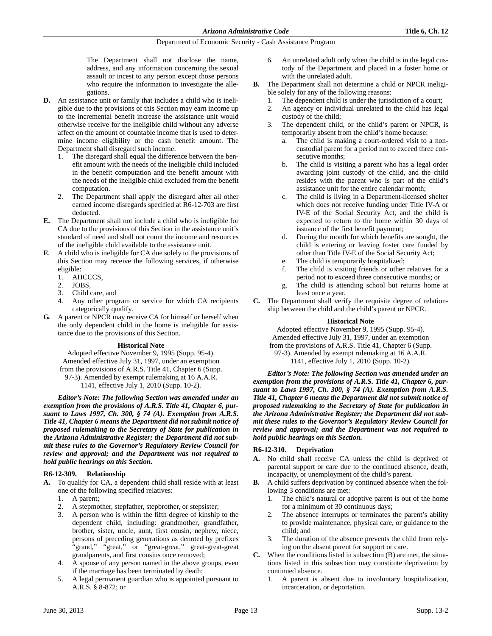The Department shall not disclose the name, address, and any information concerning the sexual assault or incest to any person except those persons who require the information to investigate the allegations.

- **D.** An assistance unit or family that includes a child who is ineligible due to the provisions of this Section may earn income up to the incremental benefit increase the assistance unit would otherwise receive for the ineligible child without any adverse affect on the amount of countable income that is used to determine income eligibility or the cash benefit amount. The Department shall disregard such income.
	- The disregard shall equal the difference between the benefit amount with the needs of the ineligible child included in the benefit computation and the benefit amount with the needs of the ineligible child excluded from the benefit computation.
	- The Department shall apply the disregard after all other earned income disregards specified at R6-12-703 are first deducted.
- **E.** The Department shall not include a child who is ineligible for CA due to the provisions of this Section in the assistance unit's standard of need and shall not count the income and resources of the ineligible child available to the assistance unit.
- **F.** A child who is ineligible for CA due solely to the provisions of this Section may receive the following services, if otherwise eligible:
	- 1. AHCCCS,
	- 2. JOBS,
	- 3. Child care, and
	- 4. Any other program or service for which CA recipients categorically qualify.
- **G.** A parent or NPCR may receive CA for himself or herself when the only dependent child in the home is ineligible for assistance due to the provisions of this Section.

# **Historical Note**

Adopted effective November 9, 1995 (Supp. 95-4). Amended effective July 31, 1997, under an exemption from the provisions of A.R.S. Title 41, Chapter 6 (Supp. 97-3). Amended by exempt rulemaking at 16 A.A.R. 1141, effective July 1, 2010 (Supp. 10-2).

*Editor's Note: The following Section was amended under an exemption from the provisions of A.R.S. Title 41, Chapter 6, pursuant to Laws 1997, Ch. 300, § 74 (A). Exemption from A.R.S. Title 41, Chapter 6 means the Department did not submit notice of proposed rulemaking to the Secretary of State for publication in the Arizona Administrative Register; the Department did not submit these rules to the Governor's Regulatory Review Council for review and approval; and the Department was not required to hold public hearings on this Section.*

# **R6-12-309. Relationship**

- **A.** To qualify for CA, a dependent child shall reside with at least one of the following specified relatives:
	- 1. A parent;
	- 2. A stepmother, stepfather, stepbrother, or stepsister;
	- 3. A person who is within the fifth degree of kinship to the dependent child, including: grandmother, grandfather, brother, sister, uncle, aunt, first cousin, nephew, niece, persons of preceding generations as denoted by prefixes "grand," "great," or "great-great," great-great-great grandparents, and first cousins once removed;
	- 4. A spouse of any person named in the above groups, even if the marriage has been terminated by death;
	- 5. A legal permanent guardian who is appointed pursuant to A.R.S. § 8-872; or
- 6. An unrelated adult only when the child is in the legal custody of the Department and placed in a foster home or with the unrelated adult.
- **B.** The Department shall not determine a child or NPCR ineligible solely for any of the following reasons:
	- The dependent child is under the jurisdiction of a court;
	- 2. An agency or individual unrelated to the child has legal custody of the child;
	- 3. The dependent child, or the child's parent or NPCR, is temporarily absent from the child's home because:
		- a. The child is making a court-ordered visit to a noncustodial parent for a period not to exceed three consecutive months;
		- b. The child is visiting a parent who has a legal order awarding joint custody of the child, and the child resides with the parent who is part of the child's assistance unit for the entire calendar month;
		- c. The child is living in a Department-licensed shelter which does not receive funding under Title IV-A or IV-E of the Social Security Act, and the child is expected to return to the home within 30 days of issuance of the first benefit payment;
		- d. During the month for which benefits are sought, the child is entering or leaving foster care funded by other than Title IV-E of the Social Security Act;
		- e. The child is temporarily hospitalized;
		- f. The child is visiting friends or other relatives for a period not to exceed three consecutive months; or
		- g. The child is attending school but returns home at least once a year.
- **C.** The Department shall verify the requisite degree of relationship between the child and the child's parent or NPCR.

# **Historical Note**

Adopted effective November 9, 1995 (Supp. 95-4). Amended effective July 31, 1997, under an exemption from the provisions of A.R.S. Title 41, Chapter 6 (Supp. 97-3). Amended by exempt rulemaking at 16 A.A.R. 1141, effective July 1, 2010 (Supp. 10-2).

*Editor's Note: The following Section was amended under an exemption from the provisions of A.R.S. Title 41, Chapter 6, pursuant to Laws 1997, Ch. 300, § 74 (A). Exemption from A.R.S. Title 41, Chapter 6 means the Department did not submit notice of proposed rulemaking to the Secretary of State for publication in the Arizona Administrative Register; the Department did not submit these rules to the Governor's Regulatory Review Council for review and approval; and the Department was not required to hold public hearings on this Section.*

# **R6-12-310. Deprivation**

- **A.** No child shall receive CA unless the child is deprived of parental support or care due to the continued absence, death, incapacity, or unemployment of the child's parent.
- **B.** A child suffers deprivation by continued absence when the following 3 conditions are met:
	- 1. The child's natural or adoptive parent is out of the home for a minimum of 30 continuous days;
	- The absence interrupts or terminates the parent's ability to provide maintenance, physical care, or guidance to the child; and
	- 3. The duration of the absence prevents the child from relying on the absent parent for support or care.
- **C.** When the conditions listed in subsection (B) are met, the situations listed in this subsection may constitute deprivation by continued absence.
	- 1. A parent is absent due to involuntary hospitalization, incarceration, or deportation.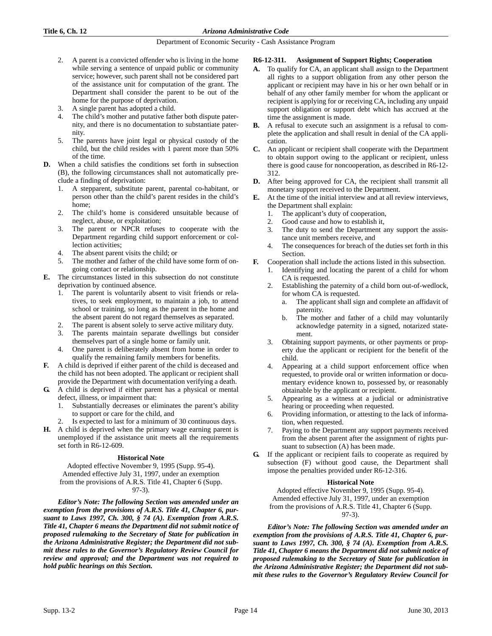- 2. A parent is a convicted offender who is living in the home while serving a sentence of unpaid public or community service; however, such parent shall not be considered part of the assistance unit for computation of the grant. The Department shall consider the parent to be out of the home for the purpose of deprivation.
- 3. A single parent has adopted a child.
- The child's mother and putative father both dispute paternity, and there is no documentation to substantiate paternity.
- 5. The parents have joint legal or physical custody of the child, but the child resides with 1 parent more than 50% of the time.
- **D.** When a child satisfies the conditions set forth in subsection (B), the following circumstances shall not automatically preclude a finding of deprivation:
	- 1. A stepparent, substitute parent, parental co-habitant, or person other than the child's parent resides in the child's home;
	- 2. The child's home is considered unsuitable because of neglect, abuse, or exploitation;
	- 3. The parent or NPCR refuses to cooperate with the Department regarding child support enforcement or collection activities;
	- 4. The absent parent visits the child; or
	- 5. The mother and father of the child have some form of ongoing contact or relationship.
- **E.** The circumstances listed in this subsection do not constitute deprivation by continued absence.
	- 1. The parent is voluntarily absent to visit friends or relatives, to seek employment, to maintain a job, to attend school or training, so long as the parent in the home and the absent parent do not regard themselves as separated.
	- 2. The parent is absent solely to serve active military duty.
	- 3. The parents maintain separate dwellings but consider themselves part of a single home or family unit.
	- 4. One parent is deliberately absent from home in order to qualify the remaining family members for benefits.
- **F.** A child is deprived if either parent of the child is deceased and the child has not been adopted. The applicant or recipient shall provide the Department with documentation verifying a death.
- **G.** A child is deprived if either parent has a physical or mental defect, illness, or impairment that:
	- 1. Substantially decreases or eliminates the parent's ability to support or care for the child, and
		- Is expected to last for a minimum of 30 continuous days.
- **H.** A child is deprived when the primary wage earning parent is unemployed if the assistance unit meets all the requirements set forth in R6-12-609.

# **Historical Note**

Adopted effective November 9, 1995 (Supp. 95-4). Amended effective July 31, 1997, under an exemption from the provisions of A.R.S. Title 41, Chapter 6 (Supp. 97-3).

*Editor's Note: The following Section was amended under an exemption from the provisions of A.R.S. Title 41, Chapter 6, pursuant to Laws 1997, Ch. 300, § 74 (A). Exemption from A.R.S. Title 41, Chapter 6 means the Department did not submit notice of proposed rulemaking to the Secretary of State for publication in the Arizona Administrative Register; the Department did not submit these rules to the Governor's Regulatory Review Council for review and approval; and the Department was not required to hold public hearings on this Section.*

# **R6-12-311. Assignment of Support Rights; Cooperation**

- **A.** To qualify for CA, an applicant shall assign to the Department all rights to a support obligation from any other person the applicant or recipient may have in his or her own behalf or in behalf of any other family member for whom the applicant or recipient is applying for or receiving CA, including any unpaid support obligation or support debt which has accrued at the time the assignment is made.
- **B.** A refusal to execute such an assignment is a refusal to complete the application and shall result in denial of the CA application.
- **C.** An applicant or recipient shall cooperate with the Department to obtain support owing to the applicant or recipient, unless there is good cause for noncooperation, as described in R6-12- 312.
- **D.** After being approved for CA, the recipient shall transmit all monetary support received to the Department.
- **E.** At the time of the initial interview and at all review interviews, the Department shall explain:
	- 1. The applicant's duty of cooperation,
	- 2. Good cause and how to establish it,
	- 3. The duty to send the Department any support the assistance unit members receive, and
	- The consequences for breach of the duties set forth in this Section.
- **F.** Cooperation shall include the actions listed in this subsection.
	- 1. Identifying and locating the parent of a child for whom CA is requested.
	- Establishing the paternity of a child born out-of-wedlock, for whom CA is requested.
		- a. The applicant shall sign and complete an affidavit of paternity.
		- b. The mother and father of a child may voluntarily acknowledge paternity in a signed, notarized statement.
	- 3. Obtaining support payments, or other payments or property due the applicant or recipient for the benefit of the child.
	- Appearing at a child support enforcement office when requested, to provide oral or written information or documentary evidence known to, possessed by, or reasonably obtainable by the applicant or recipient.
	- 5. Appearing as a witness at a judicial or administrative hearing or proceeding when requested.
	- 6. Providing information, or attesting to the lack of information, when requested.
	- 7. Paying to the Department any support payments received from the absent parent after the assignment of rights pursuant to subsection (A) has been made.
- **G.** If the applicant or recipient fails to cooperate as required by subsection (F) without good cause, the Department shall impose the penalties provided under R6-12-316.

# **Historical Note**

Adopted effective November 9, 1995 (Supp. 95-4). Amended effective July 31, 1997, under an exemption from the provisions of A.R.S. Title 41, Chapter 6 (Supp. 97-3).

*Editor's Note: The following Section was amended under an exemption from the provisions of A.R.S. Title 41, Chapter 6, pursuant to Laws 1997, Ch. 300, § 74 (A). Exemption from A.R.S. Title 41, Chapter 6 means the Department did not submit notice of proposed rulemaking to the Secretary of State for publication in the Arizona Administrative Register; the Department did not submit these rules to the Governor's Regulatory Review Council for*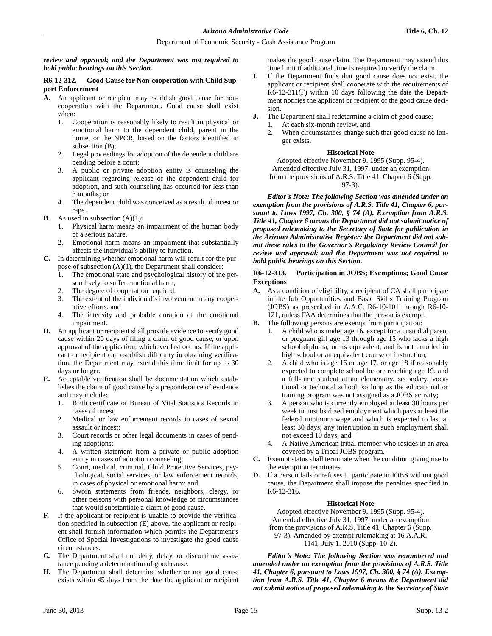*review and approval; and the Department was not required to hold public hearings on this Section.*

# **R6-12-312. Good Cause for Non-cooperation with Child Support Enforcement**

- **A.** An applicant or recipient may establish good cause for noncooperation with the Department. Good cause shall exist when:
	- 1. Cooperation is reasonably likely to result in physical or emotional harm to the dependent child, parent in the home, or the NPCR, based on the factors identified in subsection (B);
	- 2. Legal proceedings for adoption of the dependent child are pending before a court;
	- 3. A public or private adoption entity is counseling the applicant regarding release of the dependent child for adoption, and such counseling has occurred for less than 3 months; or
	- 4. The dependent child was conceived as a result of incest or rape.
- **B.** As used in subsection (A)(1):
	- 1. Physical harm means an impairment of the human body of a serious nature.
	- 2. Emotional harm means an impairment that substantially affects the individual's ability to function.
- **C.** In determining whether emotional harm will result for the purpose of subsection (A)(1), the Department shall consider:
	- 1. The emotional state and psychological history of the person likely to suffer emotional harm,
	- 2. The degree of cooperation required,
	- 3. The extent of the individual's involvement in any cooperative efforts, and
	- 4. The intensity and probable duration of the emotional impairment.
- **D.** An applicant or recipient shall provide evidence to verify good cause within 20 days of filing a claim of good cause, or upon approval of the application, whichever last occurs. If the applicant or recipient can establish difficulty in obtaining verification, the Department may extend this time limit for up to 30 days or longer.
- **E.** Acceptable verification shall be documentation which establishes the claim of good cause by a preponderance of evidence and may include:
	- 1. Birth certificate or Bureau of Vital Statistics Records in cases of incest;
	- 2. Medical or law enforcement records in cases of sexual assault or incest;
	- 3. Court records or other legal documents in cases of pending adoptions;
	- 4. A written statement from a private or public adoption entity in cases of adoption counseling;
	- 5. Court, medical, criminal, Child Protective Services, psychological, social services, or law enforcement records, in cases of physical or emotional harm; and
	- 6. Sworn statements from friends, neighbors, clergy, or other persons with personal knowledge of circumstances that would substantiate a claim of good cause.
- **F.** If the applicant or recipient is unable to provide the verification specified in subsection (E) above, the applicant or recipient shall furnish information which permits the Department's Office of Special Investigations to investigate the good cause circumstances.
- **G.** The Department shall not deny, delay, or discontinue assistance pending a determination of good cause.
- **H.** The Department shall determine whether or not good cause exists within 45 days from the date the applicant or recipient

makes the good cause claim. The Department may extend this time limit if additional time is required to verify the claim.

- **I.** If the Department finds that good cause does not exist, the applicant or recipient shall cooperate with the requirements of R6-12-311(F) within 10 days following the date the Department notifies the applicant or recipient of the good cause decision.
- **J.** The Department shall redetermine a claim of good cause;
	- 1. At each six-month review, and
	- 2. When circumstances change such that good cause no longer exists.

# **Historical Note**

Adopted effective November 9, 1995 (Supp. 95-4). Amended effective July 31, 1997, under an exemption from the provisions of A.R.S. Title 41, Chapter 6 (Supp. 97-3).

*Editor's Note: The following Section was amended under an exemption from the provisions of A.R.S. Title 41, Chapter 6, pursuant to Laws 1997, Ch. 300, § 74 (A). Exemption from A.R.S. Title 41, Chapter 6 means the Department did not submit notice of proposed rulemaking to the Secretary of State for publication in the Arizona Administrative Register; the Department did not submit these rules to the Governor's Regulatory Review Council for review and approval; and the Department was not required to hold public hearings on this Section.*

# **R6-12-313. Participation in JOBS; Exemptions; Good Cause Exceptions**

- **A.** As a condition of eligibility, a recipient of CA shall participate in the Job Opportunities and Basic Skills Training Program (JOBS) as prescribed in A.A.C. R6-10-101 through R6-10- 121, unless FAA determines that the person is exempt.
- **B.** The following persons are exempt from participation:
	- 1. A child who is under age 16, except for a custodial parent or pregnant girl age 13 through age 15 who lacks a high school diploma, or its equivalent, and is not enrolled in high school or an equivalent course of instruction;
	- 2. A child who is age 16 or age 17, or age 18 if reasonably expected to complete school before reaching age 19, and a full-time student at an elementary, secondary, vocational or technical school, so long as the educational or training program was not assigned as a JOBS activity;
	- 3. A person who is currently employed at least 30 hours per week in unsubsidized employment which pays at least the federal minimum wage and which is expected to last at least 30 days; any interruption in such employment shall not exceed 10 days; and
	- 4. A Native American tribal member who resides in an area covered by a Tribal JOBS program.
- **C.** Exempt status shall terminate when the condition giving rise to the exemption terminates.
- **D.** If a person fails or refuses to participate in JOBS without good cause, the Department shall impose the penalties specified in R6-12-316.

# **Historical Note**

Adopted effective November 9, 1995 (Supp. 95-4). Amended effective July 31, 1997, under an exemption from the provisions of A.R.S. Title 41, Chapter 6 (Supp. 97-3). Amended by exempt rulemaking at 16 A.A.R. 1141, July 1, 2010 (Supp. 10-2).

*Editor's Note: The following Section was renumbered and amended under an exemption from the provisions of A.R.S. Title 41, Chapter 6, pursuant to Laws 1997, Ch. 300, § 74 (A). Exemption from A.R.S. Title 41, Chapter 6 means the Department did not submit notice of proposed rulemaking to the Secretary of State*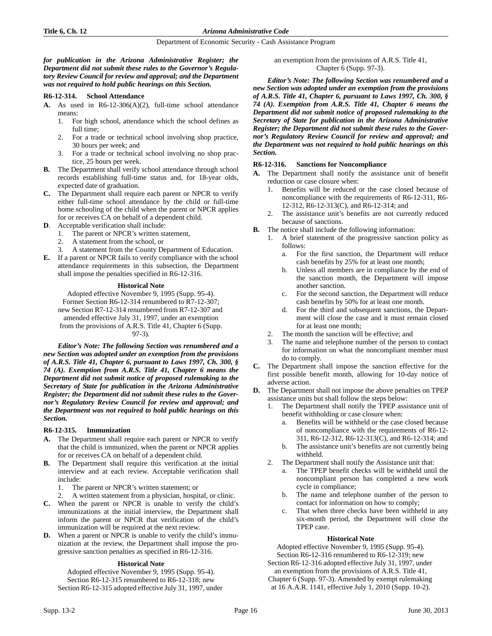### *for publication in the Arizona Administrative Register; the Department did not submit these rules to the Governor's Regulatory Review Council for review and approval; and the Department was not required to hold public hearings on this Section.*

### **R6-12-314. School Attendance**

- **A.** As used in R6-12-306(A)(2), full-time school attendance means:
	- 1. For high school, attendance which the school defines as full time;
	- 2. For a trade or technical school involving shop practice, 30 hours per week; and
	- 3. For a trade or technical school involving no shop practice, 25 hours per week.
- **B.** The Department shall verify school attendance through school records establishing full-time status and, for 18-year olds, expected date of graduation.
- **C.** The Department shall require each parent or NPCR to verify either full-time school attendance by the child or full-time home schooling of the child when the parent or NPCR applies for or receives CA on behalf of a dependent child.
- **D**. Acceptable verification shall include:
	- 1. The parent or NPCR's written statement,
	- 2. A statement from the school, or
	- A statement from the County Department of Education.
- **E.** If a parent or NPCR fails to verify compliance with the school attendance requirements in this subsection, the Department shall impose the penalties specified in R6-12-316.

# **Historical Note**

Adopted effective November 9, 1995 (Supp. 95-4). Former Section R6-12-314 renumbered to R7-12-307; new Section R7-12-314 renumbered from R7-12-307 and amended effective July 31, 1997, under an exemption from the provisions of A.R.S. Title 41, Chapter 6 (Supp. 97-3).

*Editor's Note: The following Section was renumbered and a new Section was adopted under an exemption from the provisions of A.R.S. Title 41, Chapter 6, pursuant to Laws 1997, Ch. 300, § 74 (A). Exemption from A.R.S. Title 41, Chapter 6 means the Department did not submit notice of proposed rulemaking to the Secretary of State for publication in the Arizona Administrative Register; the Department did not submit these rules to the Governor's Regulatory Review Council for review and approval; and the Department was not required to hold public hearings on this Section.*

# **R6-12-315. Immunization**

- **A.** The Department shall require each parent or NPCR to verify that the child is immunized, when the parent or NPCR applies for or receives CA on behalf of a dependent child.
- **B.** The Department shall require this verification at the initial interview and at each review. Acceptable verification shall include:
	- 1. The parent or NPCR's written statement; or
	- 2. A written statement from a physician, hospital, or clinic.
- **C.** When the parent or NPCR is unable to verify the child's immunizations at the initial interview, the Department shall inform the parent or NPCR that verification of the child's immunization will be required at the next review.
- **D.** When a parent or NPCR is unable to verify the child's immunization at the review, the Department shall impose the progressive sanction penalties as specified in R6-12-316.

# **Historical Note**

Adopted effective November 9, 1995 (Supp. 95-4). Section R6-12-315 renumbered to R6-12-318; new Section R6-12-315 adopted effective July 31, 1997, under an exemption from the provisions of A.R.S. Title 41, Chapter 6 (Supp. 97-3).

*Editor's Note: The following Section was renumbered and a new Section was adopted under an exemption from the provisions of A.R.S. Title 41, Chapter 6, pursuant to Laws 1997, Ch. 300, § 74 (A). Exemption from A.R.S. Title 41, Chapter 6 means the Department did not submit notice of proposed rulemaking to the Secretary of State for publication in the Arizona Administrative Register; the Department did not submit these rules to the Governor's Regulatory Review Council for review and approval; and the Department was not required to hold public hearings on this Section.*

# **R6-12-316. Sanctions for Noncompliance**

- **A.** The Department shall notify the assistance unit of benefit reduction or case closure when:
	- 1. Benefits will be reduced or the case closed because of noncompliance with the requirements of R6-12-311, R6- 12-312, R6-12-313(C), and R6-12-314; and
	- 2. The assistance unit's benefits are not currently reduced because of sanctions.
- **B.** The notice shall include the following information:
	- 1. A brief statement of the progressive sanction policy as follows:
		- a. For the first sanction, the Department will reduce cash benefits by 25% for at least one month;
		- b. Unless all members are in compliance by the end of the sanction month, the Department will impose another sanction.
		- c. For the second sanction, the Department will reduce cash benefits by 50% for at least one month.
		- d. For the third and subsequent sanctions, the Department will close the case and it must remain closed for at least one month;
	- 2. The month the sanction will be effective; and
	- 3. The name and telephone number of the person to contact for information on what the noncompliant member must do to comply.
- **C.** The Department shall impose the sanction effective for the first possible benefit month, allowing for 10-day notice of adverse action.
- **D.** The Department shall not impose the above penalties on TPEP assistance units but shall follow the steps below:
	- 1. The Department shall notify the TPEP assistance unit of benefit withholding or case closure when:
		- a. Benefits will be withheld or the case closed because of noncompliance with the requirements of R6-12- 311, R6-12-312, R6-12-313(C), and R6-12-314; and
		- b. The assistance unit's benefits are not currently being withheld.
	- 2. The Department shall notify the Assistance unit that:
		- a. The TPEP benefit checks will be withheld until the noncompliant person has completed a new work cycle in compliance;
		- b. The name and telephone number of the person to contact for information on how to comply;
		- c. That when three checks have been withheld in any six-month period, the Department will close the TPEP case.

# **Historical Note**

Adopted effective November 9, 1995 (Supp. 95-4). Section R6-12-316 renumbered to R6-12-319; new

Section R6-12-316 adopted effective July 31, 1997, under an exemption from the provisions of A.R.S. Title 41,

Chapter 6 (Supp. 97-3). Amended by exempt rulemaking at 16 A.A.R. 1141, effective July 1, 2010 (Supp. 10-2).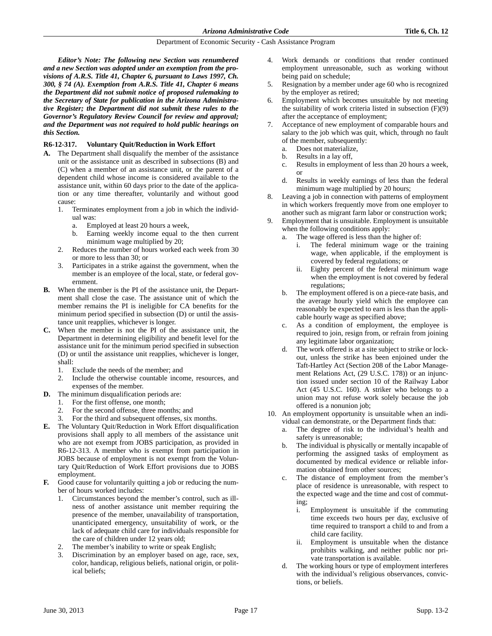*Editor's Note: The following new Section was renumbered and a new Section was adopted under an exemption from the provisions of A.R.S. Title 41, Chapter 6, pursuant to Laws 1997, Ch. 300, § 74 (A). Exemption from A.R.S. Title 41, Chapter 6 means the Department did not submit notice of proposed rulemaking to the Secretary of State for publication in the Arizona Administrative Register; the Department did not submit these rules to the Governor's Regulatory Review Council for review and approval; and the Department was not required to hold public hearings on this Section.*

# **R6-12-317. Voluntary Quit/Reduction in Work Effort**

- **A.** The Department shall disqualify the member of the assistance unit or the assistance unit as described in subsections (B) and (C) when a member of an assistance unit, or the parent of a dependent child whose income is considered available to the assistance unit, within 60 days prior to the date of the application or any time thereafter, voluntarily and without good cause:
	- 1. Terminates employment from a job in which the individual was:
		- a. Employed at least 20 hours a week,
		- b. Earning weekly income equal to the then current minimum wage multiplied by 20;
	- 2. Reduces the number of hours worked each week from 30 or more to less than 30; or
	- 3. Participates in a strike against the government, when the member is an employee of the local, state, or federal government.
- **B.** When the member is the PI of the assistance unit, the Department shall close the case. The assistance unit of which the member remains the PI is ineligible for CA benefits for the minimum period specified in subsection (D) or until the assistance unit reapplies, whichever is longer.
- **C.** When the member is not the PI of the assistance unit, the Department in determining eligibility and benefit level for the assistance unit for the minimum period specified in subsection (D) or until the assistance unit reapplies, whichever is longer, shall:
	- 1. Exclude the needs of the member; and
	- 2. Include the otherwise countable income, resources, and expenses of the member.
- **D.** The minimum disqualification periods are:
	- 1. For the first offense, one month;
	- 2. For the second offense, three months; and
	- For the third and subsequent offenses, six months.
- **E.** The Voluntary Quit/Reduction in Work Effort disqualification provisions shall apply to all members of the assistance unit who are not exempt from JOBS participation, as provided in R6-12-313. A member who is exempt from participation in JOBS because of employment is not exempt from the Voluntary Quit/Reduction of Work Effort provisions due to JOBS employment.
- **F.** Good cause for voluntarily quitting a job or reducing the number of hours worked includes:
	- 1. Circumstances beyond the member's control, such as illness of another assistance unit member requiring the presence of the member, unavailability of transportation, unanticipated emergency, unsuitability of work, or the lack of adequate child care for individuals responsible for the care of children under 12 years old;
	- The member's inability to write or speak English;
	- 3. Discrimination by an employer based on age, race, sex, color, handicap, religious beliefs, national origin, or political beliefs;
- 4. Work demands or conditions that render continued employment unreasonable, such as working without being paid on schedule;
- 5. Resignation by a member under age 60 who is recognized by the employer as retired;
- 6. Employment which becomes unsuitable by not meeting the suitability of work criteria listed in subsection (F)(9) after the acceptance of employment;
- Acceptance of new employment of comparable hours and salary to the job which was quit, which, through no fault of the member, subsequently:
	- a. Does not materialize,
	- b. Results in a lay off,
	- c. Results in employment of less than 20 hours a week, or
	- d. Results in weekly earnings of less than the federal minimum wage multiplied by 20 hours;
- Leaving a job in connection with patterns of employment in which workers frequently move from one employer to another such as migrant farm labor or construction work;
- 9. Employment that is unsuitable. Employment is unsuitable when the following conditions apply:
	- a. The wage offered is less than the higher of:
		- i. The federal minimum wage or the training wage, when applicable, if the employment is covered by federal regulations; or
		- ii. Eighty percent of the federal minimum wage when the employment is not covered by federal regulations;
	- b. The employment offered is on a piece-rate basis, and the average hourly yield which the employee can reasonably be expected to earn is less than the applicable hourly wage as specified above;
	- c. As a condition of employment, the employee is required to join, resign from, or refrain from joining any legitimate labor organization;
	- d. The work offered is at a site subject to strike or lockout, unless the strike has been enjoined under the Taft-Hartley Act (Section 208 of the Labor Management Relations Act, (29 U.S.C. 178)) or an injunction issued under section 10 of the Railway Labor Act (45 U.S.C. 160). A striker who belongs to a union may not refuse work solely because the job offered is a nonunion job;
- 10. An employment opportunity is unsuitable when an individual can demonstrate, or the Department finds that:
	- a. The degree of risk to the individual's health and safety is unreasonable;
	- b. The individual is physically or mentally incapable of performing the assigned tasks of employment as documented by medical evidence or reliable information obtained from other sources;
	- c. The distance of employment from the member's place of residence is unreasonable, with respect to the expected wage and the time and cost of commuting;
		- i. Employment is unsuitable if the commuting time exceeds two hours per day, exclusive of time required to transport a child to and from a child care facility.
		- ii. Employment is unsuitable when the distance prohibits walking, and neither public nor private transportation is available.
	- d. The working hours or type of employment interferes with the individual's religious observances, convictions, or beliefs.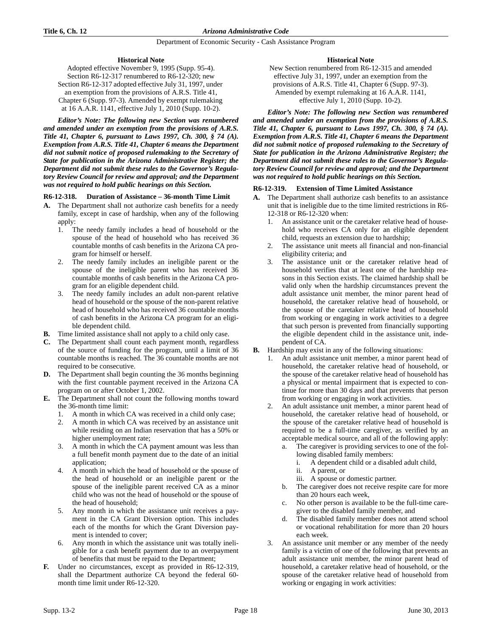# **Historical Note**

Adopted effective November 9, 1995 (Supp. 95-4). Section R6-12-317 renumbered to R6-12-320; new Section R6-12-317 adopted effective July 31, 1997, under an exemption from the provisions of A.R.S. Title 41, Chapter 6 (Supp. 97-3). Amended by exempt rulemaking at 16 A.A.R. 1141, effective July 1, 2010 (Supp. 10-2).

*Editor's Note: The following new Section was renumbered and amended under an exemption from the provisions of A.R.S. Title 41, Chapter 6, pursuant to Laws 1997, Ch. 300, § 74 (A). Exemption from A.R.S. Title 41, Chapter 6 means the Department did not submit notice of proposed rulemaking to the Secretary of State for publication in the Arizona Administrative Register; the Department did not submit these rules to the Governor's Regulatory Review Council for review and approval; and the Department was not required to hold public hearings on this Section.*

# **R6-12-318. Duration of Assistance – 36-month Time Limit**

- **A.** The Department shall not authorize cash benefits for a needy family, except in case of hardship, when any of the following apply:
	- 1. The needy family includes a head of household or the spouse of the head of household who has received 36 countable months of cash benefits in the Arizona CA program for himself or herself.
	- 2. The needy family includes an ineligible parent or the spouse of the ineligible parent who has received 36 countable months of cash benefits in the Arizona CA program for an eligible dependent child.
	- 3. The needy family includes an adult non-parent relative head of household or the spouse of the non-parent relative head of household who has received 36 countable months of cash benefits in the Arizona CA program for an eligible dependent child.
- **B.** Time limited assistance shall not apply to a child only case.
- **C.** The Department shall count each payment month, regardless of the source of funding for the program, until a limit of 36 countable months is reached. The 36 countable months are not required to be consecutive.
- **D.** The Department shall begin counting the 36 months beginning with the first countable payment received in the Arizona CA program on or after October 1, 2002.
- **E.** The Department shall not count the following months toward the 36-month time limit:
	- A month in which CA was received in a child only case;
	- 2. A month in which CA was received by an assistance unit while residing on an Indian reservation that has a 50% or higher unemployment rate;
	- 3. A month in which the CA payment amount was less than a full benefit month payment due to the date of an initial application;
	- 4. A month in which the head of household or the spouse of the head of household or an ineligible parent or the spouse of the ineligible parent received CA as a minor child who was not the head of household or the spouse of the head of household;
	- 5. Any month in which the assistance unit receives a payment in the CA Grant Diversion option. This includes each of the months for which the Grant Diversion payment is intended to cover;
	- 6. Any month in which the assistance unit was totally ineligible for a cash benefit payment due to an overpayment of benefits that must be repaid to the Department;
- **F.** Under no circumstances, except as provided in R6-12-319, shall the Department authorize CA beyond the federal 60 month time limit under R6-12-320.

# **Historical Note**

New Section renumbered from R6-12-315 and amended effective July 31, 1997, under an exemption from the provisions of A.R.S. Title 41, Chapter 6 (Supp. 97-3). Amended by exempt rulemaking at 16 A.A.R. 1141, effective July 1, 2010 (Supp. 10-2).

*Editor's Note: The following new Section was renumbered and amended under an exemption from the provisions of A.R.S. Title 41, Chapter 6, pursuant to Laws 1997, Ch. 300, § 74 (A). Exemption from A.R.S. Title 41, Chapter 6 means the Department did not submit notice of proposed rulemaking to the Secretary of State for publication in the Arizona Administrative Register; the Department did not submit these rules to the Governor's Regulatory Review Council for review and approval; and the Department was not required to hold public hearings on this Section.*

#### **R6-12-319. Extension of Time Limited Assistance**

- **A.** The Department shall authorize cash benefits to an assistance unit that is ineligible due to the time limited restrictions in R6- 12-318 or R6-12-320 when:
	- 1. An assistance unit or the caretaker relative head of household who receives CA only for an eligible dependent child, requests an extension due to hardship;
	- 2. The assistance unit meets all financial and non-financial eligibility criteria; and
	- 3. The assistance unit or the caretaker relative head of household verifies that at least one of the hardship reasons in this Section exists. The claimed hardship shall be valid only when the hardship circumstances prevent the adult assistance unit member, the minor parent head of household, the caretaker relative head of household, or the spouse of the caretaker relative head of household from working or engaging in work activities to a degree that such person is prevented from financially supporting the eligible dependent child in the assistance unit, independent of CA.
- **B.** Hardship may exist in any of the following situations:
	- 1. An adult assistance unit member, a minor parent head of household, the caretaker relative head of household, or the spouse of the caretaker relative head of household has a physical or mental impairment that is expected to continue for more than 30 days and that prevents that person from working or engaging in work activities.
	- 2. An adult assistance unit member, a minor parent head of household, the caretaker relative head of household, or the spouse of the caretaker relative head of household is required to be a full-time caregiver, as verified by an acceptable medical source, and all of the following apply:
		- The caregiver is providing services to one of the following disabled family members:
			- i. A dependent child or a disabled adult child,
			- ii. A parent, or
			- iii. A spouse or domestic partner.
		- b. The caregiver does not receive respite care for more than 20 hours each week,
		- c. No other person is available to be the full-time caregiver to the disabled family member, and
		- d. The disabled family member does not attend school or vocational rehabilitation for more than 20 hours each week.
	- 3. An assistance unit member or any member of the needy family is a victim of one of the following that prevents an adult assistance unit member, the minor parent head of household, a caretaker relative head of household, or the spouse of the caretaker relative head of household from working or engaging in work activities: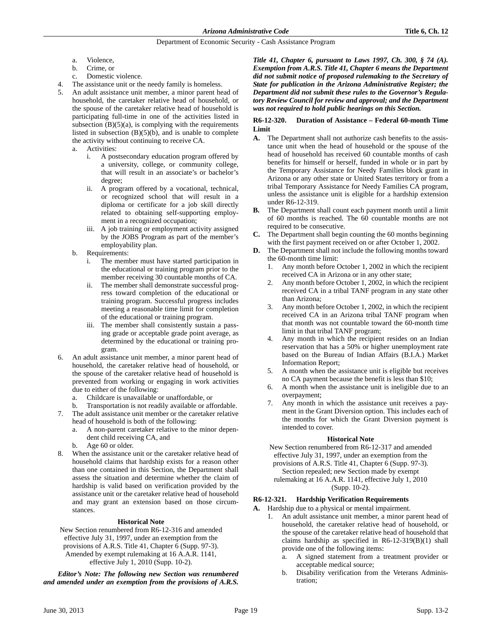- a. Violence,
- b. Crime, or
- c. Domestic violence.
- The assistance unit or the needy family is homeless.
- 5. An adult assistance unit member, a minor parent head of household, the caretaker relative head of household, or the spouse of the caretaker relative head of household is participating full-time in one of the activities listed in subsection  $(B)(5)(a)$ , is complying with the requirements listed in subsection  $(B)(5)(b)$ , and is unable to complete the activity without continuing to receive CA.
	- a. Activities:
		- i. A postsecondary education program offered by a university, college, or community college, that will result in an associate's or bachelor's degree;
		- ii. A program offered by a vocational, technical, or recognized school that will result in a diploma or certificate for a job skill directly related to obtaining self-supporting employment in a recognized occupation;
		- iii. A job training or employment activity assigned by the JOBS Program as part of the member's employability plan.
	- b. Requirements:
		- The member must have started participation in the educational or training program prior to the member receiving 30 countable months of CA.
		- ii. The member shall demonstrate successful progress toward completion of the educational or training program. Successful progress includes meeting a reasonable time limit for completion of the educational or training program.
		- iii. The member shall consistently sustain a passing grade or acceptable grade point average, as determined by the educational or training program.
- 6. An adult assistance unit member, a minor parent head of household, the caretaker relative head of household, or the spouse of the caretaker relative head of household is prevented from working or engaging in work activities due to either of the following:
	- a. Childcare is unavailable or unaffordable, or
	- b. Transportation is not readily available or affordable.
- 7. The adult assistance unit member or the caretaker relative head of household is both of the following:
	- a. A non-parent caretaker relative to the minor dependent child receiving CA, and
	- b. Age 60 or older.
- When the assistance unit or the caretaker relative head of household claims that hardship exists for a reason other than one contained in this Section, the Department shall assess the situation and determine whether the claim of hardship is valid based on verification provided by the assistance unit or the caretaker relative head of household and may grant an extension based on those circumstances.

# **Historical Note**

New Section renumbered from R6-12-316 and amended effective July 31, 1997, under an exemption from the provisions of A.R.S. Title 41, Chapter 6 (Supp. 97-3). Amended by exempt rulemaking at 16 A.A.R. 1141, effective July 1, 2010 (Supp. 10-2).

*Editor's Note: The following new Section was renumbered and amended under an exemption from the provisions of A.R.S.* *Title 41, Chapter 6, pursuant to Laws 1997, Ch. 300, § 74 (A). Exemption from A.R.S. Title 41, Chapter 6 means the Department did not submit notice of proposed rulemaking to the Secretary of State for publication in the Arizona Administrative Register; the Department did not submit these rules to the Governor's Regulatory Review Council for review and approval; and the Department was not required to hold public hearings on this Section.*

# **R6-12-320. Duration of Assistance – Federal 60-month Time Limit**

- **A.** The Department shall not authorize cash benefits to the assistance unit when the head of household or the spouse of the head of household has received 60 countable months of cash benefits for himself or herself, funded in whole or in part by the Temporary Assistance for Needy Families block grant in Arizona or any other state or United States territory or from a tribal Temporary Assistance for Needy Families CA program, unless the assistance unit is eligible for a hardship extension under R6-12-319.
- **B.** The Department shall count each payment month until a limit of 60 months is reached. The 60 countable months are not required to be consecutive.
- **C.** The Department shall begin counting the 60 months beginning with the first payment received on or after October 1, 2002.
- **D.** The Department shall not include the following months toward the 60-month time limit:
	- 1. Any month before October 1, 2002 in which the recipient received CA in Arizona or in any other state;
	- 2. Any month before October 1, 2002, in which the recipient received CA in a tribal TANF program in any state other than Arizona;
	- 3. Any month before October 1, 2002, in which the recipient received CA in an Arizona tribal TANF program when that month was not countable toward the 60-month time limit in that tribal TANF program;
	- 4. Any month in which the recipient resides on an Indian reservation that has a 50% or higher unemployment rate based on the Bureau of Indian Affairs (B.I.A.) Market Information Report;
	- 5. A month when the assistance unit is eligible but receives no CA payment because the benefit is less than \$10;
	- 6. A month when the assistance unit is ineligible due to an overpayment;
	- 7. Any month in which the assistance unit receives a payment in the Grant Diversion option. This includes each of the months for which the Grant Diversion payment is intended to cover.

# **Historical Note**

New Section renumbered from R6-12-317 and amended effective July 31, 1997, under an exemption from the provisions of A.R.S. Title 41, Chapter 6 (Supp. 97-3).

Section repealed; new Section made by exempt rulemaking at 16 A.A.R. 1141, effective July 1, 2010 (Supp. 10-2).

# **R6-12-321. Hardship Verification Requirements**

- **A.** Hardship due to a physical or mental impairment.
	- 1. An adult assistance unit member, a minor parent head of household, the caretaker relative head of household, or the spouse of the caretaker relative head of household that claims hardship as specified in  $R6-12-319(B)(1)$  shall provide one of the following items:
		- a. A signed statement from a treatment provider or acceptable medical source;
		- b. Disability verification from the Veterans Administration;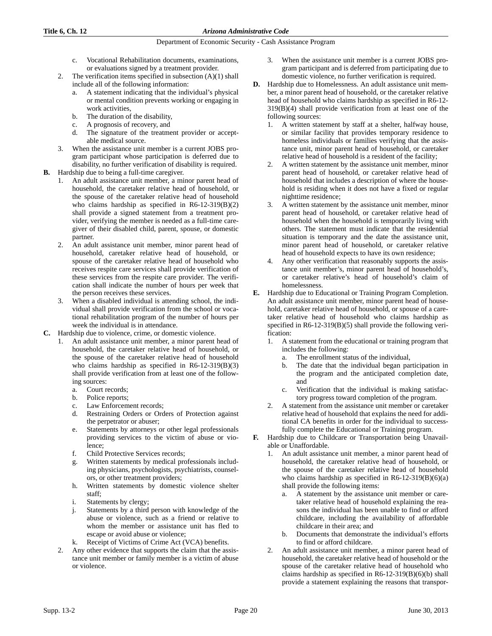- c. Vocational Rehabilitation documents, examinations, or evaluations signed by a treatment provider.
- 2. The verification items specified in subsection  $(A)(1)$  shall include all of the following information:
	- a. A statement indicating that the individual's physical or mental condition prevents working or engaging in work activities,
	- b. The duration of the disability,
	- c. A prognosis of recovery, and
	- d. The signature of the treatment provider or acceptable medical source.
- 3. When the assistance unit member is a current JOBS program participant whose participation is deferred due to disability, no further verification of disability is required.
- **B.** Hardship due to being a full-time caregiver.
	- 1. An adult assistance unit member, a minor parent head of household, the caretaker relative head of household, or the spouse of the caretaker relative head of household who claims hardship as specified in R6-12-319(B)(2) shall provide a signed statement from a treatment provider, verifying the member is needed as a full-time caregiver of their disabled child, parent, spouse, or domestic partner.
	- 2. An adult assistance unit member, minor parent head of household, caretaker relative head of household, or spouse of the caretaker relative head of household who receives respite care services shall provide verification of these services from the respite care provider. The verification shall indicate the number of hours per week that the person receives these services.
	- 3. When a disabled individual is attending school, the individual shall provide verification from the school or vocational rehabilitation program of the number of hours per week the individual is in attendance.
- **C.** Hardship due to violence, crime, or domestic violence.
	- 1. An adult assistance unit member, a minor parent head of household, the caretaker relative head of household, or the spouse of the caretaker relative head of household who claims hardship as specified in R6-12-319(B)(3) shall provide verification from at least one of the following sources:
		- a. Court records;
		- b. Police reports;
		- c. Law Enforcement records;
		- d. Restraining Orders or Orders of Protection against the perpetrator or abuser;
		- e. Statements by attorneys or other legal professionals providing services to the victim of abuse or violence;
		- f. Child Protective Services records;
		- g. Written statements by medical professionals including physicians, psychologists, psychiatrists, counselors, or other treatment providers;
		- h. Written statements by domestic violence shelter staff;
		- i. Statements by clergy;
		- j. Statements by a third person with knowledge of the abuse or violence, such as a friend or relative to whom the member or assistance unit has fled to escape or avoid abuse or violence;
		- k. Receipt of Victims of Crime Act (VCA) benefits.
	- 2. Any other evidence that supports the claim that the assistance unit member or family member is a victim of abuse or violence.
- 3. When the assistance unit member is a current JOBS program participant and is deferred from participating due to domestic violence, no further verification is required.
- **D.** Hardship due to Homelessness. An adult assistance unit member, a minor parent head of household, or the caretaker relative head of household who claims hardship as specified in R6-12- 319(B)(4) shall provide verification from at least one of the following sources:
	- 1. A written statement by staff at a shelter, halfway house, or similar facility that provides temporary residence to homeless individuals or families verifying that the assistance unit, minor parent head of household, or caretaker relative head of household is a resident of the facility;
	- 2. A written statement by the assistance unit member, minor parent head of household, or caretaker relative head of household that includes a description of where the household is residing when it does not have a fixed or regular nighttime residence;
	- 3. A written statement by the assistance unit member, minor parent head of household, or caretaker relative head of household when the household is temporarily living with others. The statement must indicate that the residential situation is temporary and the date the assistance unit, minor parent head of household, or caretaker relative head of household expects to have its own residence;
	- Any other verification that reasonably supports the assistance unit member's, minor parent head of household's, or caretaker relative's head of household's claim of homelessness.
- **E.** Hardship due to Educational or Training Program Completion. An adult assistance unit member, minor parent head of household, caretaker relative head of household, or spouse of a caretaker relative head of household who claims hardship as specified in R6-12-319(B)(5) shall provide the following verification:
	- 1. A statement from the educational or training program that includes the following:
		- a. The enrollment status of the individual,
		- b. The date that the individual began participation in the program and the anticipated completion date, and
		- c. Verification that the individual is making satisfactory progress toward completion of the program.
	- 2. A statement from the assistance unit member or caretaker relative head of household that explains the need for additional CA benefits in order for the individual to successfully complete the Educational or Training program.
- **F.** Hardship due to Childcare or Transportation being Unavailable or Unaffordable.
	- An adult assistance unit member, a minor parent head of household, the caretaker relative head of household, or the spouse of the caretaker relative head of household who claims hardship as specified in  $R6-12-319(B)(6)(a)$ shall provide the following items:
		- a. A statement by the assistance unit member or caretaker relative head of household explaining the reasons the individual has been unable to find or afford childcare, including the availability of affordable childcare in their area; and
		- b. Documents that demonstrate the individual's efforts to find or afford childcare.
	- 2. An adult assistance unit member, a minor parent head of household, the caretaker relative head of household or the spouse of the caretaker relative head of household who claims hardship as specified in R6-12-319(B)(6)(b) shall provide a statement explaining the reasons that transpor-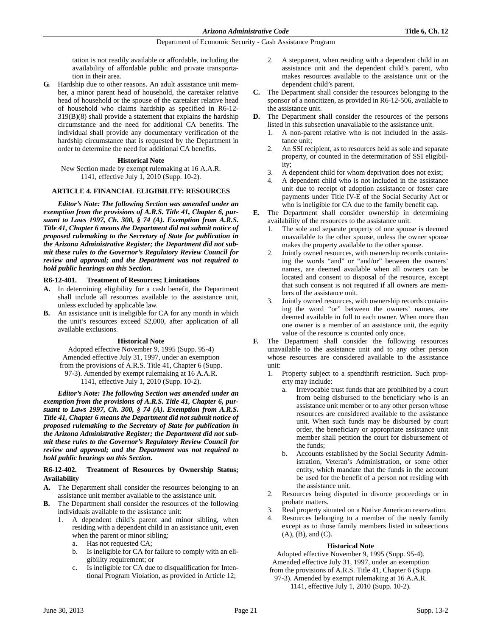tation is not readily available or affordable, including the availability of affordable public and private transportation in their area.

**G.** Hardship due to other reasons. An adult assistance unit member, a minor parent head of household, the caretaker relative head of household or the spouse of the caretaker relative head of household who claims hardship as specified in R6-12- 319(B)(8) shall provide a statement that explains the hardship circumstance and the need for additional CA benefits. The individual shall provide any documentary verification of the hardship circumstance that is requested by the Department in order to determine the need for additional CA benefits.

# **Historical Note**

New Section made by exempt rulemaking at 16 A.A.R. 1141, effective July 1, 2010 (Supp. 10-2).

# **ARTICLE 4. FINANCIAL ELIGIBILITY: RESOURCES**

*Editor's Note: The following Section was amended under an exemption from the provisions of A.R.S. Title 41, Chapter 6, pursuant to Laws 1997, Ch. 300, § 74 (A). Exemption from A.R.S. Title 41, Chapter 6 means the Department did not submit notice of proposed rulemaking to the Secretary of State for publication in the Arizona Administrative Register; the Department did not submit these rules to the Governor's Regulatory Review Council for review and approval; and the Department was not required to hold public hearings on this Section.*

# **R6-12-401. Treatment of Resources; Limitations**

- **A.** In determining eligibility for a cash benefit, the Department shall include all resources available to the assistance unit, unless excluded by applicable law.
- **B.** An assistance unit is ineligible for CA for any month in which the unit's resources exceed \$2,000, after application of all available exclusions.

# **Historical Note**

Adopted effective November 9, 1995 (Supp. 95-4) Amended effective July 31, 1997, under an exemption from the provisions of A.R.S. Title 41, Chapter 6 (Supp. 97-3). Amended by exempt rulemaking at 16 A.A.R. 1141, effective July 1, 2010 (Supp. 10-2).

*Editor's Note: The following Section was amended under an exemption from the provisions of A.R.S. Title 41, Chapter 6, pursuant to Laws 1997, Ch. 300, § 74 (A). Exemption from A.R.S. Title 41, Chapter 6 means the Department did not submit notice of proposed rulemaking to the Secretary of State for publication in the Arizona Administrative Register; the Department did not submit these rules to the Governor's Regulatory Review Council for review and approval; and the Department was not required to hold public hearings on this Section.*

# **R6-12-402. Treatment of Resources by Ownership Status; Availability**

- **A.** The Department shall consider the resources belonging to an assistance unit member available to the assistance unit.
- **B.** The Department shall consider the resources of the following individuals available to the assistance unit:
	- 1. A dependent child's parent and minor sibling, when residing with a dependent child in an assistance unit, even when the parent or minor sibling:
		- a. Has not requested CA;
		- b. Is ineligible for CA for failure to comply with an eligibility requirement; or
		- c. Is ineligible for CA due to disqualification for Intentional Program Violation, as provided in Article 12;
- 2. A stepparent, when residing with a dependent child in an assistance unit and the dependent child's parent, who makes resources available to the assistance unit or the dependent child's parent.
- **C.** The Department shall consider the resources belonging to the sponsor of a noncitizen, as provided in R6-12-506, available to the assistance unit.
- **D.** The Department shall consider the resources of the persons listed in this subsection unavailable to the assistance unit.
	- 1. A non-parent relative who is not included in the assistance unit;
	- 2. An SSI recipient, as to resources held as sole and separate property, or counted in the determination of SSI eligibility;
	- 3. A dependent child for whom deprivation does not exist;
	- 4. A dependent child who is not included in the assistance unit due to receipt of adoption assistance or foster care payments under Title IV-E of the Social Security Act or who is ineligible for CA due to the family benefit cap.
- **E.** The Department shall consider ownership in determining availability of the resources to the assistance unit.
	- 1. The sole and separate property of one spouse is deemed unavailable to the other spouse, unless the owner spouse makes the property available to the other spouse.
	- 2. Jointly owned resources, with ownership records containing the words "and" or "and/or" between the owners' names, are deemed available when all owners can be located and consent to disposal of the resource, except that such consent is not required if all owners are members of the assistance unit.
	- 3. Jointly owned resources, with ownership records containing the word "or" between the owners' names, are deemed available in full to each owner. When more than one owner is a member of an assistance unit, the equity value of the resource is counted only once.
- **F.** The Department shall consider the following resources unavailable to the assistance unit and to any other person whose resources are considered available to the assistance unit:
	- 1. Property subject to a spendthrift restriction. Such property may include:
		- a. Irrevocable trust funds that are prohibited by a court from being disbursed to the beneficiary who is an assistance unit member or to any other person whose resources are considered available to the assistance unit. When such funds may be disbursed by court order, the beneficiary or appropriate assistance unit member shall petition the court for disbursement of the funds;
		- b. Accounts established by the Social Security Administration, Veteran's Administration, or some other entity, which mandate that the funds in the account be used for the benefit of a person not residing with the assistance unit.
	- 2. Resources being disputed in divorce proceedings or in probate matters.
	- 3. Real property situated on a Native American reservation.
	- Resources belonging to a member of the needy family except as to those family members listed in subsections (A), (B), and (C).

# **Historical Note**

Adopted effective November 9, 1995 (Supp. 95-4). Amended effective July 31, 1997, under an exemption from the provisions of A.R.S. Title 41, Chapter 6 (Supp.

97-3). Amended by exempt rulemaking at 16 A.A.R. 1141, effective July 1, 2010 (Supp. 10-2).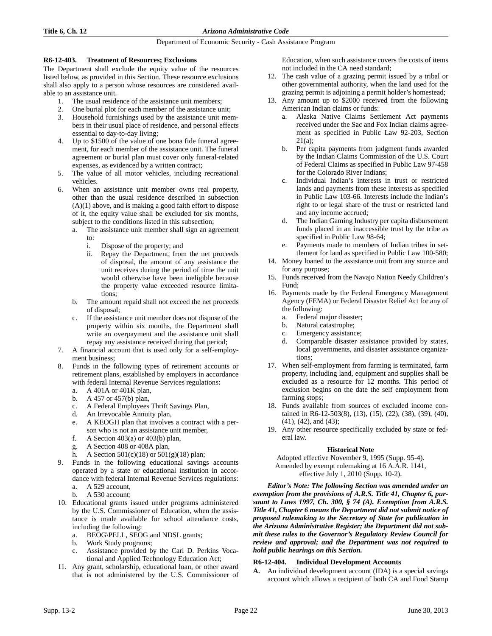# **R6-12-403. Treatment of Resources; Exclusions**

The Department shall exclude the equity value of the resources listed below, as provided in this Section. These resource exclusions shall also apply to a person whose resources are considered available to an assistance unit.

- 1. The usual residence of the assistance unit members;
- 2. One burial plot for each member of the assistance unit;
- 3. Household furnishings used by the assistance unit members in their usual place of residence, and personal effects essential to day-to-day living;
- 4. Up to \$1500 of the value of one bona fide funeral agreement, for each member of the assistance unit. The funeral agreement or burial plan must cover only funeral-related expenses, as evidenced by a written contract;
- 5. The value of all motor vehicles, including recreational vehicles.
- 6. When an assistance unit member owns real property, other than the usual residence described in subsection (A)(1) above, and is making a good faith effort to dispose of it, the equity value shall be excluded for six months, subject to the conditions listed in this subsection;
	- a. The assistance unit member shall sign an agreement to:
		-
		- i. Dispose of the property; and<br>ii. Repay the Department, fron Repay the Department, from the net proceeds of disposal, the amount of any assistance the unit receives during the period of time the unit would otherwise have been ineligible because the property value exceeded resource limitations;
	- b. The amount repaid shall not exceed the net proceeds of disposal;
	- c. If the assistance unit member does not dispose of the property within six months, the Department shall write an overpayment and the assistance unit shall repay any assistance received during that period;
- 7. A financial account that is used only for a self-employment business;
- 8. Funds in the following types of retirement accounts or retirement plans, established by employers in accordance with federal Internal Revenue Services regulations:
	- a. A 401A or 401K plan,
	- b. A 457 or 457(b) plan,
	- c. A Federal Employees Thrift Savings Plan,
	- d. An Irrevocable Annuity plan,
	- e. A KEOGH plan that involves a contract with a person who is not an assistance unit member,
	- f. A Section  $403(a)$  or  $403(b)$  plan,
	- g. A Section 408 or 408A plan,
	- h. A Section  $501(c)(18)$  or  $501(g)(18)$  plan;
- 9. Funds in the following educational savings accounts operated by a state or educational institution in accordance with federal Internal Revenue Services regulations:
	- a. A 529 account, b. A 530 account;
- 10. Educational grants issued under programs administered by the U.S. Commissioner of Education, when the assistance is made available for school attendance costs, including the following:
	- a. BEOG\PELL, SEOG and NDSL grants;
	- b. Work Study programs;
	- c. Assistance provided by the Carl D. Perkins Vocational and Applied Technology Education Act;
- 11. Any grant, scholarship, educational loan, or other award that is not administered by the U.S. Commissioner of

Education, when such assistance covers the costs of items not included in the CA need standard;

- 12. The cash value of a grazing permit issued by a tribal or other governmental authority, when the land used for the grazing permit is adjoining a permit holder's homestead;
- 13. Any amount up to \$2000 received from the following American Indian claims or funds:
	- a. Alaska Native Claims Settlement Act payments received under the Sac and Fox Indian claims agreement as specified in Public Law 92-203, Section 21(a);
	- b. Per capita payments from judgment funds awarded by the Indian Claims Commission of the U.S. Court of Federal Claims as specified in Public Law 97-458 for the Colorado River Indians;
	- c. Individual Indian's interests in trust or restricted lands and payments from these interests as specified in Public Law 103-66. Interests include the Indian's right to or legal share of the trust or restricted land and any income accrued;
	- d. The Indian Gaming Industry per capita disbursement funds placed in an inaccessible trust by the tribe as specified in Public Law 98-64;
	- e. Payments made to members of Indian tribes in settlement for land as specified in Public Law 100-580;
- 14. Money loaned to the assistance unit from any source and for any purpose;
- 15. Funds received from the Navajo Nation Needy Children's Fund;
- 16. Payments made by the Federal Emergency Management Agency (FEMA) or Federal Disaster Relief Act for any of the following:
	- a. Federal major disaster;
	- b. Natural catastrophe;
	- c. Emergency assistance;
	- d. Comparable disaster assistance provided by states, local governments, and disaster assistance organizations;
- 17. When self-employment from farming is terminated, farm property, including land, equipment and supplies shall be excluded as a resource for 12 months. This period of exclusion begins on the date the self employment from farming stops;
- 18. Funds available from sources of excluded income contained in R6-12-503(8), (13), (15), (22), (38), (39), (40), (41), (42), and (43);
- 19. Any other resource specifically excluded by state or federal law.

# **Historical Note**

Adopted effective November 9, 1995 (Supp. 95-4). Amended by exempt rulemaking at 16 A.A.R. 1141, effective July 1, 2010 (Supp. 10-2).

*Editor's Note: The following Section was amended under an exemption from the provisions of A.R.S. Title 41, Chapter 6, pursuant to Laws 1997, Ch. 300, § 74 (A). Exemption from A.R.S. Title 41, Chapter 6 means the Department did not submit notice of proposed rulemaking to the Secretary of State for publication in the Arizona Administrative Register; the Department did not submit these rules to the Governor's Regulatory Review Council for review and approval; and the Department was not required to hold public hearings on this Section.*

# **R6-12-404. Individual Development Accounts**

**A.** An individual development account (IDA) is a special savings account which allows a recipient of both CA and Food Stamp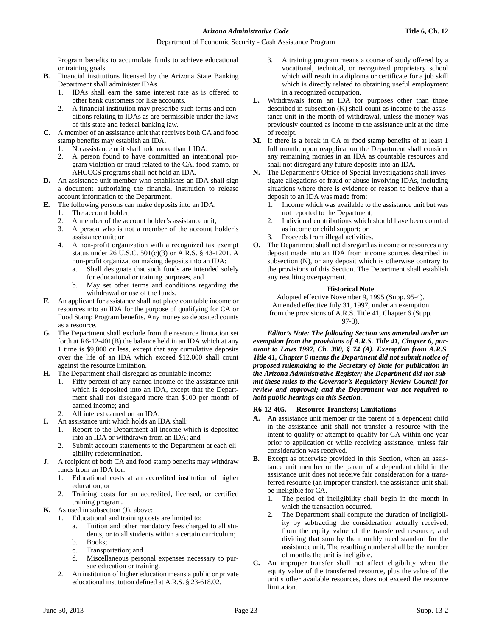Program benefits to accumulate funds to achieve educational or training goals.

- **B.** Financial institutions licensed by the Arizona State Banking Department shall administer IDAs.
	- 1. IDAs shall earn the same interest rate as is offered to other bank customers for like accounts.
	- 2. A financial institution may prescribe such terms and conditions relating to IDAs as are permissible under the laws of this state and federal banking law.
- **C.** A member of an assistance unit that receives both CA and food stamp benefits may establish an IDA.
	- 1. No assistance unit shall hold more than 1 IDA.
	- 2. A person found to have committed an intentional program violation or fraud related to the CA, food stamp, or AHCCCS programs shall not hold an IDA.
- **D.** An assistance unit member who establishes an IDA shall sign a document authorizing the financial institution to release account information to the Department.
- **E.** The following persons can make deposits into an IDA:
	- 1. The account holder;
	- 2. A member of the account holder's assistance unit;
	- 3. A person who is not a member of the account holder's assistance unit; or
	- 4. A non-profit organization with a recognized tax exempt status under 26 U.S.C. 501(c)(3) or A.R.S. § 43-1201. A non-profit organization making deposits into an IDA:
		- a. Shall designate that such funds are intended solely for educational or training purposes, and
		- b. May set other terms and conditions regarding the withdrawal or use of the funds.
- **F.** An applicant for assistance shall not place countable income or resources into an IDA for the purpose of qualifying for CA or Food Stamp Program benefits. Any money so deposited counts as a resource.
- **G.** The Department shall exclude from the resource limitation set forth at R6-12-401(B) the balance held in an IDA which at any 1 time is \$9,000 or less, except that any cumulative deposits over the life of an IDA which exceed \$12,000 shall count against the resource limitation.
- **H.** The Department shall disregard as countable income:
	- 1. Fifty percent of any earned income of the assistance unit which is deposited into an IDA, except that the Department shall not disregard more than \$100 per month of earned income; and
	- 2. All interest earned on an IDA.
- **I.** An assistance unit which holds an IDA shall:
	- 1. Report to the Department all income which is deposited into an IDA or withdrawn from an IDA; and
	- 2. Submit account statements to the Department at each eligibility redetermination.
- **J.** A recipient of both CA and food stamp benefits may withdraw funds from an IDA for:
	- 1. Educational costs at an accredited institution of higher education; or
	- 2. Training costs for an accredited, licensed, or certified training program.
- **K.** As used in subsection (J), above:
	- 1. Educational and training costs are limited to:
		- a. Tuition and other mandatory fees charged to all students, or to all students within a certain curriculum; b. Books;
		- c. Transportation; and
		- d. Miscellaneous personal expenses necessary to pursue education or training.
	- 2. An institution of higher education means a public or private educational institution defined at A.R.S. § 23-618.02.
- 3. A training program means a course of study offered by a vocational, technical, or recognized proprietary school which will result in a diploma or certificate for a job skill which is directly related to obtaining useful employment in a recognized occupation.
- **L.** Withdrawals from an IDA for purposes other than those described in subsection (K) shall count as income to the assistance unit in the month of withdrawal, unless the money was previously counted as income to the assistance unit at the time of receipt.
- **M.** If there is a break in CA or food stamp benefits of at least 1 full month, upon reapplication the Department shall consider any remaining monies in an IDA as countable resources and shall not disregard any future deposits into an IDA.
- **N.** The Department's Office of Special Investigations shall investigate allegations of fraud or abuse involving IDAs, including situations where there is evidence or reason to believe that a deposit to an IDA was made from:
	- 1. Income which was available to the assistance unit but was not reported to the Department;
	- 2. Individual contributions which should have been counted as income or child support; or
	- 3. Proceeds from illegal activities.
- **O.** The Department shall not disregard as income or resources any deposit made into an IDA from income sources described in subsection (N), or any deposit which is otherwise contrary to the provisions of this Section. The Department shall establish any resulting overpayment.

# **Historical Note**

Adopted effective November 9, 1995 (Supp. 95-4). Amended effective July 31, 1997, under an exemption from the provisions of A.R.S. Title 41, Chapter 6 (Supp. 97-3).

*Editor's Note: The following Section was amended under an exemption from the provisions of A.R.S. Title 41, Chapter 6, pursuant to Laws 1997, Ch. 300, § 74 (A). Exemption from A.R.S. Title 41, Chapter 6 means the Department did not submit notice of proposed rulemaking to the Secretary of State for publication in the Arizona Administrative Register; the Department did not submit these rules to the Governor's Regulatory Review Council for review and approval; and the Department was not required to hold public hearings on this Section.*

# **R6-12-405. Resource Transfers; Limitations**

- **A.** An assistance unit member or the parent of a dependent child in the assistance unit shall not transfer a resource with the intent to qualify or attempt to qualify for CA within one year prior to application or while receiving assistance, unless fair consideration was received.
- **B.** Except as otherwise provided in this Section, when an assistance unit member or the parent of a dependent child in the assistance unit does not receive fair consideration for a transferred resource (an improper transfer), the assistance unit shall be ineligible for CA.
	- 1. The period of ineligibility shall begin in the month in which the transaction occurred.
	- The Department shall compute the duration of ineligibility by subtracting the consideration actually received, from the equity value of the transferred resource, and dividing that sum by the monthly need standard for the assistance unit. The resulting number shall be the number of months the unit is ineligible.
- **C.** An improper transfer shall not affect eligibility when the equity value of the transferred resource, plus the value of the unit's other available resources, does not exceed the resource limitation.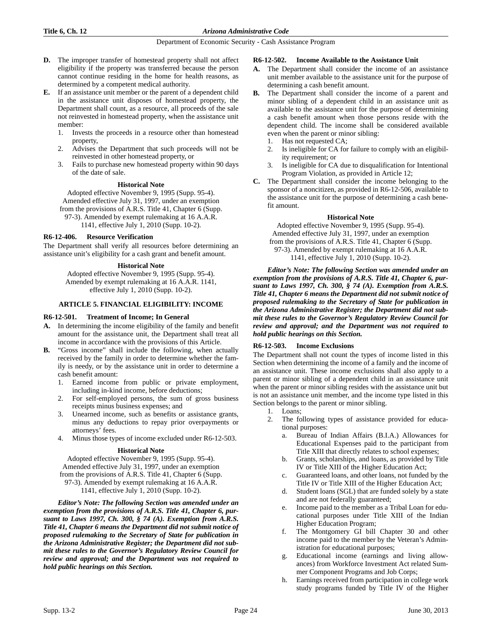- **D.** The improper transfer of homestead property shall not affect eligibility if the property was transferred because the person cannot continue residing in the home for health reasons, as determined by a competent medical authority.
- **E.** If an assistance unit member or the parent of a dependent child in the assistance unit disposes of homestead property, the Department shall count, as a resource, all proceeds of the sale not reinvested in homestead property, when the assistance unit member:
	- 1. Invests the proceeds in a resource other than homestead property,
	- 2. Advises the Department that such proceeds will not be reinvested in other homestead property, or
	- 3. Fails to purchase new homestead property within 90 days of the date of sale.

#### **Historical Note**

Adopted effective November 9, 1995 (Supp. 95-4). Amended effective July 31, 1997, under an exemption from the provisions of A.R.S. Title 41, Chapter 6 (Supp. 97-3). Amended by exempt rulemaking at 16 A.A.R. 1141, effective July 1, 2010 (Supp. 10-2).

# **R6-12-406. Resource Verification**

The Department shall verify all resources before determining an assistance unit's eligibility for a cash grant and benefit amount.

### **Historical Note**

Adopted effective November 9, 1995 (Supp. 95-4). Amended by exempt rulemaking at 16 A.A.R. 1141, effective July 1, 2010 (Supp. 10-2).

# **ARTICLE 5. FINANCIAL ELIGIBILITY: INCOME**

### **R6-12-501. Treatment of Income; In General**

- **A.** In determining the income eligibility of the family and benefit amount for the assistance unit, the Department shall treat all income in accordance with the provisions of this Article.
- **B.** "Gross income" shall include the following, when actually received by the family in order to determine whether the family is needy, or by the assistance unit in order to determine a cash benefit amount:
	- 1. Earned income from public or private employment, including in-kind income, before deductions;
	- 2. For self-employed persons, the sum of gross business receipts minus business expenses; and
	- 3. Unearned income, such as benefits or assistance grants, minus any deductions to repay prior overpayments or attorneys' fees.
	- 4. Minus those types of income excluded under R6-12-503.

### **Historical Note**

Adopted effective November 9, 1995 (Supp. 95-4). Amended effective July 31, 1997, under an exemption from the provisions of A.R.S. Title 41, Chapter 6 (Supp.

97-3). Amended by exempt rulemaking at 16 A.A.R.

1141, effective July 1, 2010 (Supp. 10-2).

*Editor's Note: The following Section was amended under an exemption from the provisions of A.R.S. Title 41, Chapter 6, pursuant to Laws 1997, Ch. 300, § 74 (A). Exemption from A.R.S. Title 41, Chapter 6 means the Department did not submit notice of proposed rulemaking to the Secretary of State for publication in the Arizona Administrative Register; the Department did not submit these rules to the Governor's Regulatory Review Council for review and approval; and the Department was not required to hold public hearings on this Section.*

#### **R6-12-502. Income Available to the Assistance Unit**

- **A.** The Department shall consider the income of an assistance unit member available to the assistance unit for the purpose of determining a cash benefit amount.
- **B.** The Department shall consider the income of a parent and minor sibling of a dependent child in an assistance unit as available to the assistance unit for the purpose of determining a cash benefit amount when those persons reside with the dependent child. The income shall be considered available even when the parent or minor sibling:
	- Has not requested CA;
	- 2. Is ineligible for CA for failure to comply with an eligibility requirement; or
	- 3. Is ineligible for CA due to disqualification for Intentional Program Violation, as provided in Article 12;
- **C.** The Department shall consider the income belonging to the sponsor of a noncitizen, as provided in R6-12-506, available to the assistance unit for the purpose of determining a cash benefit amount.

#### **Historical Note**

Adopted effective November 9, 1995 (Supp. 95-4). Amended effective July 31, 1997, under an exemption from the provisions of A.R.S. Title 41, Chapter 6 (Supp. 97-3). Amended by exempt rulemaking at 16 A.A.R. 1141, effective July 1, 2010 (Supp. 10-2).

*Editor's Note: The following Section was amended under an exemption from the provisions of A.R.S. Title 41, Chapter 6, pursuant to Laws 1997, Ch. 300, § 74 (A). Exemption from A.R.S. Title 41, Chapter 6 means the Department did not submit notice of proposed rulemaking to the Secretary of State for publication in the Arizona Administrative Register; the Department did not submit these rules to the Governor's Regulatory Review Council for review and approval; and the Department was not required to hold public hearings on this Section.*

# **R6-12-503. Income Exclusions**

The Department shall not count the types of income listed in this Section when determining the income of a family and the income of an assistance unit. These income exclusions shall also apply to a parent or minor sibling of a dependent child in an assistance unit when the parent or minor sibling resides with the assistance unit but is not an assistance unit member, and the income type listed in this Section belongs to the parent or minor sibling.

- 1. Loans;
- 2. The following types of assistance provided for educational purposes:
	- a. Bureau of Indian Affairs (B.I.A.) Allowances for Educational Expenses paid to the participant from Title XIII that directly relates to school expenses;
	- b. Grants, scholarships, and loans, as provided by Title IV or Title XIII of the Higher Education Act;
	- c. Guaranteed loans, and other loans, not funded by the Title IV or Title XIII of the Higher Education Act;
	- d. Student loans (SGL) that are funded solely by a state and are not federally guaranteed;
	- e. Income paid to the member as a Tribal Loan for educational purposes under Title XIII of the Indian Higher Education Program;
	- The Montgomery GI bill Chapter 30 and other income paid to the member by the Veteran's Administration for educational purposes;
	- Educational income (earnings and living allowances) from Workforce Investment Act related Summer Component Programs and Job Corps;
	- h. Earnings received from participation in college work study programs funded by Title IV of the Higher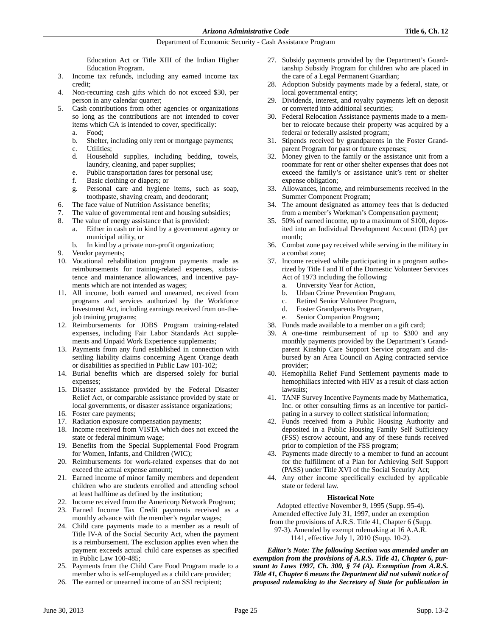Education Act or Title XIII of the Indian Higher Education Program.

- 3. Income tax refunds, including any earned income tax credit;
- 4. Non-recurring cash gifts which do not exceed \$30, per person in any calendar quarter;
- 5. Cash contributions from other agencies or organizations so long as the contributions are not intended to cover items which CA is intended to cover, specifically:
	- a. Food;
	- Shelter, including only rent or mortgage payments;
	- c. Utilities;
	- d. Household supplies, including bedding, towels, laundry, cleaning, and paper supplies;
	- e. Public transportation fares for personal use;
	- f. Basic clothing or diapers; or
	- g. Personal care and hygiene items, such as soap, toothpaste, shaving cream, and deodorant;
- 6. The face value of Nutrition Assistance benefits;
- 7. The value of governmental rent and housing subsidies;
- 8. The value of energy assistance that is provided:
	- a. Either in cash or in kind by a government agency or municipal utility, or
		- b. In kind by a private non-profit organization;
- 9. Vendor payments;
- 10. Vocational rehabilitation program payments made as reimbursements for training-related expenses, subsistence and maintenance allowances, and incentive payments which are not intended as wages;
- 11. All income, both earned and unearned, received from programs and services authorized by the Workforce Investment Act, including earnings received from on-thejob training programs;
- 12. Reimbursements for JOBS Program training-related expenses, including Fair Labor Standards Act supplements and Unpaid Work Experience supplements;
- 13. Payments from any fund established in connection with settling liability claims concerning Agent Orange death or disabilities as specified in Public Law 101-102;
- 14. Burial benefits which are dispersed solely for burial expenses;
- 15. Disaster assistance provided by the Federal Disaster Relief Act, or comparable assistance provided by state or local governments, or disaster assistance organizations;
- 16. Foster care payments;
- 17. Radiation exposure compensation payments;
- 18. Income received from VISTA which does not exceed the state or federal minimum wage;
- 19. Benefits from the Special Supplemental Food Program for Women, Infants, and Children (WIC);
- 20. Reimbursements for work-related expenses that do not exceed the actual expense amount;
- 21. Earned income of minor family members and dependent children who are students enrolled and attending school at least halftime as defined by the institution;
- 22. Income received from the Americorp Network Program;
- 23. Earned Income Tax Credit payments received as a monthly advance with the member's regular wages;
- 24. Child care payments made to a member as a result of Title IV-A of the Social Security Act, when the payment is a reimbursement. The exclusion applies even when the payment exceeds actual child care expenses as specified in Public Law 100-485;
- 25. Payments from the Child Care Food Program made to a member who is self-employed as a child care provider;
- 26. The earned or unearned income of an SSI recipient;
- 27. Subsidy payments provided by the Department's Guardianship Subsidy Program for children who are placed in the care of a Legal Permanent Guardian;
- 28. Adoption Subsidy payments made by a federal, state, or local governmental entity;
- 29. Dividends, interest, and royalty payments left on deposit or converted into additional securities;
- 30. Federal Relocation Assistance payments made to a member to relocate because their property was acquired by a federal or federally assisted program;
- 31. Stipends received by grandparents in the Foster Grandparent Program for past or future expenses;
- 32. Money given to the family or the assistance unit from a roommate for rent or other shelter expenses that does not exceed the family's or assistance unit's rent or shelter expense obligation;
- 33. Allowances, income, and reimbursements received in the Summer Component Program;
- 34. The amount designated as attorney fees that is deducted from a member's Workman's Compensation payment;
- 35. 50% of earned income, up to a maximum of \$100, deposited into an Individual Development Account (IDA) per month;
- 36. Combat zone pay received while serving in the military in a combat zone;
- 37. Income received while participating in a program authorized by Title I and II of the Domestic Volunteer Services Act of 1973 including the following:
	- a. University Year for Action,
	- b. Urban Crime Prevention Program,
	- c. Retired Senior Volunteer Program,
	- d. Foster Grandparents Program,
	- e. Senior Companion Program;
- 38. Funds made available to a member on a gift card;
- 39. A one-time reimbursement of up to \$300 and any monthly payments provided by the Department's Grandparent Kinship Care Support Service program and disbursed by an Area Council on Aging contracted service provider;
- 40. Hemophilia Relief Fund Settlement payments made to hemophiliacs infected with HIV as a result of class action lawsuits;
- 41. TANF Survey Incentive Payments made by Mathematica, Inc. or other consulting firms as an incentive for participating in a survey to collect statistical information;
- 42. Funds received from a Public Housing Authority and deposited in a Public Housing Family Self Sufficiency (FSS) escrow account, and any of these funds received prior to completion of the FSS program;
- 43. Payments made directly to a member to fund an account for the fulfillment of a Plan for Achieving Self Support (PASS) under Title XVI of the Social Security Act;
- 44. Any other income specifically excluded by applicable state or federal law.

# **Historical Note**

Adopted effective November 9, 1995 (Supp. 95-4). Amended effective July 31, 1997, under an exemption from the provisions of A.R.S. Title 41, Chapter 6 (Supp. 97-3). Amended by exempt rulemaking at 16 A.A.R.

1141, effective July 1, 2010 (Supp. 10-2).

*Editor's Note: The following Section was amended under an exemption from the provisions of A.R.S. Title 41, Chapter 6, pursuant to Laws 1997, Ch. 300, § 74 (A). Exemption from A.R.S. Title 41, Chapter 6 means the Department did not submit notice of proposed rulemaking to the Secretary of State for publication in*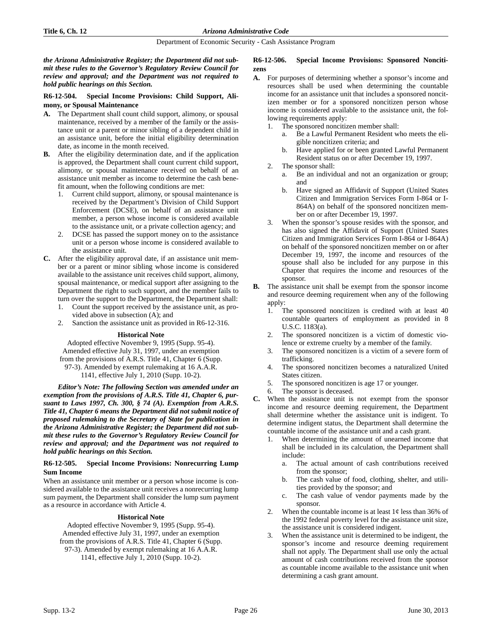*the Arizona Administrative Register; the Department did not submit these rules to the Governor's Regulatory Review Council for review and approval; and the Department was not required to hold public hearings on this Section.*

# **R6-12-504. Special Income Provisions: Child Support, Alimony, or Spousal Maintenance**

- **A.** The Department shall count child support, alimony, or spousal maintenance, received by a member of the family or the assistance unit or a parent or minor sibling of a dependent child in an assistance unit, before the initial eligibility determination date, as income in the month received.
- **B.** After the eligibility determination date, and if the application is approved, the Department shall count current child support, alimony, or spousal maintenance received on behalf of an assistance unit member as income to determine the cash benefit amount, when the following conditions are met:
	- 1. Current child support, alimony, or spousal maintenance is received by the Department's Division of Child Support Enforcement (DCSE), on behalf of an assistance unit member, a person whose income is considered available to the assistance unit, or a private collection agency; and
	- 2. DCSE has passed the support money on to the assistance unit or a person whose income is considered available to the assistance unit.
- **C.** After the eligibility approval date, if an assistance unit member or a parent or minor sibling whose income is considered available to the assistance unit receives child support, alimony, spousal maintenance, or medical support after assigning to the Department the right to such support, and the member fails to turn over the support to the Department, the Department shall:
	- 1. Count the support received by the assistance unit, as provided above in subsection (A); and
	- 2. Sanction the assistance unit as provided in R6-12-316.

# **Historical Note**

Adopted effective November 9, 1995 (Supp. 95-4). Amended effective July 31, 1997, under an exemption from the provisions of A.R.S. Title 41, Chapter 6 (Supp. 97-3). Amended by exempt rulemaking at 16 A.A.R. 1141, effective July 1, 2010 (Supp. 10-2).

*Editor's Note: The following Section was amended under an exemption from the provisions of A.R.S. Title 41, Chapter 6, pursuant to Laws 1997, Ch. 300, § 74 (A). Exemption from A.R.S. Title 41, Chapter 6 means the Department did not submit notice of proposed rulemaking to the Secretary of State for publication in the Arizona Administrative Register; the Department did not submit these rules to the Governor's Regulatory Review Council for review and approval; and the Department was not required to hold public hearings on this Section.*

# **R6-12-505. Special Income Provisions: Nonrecurring Lump Sum Income**

When an assistance unit member or a person whose income is considered available to the assistance unit receives a nonrecurring lump sum payment, the Department shall consider the lump sum payment as a resource in accordance with Article 4.

# **Historical Note**

Adopted effective November 9, 1995 (Supp. 95-4). Amended effective July 31, 1997, under an exemption from the provisions of A.R.S. Title 41, Chapter 6 (Supp. 97-3). Amended by exempt rulemaking at 16 A.A.R. 1141, effective July 1, 2010 (Supp. 10-2).

# **R6-12-506. Special Income Provisions: Sponsored Noncitizens**

- **A.** For purposes of determining whether a sponsor's income and resources shall be used when determining the countable income for an assistance unit that includes a sponsored noncitizen member or for a sponsored noncitizen person whose income is considered available to the assistance unit, the following requirements apply:
	- 1. The sponsored noncitizen member shall:
		- a. Be a Lawful Permanent Resident who meets the eligible noncitizen criteria; and
		- b. Have applied for or been granted Lawful Permanent Resident status on or after December 19, 1997.
	- 2. The sponsor shall:
		- a. Be an individual and not an organization or group; and
		- b. Have signed an Affidavit of Support (United States Citizen and Immigration Services Form I-864 or I-864A) on behalf of the sponsored noncitizen member on or after December 19, 1997.
	- 3. When the sponsor's spouse resides with the sponsor, and has also signed the Affidavit of Support (United States Citizen and Immigration Services Form I-864 or I-864A) on behalf of the sponsored noncitizen member on or after December 19, 1997, the income and resources of the spouse shall also be included for any purpose in this Chapter that requires the income and resources of the sponsor.
- **B.** The assistance unit shall be exempt from the sponsor income and resource deeming requirement when any of the following apply:
	- 1. The sponsored noncitizen is credited with at least 40 countable quarters of employment as provided in 8 U.S.C. 1183(a).
	- 2. The sponsored noncitizen is a victim of domestic violence or extreme cruelty by a member of the family.
	- 3. The sponsored noncitizen is a victim of a severe form of trafficking.
	- 4. The sponsored noncitizen becomes a naturalized United States citizen.
	- 5. The sponsored noncitizen is age 17 or younger.
	- 6. The sponsor is deceased.
- **C.** When the assistance unit is not exempt from the sponsor income and resource deeming requirement, the Department shall determine whether the assistance unit is indigent. To determine indigent status, the Department shall determine the countable income of the assistance unit and a cash grant.
	- When determining the amount of unearned income that shall be included in its calculation, the Department shall include:
		- a. The actual amount of cash contributions received from the sponsor;
		- b. The cash value of food, clothing, shelter, and utilities provided by the sponsor; and
		- c. The cash value of vendor payments made by the sponsor.
	- 2. When the countable income is at least  $1¢$  less than 36% of the 1992 federal poverty level for the assistance unit size, the assistance unit is considered indigent.
	- 3. When the assistance unit is determined to be indigent, the sponsor's income and resource deeming requirement shall not apply. The Department shall use only the actual amount of cash contributions received from the sponsor as countable income available to the assistance unit when determining a cash grant amount.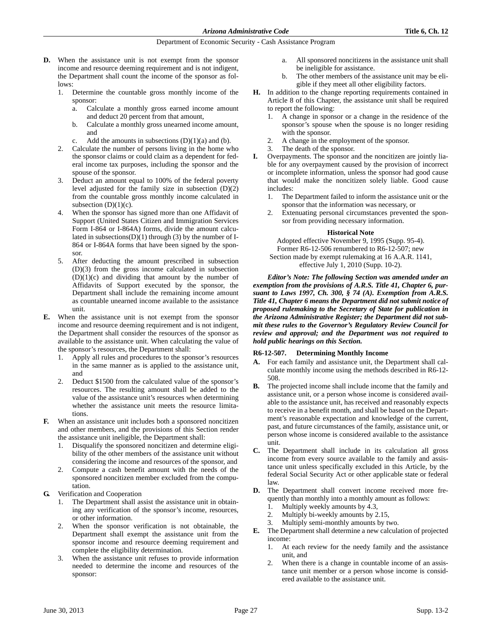- **D.** When the assistance unit is not exempt from the sponsor income and resource deeming requirement and is not indigent, the Department shall count the income of the sponsor as follows:
	- 1. Determine the countable gross monthly income of the sponsor:
		- a. Calculate a monthly gross earned income amount and deduct 20 percent from that amount,
		- b. Calculate a monthly gross unearned income amount, and
		- c. Add the amounts in subsections  $(D)(1)(a)$  and  $(b)$ .
	- 2. Calculate the number of persons living in the home who the sponsor claims or could claim as a dependent for federal income tax purposes, including the sponsor and the spouse of the sponsor.
	- 3. Deduct an amount equal to 100% of the federal poverty level adjusted for the family size in subsection (D)(2) from the countable gross monthly income calculated in subsection  $(D)(1)(c)$ .
	- 4. When the sponsor has signed more than one Affidavit of Support (United States Citizen and Immigration Services Form I-864 or I-864A) forms, divide the amount calculated in subsections(D)(1) through (3) by the number of I-864 or I-864A forms that have been signed by the sponsor.
	- 5. After deducting the amount prescribed in subsection (D)(3) from the gross income calculated in subsection  $(D)(1)(c)$  and dividing that amount by the number of Affidavits of Support executed by the sponsor, the Department shall include the remaining income amount as countable unearned income available to the assistance unit.
- **E.** When the assistance unit is not exempt from the sponsor income and resource deeming requirement and is not indigent, the Department shall consider the resources of the sponsor as available to the assistance unit. When calculating the value of the sponsor's resources, the Department shall:
	- 1. Apply all rules and procedures to the sponsor's resources in the same manner as is applied to the assistance unit, and
	- 2. Deduct \$1500 from the calculated value of the sponsor's resources. The resulting amount shall be added to the value of the assistance unit's resources when determining whether the assistance unit meets the resource limitations.
- **F.** When an assistance unit includes both a sponsored noncitizen and other members, and the provisions of this Section render the assistance unit ineligible, the Department shall:
	- 1. Disqualify the sponsored noncitizen and determine eligibility of the other members of the assistance unit without considering the income and resources of the sponsor, and
	- 2. Compute a cash benefit amount with the needs of the sponsored noncitizen member excluded from the computation.
- **G.** Verification and Cooperation
	- 1. The Department shall assist the assistance unit in obtaining any verification of the sponsor's income, resources, or other information.
	- 2. When the sponsor verification is not obtainable, the Department shall exempt the assistance unit from the sponsor income and resource deeming requirement and complete the eligibility determination.
	- 3. When the assistance unit refuses to provide information needed to determine the income and resources of the sponsor:
- a. All sponsored noncitizens in the assistance unit shall be ineligible for assistance.
- b. The other members of the assistance unit may be eligible if they meet all other eligibility factors.
- **H.** In addition to the change reporting requirements contained in Article 8 of this Chapter, the assistance unit shall be required to report the following:
	- 1. A change in sponsor or a change in the residence of the sponsor's spouse when the spouse is no longer residing with the sponsor.
	- 2. A change in the employment of the sponsor.
	- 3. The death of the sponsor.
- **I.** Overpayments. The sponsor and the noncitizen are jointly liable for any overpayment caused by the provision of incorrect or incomplete information, unless the sponsor had good cause that would make the noncitizen solely liable. Good cause includes:
	- 1. The Department failed to inform the assistance unit or the sponsor that the information was necessary, or
	- 2. Extenuating personal circumstances prevented the sponsor from providing necessary information.

# **Historical Note**

Adopted effective November 9, 1995 (Supp. 95-4). Former R6-12-506 renumbered to R6-12-507; new Section made by exempt rulemaking at 16 A.A.R. 1141, effective July 1, 2010 (Supp. 10-2).

*Editor's Note: The following Section was amended under an exemption from the provisions of A.R.S. Title 41, Chapter 6, pursuant to Laws 1997, Ch. 300, § 74 (A). Exemption from A.R.S. Title 41, Chapter 6 means the Department did not submit notice of proposed rulemaking to the Secretary of State for publication in the Arizona Administrative Register; the Department did not submit these rules to the Governor's Regulatory Review Council for review and approval; and the Department was not required to hold public hearings on this Section.*

# **R6-12-507. Determining Monthly Income**

- **A.** For each family and assistance unit, the Department shall calculate monthly income using the methods described in R6-12- 508.
- **B.** The projected income shall include income that the family and assistance unit, or a person whose income is considered available to the assistance unit, has received and reasonably expects to receive in a benefit month, and shall be based on the Department's reasonable expectation and knowledge of the current, past, and future circumstances of the family, assistance unit, or person whose income is considered available to the assistance unit.
- **C.** The Department shall include in its calculation all gross income from every source available to the family and assistance unit unless specifically excluded in this Article, by the federal Social Security Act or other applicable state or federal law.
- **D.** The Department shall convert income received more frequently than monthly into a monthly amount as follows:
	- 1. Multiply weekly amounts by 4.3,
	- 2. Multiply bi-weekly amounts by 2.15,
	- 3. Multiply semi-monthly amounts by two.
- **E.** The Department shall determine a new calculation of projected income:
	- 1. At each review for the needy family and the assistance unit, and
	- 2. When there is a change in countable income of an assistance unit member or a person whose income is considered available to the assistance unit.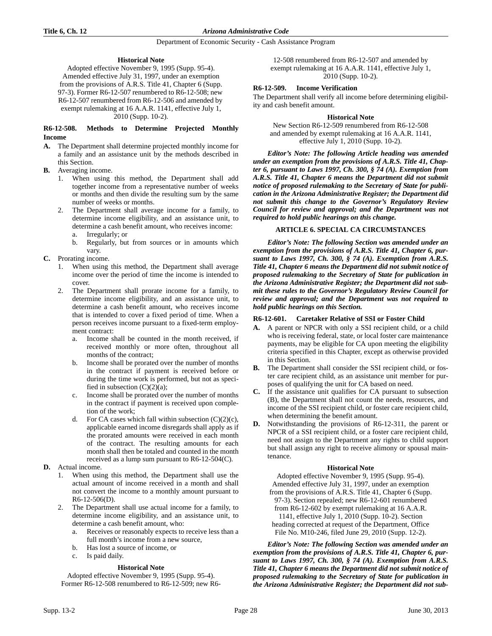# **Historical Note**

Adopted effective November 9, 1995 (Supp. 95-4). Amended effective July 31, 1997, under an exemption from the provisions of A.R.S. Title 41, Chapter 6 (Supp. 97-3). Former R6-12-507 renumbered to R6-12-508; new R6-12-507 renumbered from R6-12-506 and amended by exempt rulemaking at 16 A.A.R. 1141, effective July 1, 2010 (Supp. 10-2).

# **R6-12-508. Methods to Determine Projected Monthly Income**

- **A.** The Department shall determine projected monthly income for a family and an assistance unit by the methods described in this Section.
- **B.** Averaging income.
	- 1. When using this method, the Department shall add together income from a representative number of weeks or months and then divide the resulting sum by the same number of weeks or months.
	- 2. The Department shall average income for a family, to determine income eligibility, and an assistance unit, to determine a cash benefit amount, who receives income: a. Irregularly; or
		- b. Regularly, but from sources or in amounts which vary.
- **C.** Prorating income.
	- When using this method, the Department shall average income over the period of time the income is intended to cover.
	- 2. The Department shall prorate income for a family, to determine income eligibility, and an assistance unit, to determine a cash benefit amount, who receives income that is intended to cover a fixed period of time. When a person receives income pursuant to a fixed-term employment contract:
		- a. Income shall be counted in the month received, if received monthly or more often, throughout all months of the contract;
		- b. Income shall be prorated over the number of months in the contract if payment is received before or during the time work is performed, but not as specified in subsection  $(C)(2)(a)$ ;
		- c. Income shall be prorated over the number of months in the contract if payment is received upon completion of the work;
		- For CA cases which fall within subsection  $(C)(2)(c)$ , applicable earned income disregards shall apply as if the prorated amounts were received in each month of the contract. The resulting amounts for each month shall then be totaled and counted in the month received as a lump sum pursuant to R6-12-504(C).
- **D.** Actual income.
	- 1. When using this method, the Department shall use the actual amount of income received in a month and shall not convert the income to a monthly amount pursuant to R6-12-506(D).
	- 2. The Department shall use actual income for a family, to determine income eligibility, and an assistance unit, to determine a cash benefit amount, who:
		- a. Receives or reasonably expects to receive less than a full month's income from a new source,
		- b. Has lost a source of income, or
		- c. Is paid daily.

# **Historical Note**

Adopted effective November 9, 1995 (Supp. 95-4). Former R6-12-508 renumbered to R6-12-509; new R6-

12-508 renumbered from R6-12-507 and amended by exempt rulemaking at 16 A.A.R. 1141, effective July 1, 2010 (Supp. 10-2).

# **R6-12-509. Income Verification**

The Department shall verify all income before determining eligibility and cash benefit amount.

### **Historical Note**

New Section R6-12-509 renumbered from R6-12-508 and amended by exempt rulemaking at 16 A.A.R. 1141, effective July 1, 2010 (Supp. 10-2).

*Editor's Note: The following Article heading was amended under an exemption from the provisions of A.R.S. Title 41, Chapter 6, pursuant to Laws 1997, Ch. 300, § 74 (A). Exemption from A.R.S. Title 41, Chapter 6 means the Department did not submit notice of proposed rulemaking to the Secretary of State for publication in the Arizona Administrative Register; the Department did not submit this change to the Governor's Regulatory Review Council for review and approval; and the Department was not required to hold public hearings on this change.*

# **ARTICLE 6. SPECIAL CA CIRCUMSTANCES**

*Editor's Note: The following Section was amended under an exemption from the provisions of A.R.S. Title 41, Chapter 6, pursuant to Laws 1997, Ch. 300, § 74 (A). Exemption from A.R.S. Title 41, Chapter 6 means the Department did not submit notice of proposed rulemaking to the Secretary of State for publication in the Arizona Administrative Register; the Department did not submit these rules to the Governor's Regulatory Review Council for review and approval; and the Department was not required to hold public hearings on this Section.*

### **R6-12-601. Caretaker Relative of SSI or Foster Child**

- **A.** A parent or NPCR with only a SSI recipient child, or a child who is receiving federal, state, or local foster care maintenance payments, may be eligible for CA upon meeting the eligibility criteria specified in this Chapter, except as otherwise provided in this Section.
- **B.** The Department shall consider the SSI recipient child, or foster care recipient child, as an assistance unit member for purposes of qualifying the unit for CA based on need.
- **C.** If the assistance unit qualifies for CA pursuant to subsection (B), the Department shall not count the needs, resources, and income of the SSI recipient child, or foster care recipient child, when determining the benefit amount.
- **D.** Notwithstanding the provisions of R6-12-311, the parent or NPCR of a SSI recipient child, or a foster care recipient child, need not assign to the Department any rights to child support but shall assign any right to receive alimony or spousal maintenance.

# **Historical Note**

Adopted effective November 9, 1995 (Supp. 95-4). Amended effective July 31, 1997, under an exemption from the provisions of A.R.S. Title 41, Chapter 6 (Supp. 97-3). Section repealed; new R6-12-601 renumbered from R6-12-602 by exempt rulemaking at 16 A.A.R. 1141, effective July 1, 2010 (Supp. 10-2). Section heading corrected at request of the Department, Office File No. M10-246, filed June 29, 2010 (Supp. 12-2).

*Editor's Note: The following Section was amended under an exemption from the provisions of A.R.S. Title 41, Chapter 6, pursuant to Laws 1997, Ch. 300, § 74 (A). Exemption from A.R.S. Title 41, Chapter 6 means the Department did not submit notice of proposed rulemaking to the Secretary of State for publication in the Arizona Administrative Register; the Department did not sub-*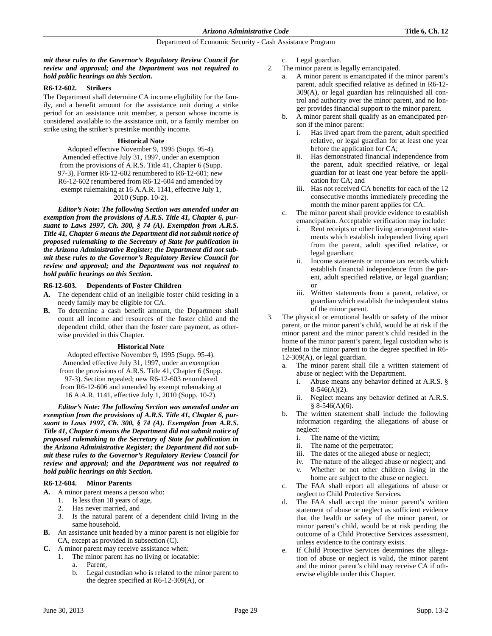# *mit these rules to the Governor's Regulatory Review Council for review and approval; and the Department was not required to hold public hearings on this Section.*

### **R6-12-602. Strikers**

The Department shall determine CA income eligibility for the family, and a benefit amount for the assistance unit during a strike period for an assistance unit member, a person whose income is considered available to the assistance unit, or a family member on strike using the striker's prestrike monthly income.

### **Historical Note**

Adopted effective November 9, 1995 (Supp. 95-4). Amended effective July 31, 1997, under an exemption from the provisions of A.R.S. Title 41, Chapter 6 (Supp. 97-3). Former R6-12-602 renumbered to R6-12-601; new R6-12-602 renumbered from R6-12-604 and amended by exempt rulemaking at 16 A.A.R. 1141, effective July 1, 2010 (Supp. 10-2).

*Editor's Note: The following Section was amended under an exemption from the provisions of A.R.S. Title 41, Chapter 6, pursuant to Laws 1997, Ch. 300, § 74 (A). Exemption from A.R.S. Title 41, Chapter 6 means the Department did not submit notice of proposed rulemaking to the Secretary of State for publication in the Arizona Administrative Register; the Department did not submit these rules to the Governor's Regulatory Review Council for review and approval; and the Department was not required to hold public hearings on this Section.*

#### **R6-12-603. Dependents of Foster Children**

- **A.** The dependent child of an ineligible foster child residing in a needy family may be eligible for CA.
- **B.** To determine a cash benefit amount, the Department shall count all income and resources of the foster child and the dependent child, other than the foster care payment, as otherwise provided in this Chapter.

#### **Historical Note**

Adopted effective November 9, 1995 (Supp. 95-4). Amended effective July 31, 1997, under an exemption from the provisions of A.R.S. Title 41, Chapter 6 (Supp. 97-3). Section repealed; new R6-12-603 renumbered from R6-12-606 and amended by exempt rulemaking at 16 A.A.R. 1141, effective July 1, 2010 (Supp. 10-2).

*Editor's Note: The following Section was amended under an exemption from the provisions of A.R.S. Title 41, Chapter 6, pursuant to Laws 1997, Ch. 300, § 74 (A). Exemption from A.R.S. Title 41, Chapter 6 means the Department did not submit notice of proposed rulemaking to the Secretary of State for publication in the Arizona Administrative Register; the Department did not submit these rules to the Governor's Regulatory Review Council for review and approval; and the Department was not required to hold public hearings on this Section.*

# **R6-12-604. Minor Parents**

- **A.** A minor parent means a person who:
	- 1. Is less than 18 years of age,
	- 2. Has never married, and
	- 3. Is the natural parent of a dependent child living in the same household.
- **B.** An assistance unit headed by a minor parent is not eligible for CA, except as provided in subsection (C).
- **C.** A minor parent may receive assistance when:
	- 1. The minor parent has no living or locatable:
		- a. Parent,
		- b. Legal custodian who is related to the minor parent to the degree specified at R6-12-309(A), or
- c. Legal guardian.
- 2. The minor parent is legally emancipated.
	- a. A minor parent is emancipated if the minor parent's parent, adult specified relative as defined in R6-12- 309(A), or legal guardian has relinquished all control and authority over the minor parent, and no longer provides financial support to the minor parent.
	- b. A minor parent shall qualify as an emancipated person if the minor parent:
		- i. Has lived apart from the parent, adult specified relative, or legal guardian for at least one year before the application for CA;
		- Has demonstrated financial independence from the parent, adult specified relative, or legal guardian for at least one year before the application for CA; and
		- iii. Has not received CA benefits for each of the 12 consecutive months immediately preceding the month the minor parent applies for CA.
	- c. The minor parent shall provide evidence to establish emancipation. Acceptable verification may include:
		- i. Rent receipts or other living arrangement statements which establish independent living apart from the parent, adult specified relative, or legal guardian;
		- ii. Income statements or income tax records which establish financial independence from the parent, adult specified relative, or legal guardian; or
		- iii. Written statements from a parent, relative, or guardian which establish the independent status of the minor parent.
- 3. The physical or emotional health or safety of the minor parent, or the minor parent's child, would be at risk if the minor parent and the minor parent's child resided in the home of the minor parent's parent, legal custodian who is related to the minor parent to the degree specified in R6- 12-309(A), or legal guardian.
	- a. The minor parent shall file a written statement of abuse or neglect with the Department.
		- i. Abuse means any behavior defined at A.R.S. §  $8-546(A)(2)$ .
		- ii. Neglect means any behavior defined at A.R.S. § 8-546(A)(6).
	- b. The written statement shall include the following information regarding the allegations of abuse or neglect:
		- i. The name of the victim;
		- ii. The name of the perpetrator;
		- iii. The dates of the alleged abuse or neglect;
		- iv. The nature of the alleged abuse or neglect; and v. Whether or not other children living in the
		- home are subject to the abuse or neglect.
	- c. The FAA shall report all allegations of abuse or neglect to Child Protective Services.
	- d. The FAA shall accept the minor parent's written statement of abuse or neglect as sufficient evidence that the health or safety of the minor parent, or minor parent's child, would be at risk pending the outcome of a Child Protective Services assessment, unless evidence to the contrary exists.
	- e. If Child Protective Services determines the allegation of abuse or neglect is valid, the minor parent and the minor parent's child may receive CA if otherwise eligible under this Chapter.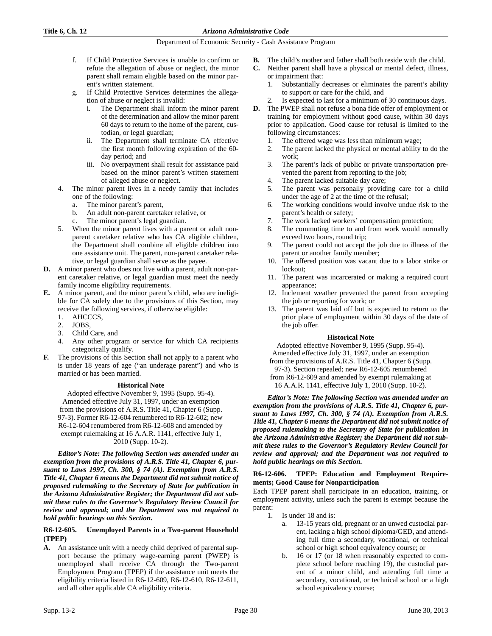- f. If Child Protective Services is unable to confirm or refute the allegation of abuse or neglect, the minor parent shall remain eligible based on the minor parent's written statement.
- g. If Child Protective Services determines the allegation of abuse or neglect is invalid:
	- i. The Department shall inform the minor parent of the determination and allow the minor parent 60 days to return to the home of the parent, custodian, or legal guardian;
	- ii. The Department shall terminate CA effective the first month following expiration of the 60 day period; and
	- iii. No overpayment shall result for assistance paid based on the minor parent's written statement of alleged abuse or neglect.
- 4. The minor parent lives in a needy family that includes one of the following:
	- a. The minor parent's parent,
	- b. An adult non-parent caretaker relative, or
	- c. The minor parent's legal guardian.
- 5. When the minor parent lives with a parent or adult nonparent caretaker relative who has CA eligible children, the Department shall combine all eligible children into one assistance unit. The parent, non-parent caretaker relative, or legal guardian shall serve as the payee.
- **D.** A minor parent who does not live with a parent, adult non-parent caretaker relative, or legal guardian must meet the needy family income eligibility requirements.
- **E.** A minor parent, and the minor parent's child, who are ineligible for CA solely due to the provisions of this Section, may receive the following services, if otherwise eligible:
	- 1. AHCCCS,
	- 2. JOBS,
	- 3. Child Care, and
	- 4. Any other program or service for which CA recipients categorically qualify.
- **F.** The provisions of this Section shall not apply to a parent who is under 18 years of age ("an underage parent") and who is married or has been married.

# **Historical Note**

Adopted effective November 9, 1995 (Supp. 95-4). Amended effective July 31, 1997, under an exemption from the provisions of A.R.S. Title 41, Chapter 6 (Supp. 97-3). Former R6-12-604 renumbered to R6-12-602; new R6-12-604 renumbered from R6-12-608 and amended by exempt rulemaking at 16 A.A.R. 1141, effective July 1, 2010 (Supp. 10-2).

*Editor's Note: The following Section was amended under an exemption from the provisions of A.R.S. Title 41, Chapter 6, pursuant to Laws 1997, Ch. 300, § 74 (A). Exemption from A.R.S. Title 41, Chapter 6 means the Department did not submit notice of proposed rulemaking to the Secretary of State for publication in the Arizona Administrative Register; the Department did not submit these rules to the Governor's Regulatory Review Council for review and approval; and the Department was not required to hold public hearings on this Section.*

# **R6-12-605. Unemployed Parents in a Two-parent Household (TPEP)**

**A.** An assistance unit with a needy child deprived of parental support because the primary wage-earning parent (PWEP) is unemployed shall receive CA through the Two-parent Employment Program (TPEP) if the assistance unit meets the eligibility criteria listed in R6-12-609, R6-12-610, R6-12-611, and all other applicable CA eligibility criteria.

- **B.** The child's mother and father shall both reside with the child.
- **C.** Neither parent shall have a physical or mental defect, illness, or impairment that:
	- 1. Substantially decreases or eliminates the parent's ability to support or care for the child, and
	- Is expected to last for a minimum of 30 continuous days.
- **D.** The PWEP shall not refuse a bona fide offer of employment or training for employment without good cause, within 30 days prior to application. Good cause for refusal is limited to the following circumstances:
	- 1. The offered wage was less than minimum wage;
	- 2. The parent lacked the physical or mental ability to do the work;
	- 3. The parent's lack of public or private transportation prevented the parent from reporting to the job;
	- 4. The parent lacked suitable day care;
	- 5. The parent was personally providing care for a child under the age of 2 at the time of the refusal;
	- 6. The working conditions would involve undue risk to the parent's health or safety;
	- 7. The work lacked workers' compensation protection;
	- 8. The commuting time to and from work would normally exceed two hours, round trip;
	- 9. The parent could not accept the job due to illness of the parent or another family member;
	- 10. The offered position was vacant due to a labor strike or lockout;
	- 11. The parent was incarcerated or making a required court appearance;
	- 12. Inclement weather prevented the parent from accepting the job or reporting for work; or
	- 13. The parent was laid off but is expected to return to the prior place of employment within 30 days of the date of the job offer.

# **Historical Note**

Adopted effective November 9, 1995 (Supp. 95-4).

Amended effective July 31, 1997, under an exemption from the provisions of A.R.S. Title 41, Chapter 6 (Supp.

- 97-3). Section repealed; new R6-12-605 renumbered
- from R6-12-609 and amended by exempt rulemaking at 16 A.A.R. 1141, effective July 1, 2010 (Supp. 10-2).

*Editor's Note: The following Section was amended under an exemption from the provisions of A.R.S. Title 41, Chapter 6, pursuant to Laws 1997, Ch. 300, § 74 (A). Exemption from A.R.S. Title 41, Chapter 6 means the Department did not submit notice of proposed rulemaking to the Secretary of State for publication in the Arizona Administrative Register; the Department did not submit these rules to the Governor's Regulatory Review Council for review and approval; and the Department was not required to hold public hearings on this Section.*

# **R6-12-606. TPEP: Education and Employment Requirements; Good Cause for Nonparticipation**

Each TPEP parent shall participate in an education, training, or employment activity, unless such the parent is exempt because the parent:

- 1. Is under 18 and is:
	- a. 13-15 years old, pregnant or an unwed custodial parent, lacking a high school diploma/GED, and attending full time a secondary, vocational, or technical school or high school equivalency course; or
	- b. 16 or 17 (or 18 when reasonably expected to complete school before reaching 19), the custodial parent of a minor child, and attending full time a secondary, vocational, or technical school or a high school equivalency course;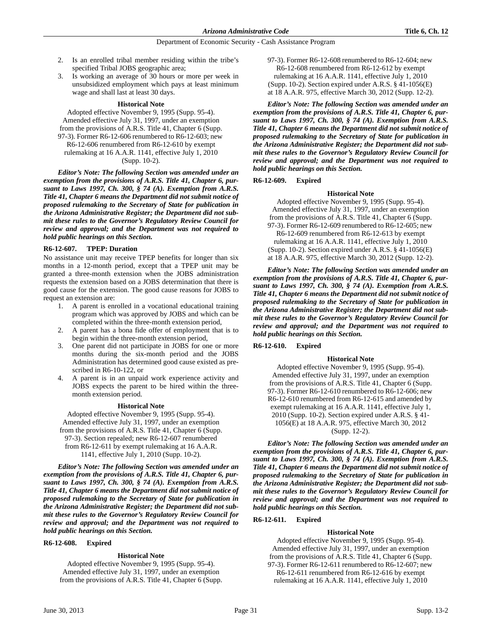- 2. Is an enrolled tribal member residing within the tribe's specified Tribal JOBS geographic area;
- 3. Is working an average of 30 hours or more per week in unsubsidized employment which pays at least minimum wage and shall last at least 30 days.

### **Historical Note**

Adopted effective November 9, 1995 (Supp. 95-4). Amended effective July 31, 1997, under an exemption from the provisions of A.R.S. Title 41, Chapter 6 (Supp. 97-3). Former R6-12-606 renumbered to R6-12-603; new R6-12-606 renumbered from R6-12-610 by exempt rulemaking at 16 A.A.R. 1141, effective July 1, 2010 (Supp. 10-2).

*Editor's Note: The following Section was amended under an exemption from the provisions of A.R.S. Title 41, Chapter 6, pursuant to Laws 1997, Ch. 300, § 74 (A). Exemption from A.R.S. Title 41, Chapter 6 means the Department did not submit notice of proposed rulemaking to the Secretary of State for publication in the Arizona Administrative Register; the Department did not submit these rules to the Governor's Regulatory Review Council for review and approval; and the Department was not required to hold public hearings on this Section.*

# **R6-12-607. TPEP: Duration**

No assistance unit may receive TPEP benefits for longer than six months in a 12-month period, except that a TPEP unit may be granted a three-month extension when the JOBS administration requests the extension based on a JOBS determination that there is good cause for the extension. The good cause reasons for JOBS to request an extension are:

- 1. A parent is enrolled in a vocational educational training program which was approved by JOBS and which can be completed within the three-month extension period,
- 2. A parent has a bona fide offer of employment that is to begin within the three-month extension period,
- 3. One parent did not participate in JOBS for one or more months during the six-month period and the JOBS Administration has determined good cause existed as prescribed in R6-10-122, or
- 4. A parent is in an unpaid work experience activity and JOBS expects the parent to be hired within the threemonth extension period.

#### **Historical Note**

Adopted effective November 9, 1995 (Supp. 95-4). Amended effective July 31, 1997, under an exemption from the provisions of A.R.S. Title 41, Chapter 6 (Supp. 97-3). Section repealed; new R6-12-607 renumbered from R6-12-611 by exempt rulemaking at 16 A.A.R. 1141, effective July 1, 2010 (Supp. 10-2).

*Editor's Note: The following Section was amended under an exemption from the provisions of A.R.S. Title 41, Chapter 6, pursuant to Laws 1997, Ch. 300, § 74 (A). Exemption from A.R.S. Title 41, Chapter 6 means the Department did not submit notice of proposed rulemaking to the Secretary of State for publication in the Arizona Administrative Register; the Department did not submit these rules to the Governor's Regulatory Review Council for review and approval; and the Department was not required to hold public hearings on this Section.*

# **R6-12-608. Expired**

# **Historical Note**

Adopted effective November 9, 1995 (Supp. 95-4). Amended effective July 31, 1997, under an exemption from the provisions of A.R.S. Title 41, Chapter 6 (Supp. 97-3). Former R6-12-608 renumbered to R6-12-604; new R6-12-608 renumbered from R6-12-612 by exempt rulemaking at 16 A.A.R. 1141, effective July 1, 2010 (Supp. 10-2). Section expired under A.R.S. § 41-1056(E) at 18 A.A.R. 975, effective March 30, 2012 (Supp. 12-2).

*Editor's Note: The following Section was amended under an exemption from the provisions of A.R.S. Title 41, Chapter 6, pursuant to Laws 1997, Ch. 300, § 74 (A). Exemption from A.R.S. Title 41, Chapter 6 means the Department did not submit notice of proposed rulemaking to the Secretary of State for publication in the Arizona Administrative Register; the Department did not submit these rules to the Governor's Regulatory Review Council for review and approval; and the Department was not required to hold public hearings on this Section.*

# **R6-12-609. Expired**

# **Historical Note**

Adopted effective November 9, 1995 (Supp. 95-4). Amended effective July 31, 1997, under an exemption from the provisions of A.R.S. Title 41, Chapter 6 (Supp. 97-3). Former R6-12-609 renumbered to R6-12-605; new R6-12-609 renumbered from R6-12-613 by exempt rulemaking at 16 A.A.R. 1141, effective July 1, 2010 (Supp. 10-2). Section expired under A.R.S. § 41-1056(E) at 18 A.A.R. 975, effective March 30, 2012 (Supp. 12-2).

*Editor's Note: The following Section was amended under an exemption from the provisions of A.R.S. Title 41, Chapter 6, pursuant to Laws 1997, Ch. 300, § 74 (A). Exemption from A.R.S. Title 41, Chapter 6 means the Department did not submit notice of proposed rulemaking to the Secretary of State for publication in the Arizona Administrative Register; the Department did not submit these rules to the Governor's Regulatory Review Council for review and approval; and the Department was not required to hold public hearings on this Section.*

# **R6-12-610. Expired**

#### **Historical Note**

Adopted effective November 9, 1995 (Supp. 95-4). Amended effective July 31, 1997, under an exemption from the provisions of A.R.S. Title 41, Chapter 6 (Supp. 97-3). Former R6-12-610 renumbered to R6-12-606; new R6-12-610 renumbered from R6-12-615 and amended by exempt rulemaking at 16 A.A.R. 1141, effective July 1, 2010 (Supp. 10-2). Section expired under A.R.S. § 41- 1056(E) at 18 A.A.R. 975, effective March 30, 2012

(Supp. 12-2).

*Editor's Note: The following Section was amended under an exemption from the provisions of A.R.S. Title 41, Chapter 6, pursuant to Laws 1997, Ch. 300, § 74 (A). Exemption from A.R.S. Title 41, Chapter 6 means the Department did not submit notice of proposed rulemaking to the Secretary of State for publication in the Arizona Administrative Register; the Department did not submit these rules to the Governor's Regulatory Review Council for review and approval; and the Department was not required to hold public hearings on this Section.*

# **R6-12-611. Expired**

#### **Historical Note**

Adopted effective November 9, 1995 (Supp. 95-4). Amended effective July 31, 1997, under an exemption from the provisions of A.R.S. Title 41, Chapter 6 (Supp. 97-3). Former R6-12-611 renumbered to R6-12-607; new R6-12-611 renumbered from R6-12-616 by exempt rulemaking at 16 A.A.R. 1141, effective July 1, 2010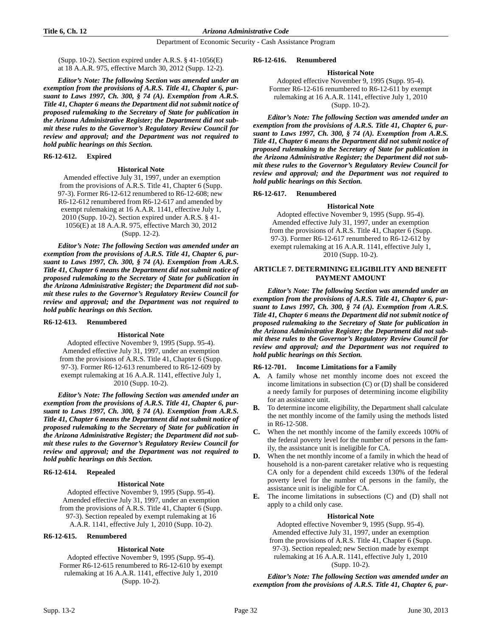(Supp. 10-2). Section expired under A.R.S. § 41-1056(E) at 18 A.A.R. 975, effective March 30, 2012 (Supp. 12-2).

*Editor's Note: The following Section was amended under an exemption from the provisions of A.R.S. Title 41, Chapter 6, pursuant to Laws 1997, Ch. 300, § 74 (A). Exemption from A.R.S. Title 41, Chapter 6 means the Department did not submit notice of proposed rulemaking to the Secretary of State for publication in the Arizona Administrative Register; the Department did not submit these rules to the Governor's Regulatory Review Council for review and approval; and the Department was not required to hold public hearings on this Section.*

# **R6-12-612. Expired**

#### **Historical Note**

 Amended effective July 31, 1997, under an exemption from the provisions of A.R.S. Title 41, Chapter 6 (Supp. 97-3). Former R6-12-612 renumbered to R6-12-608; new R6-12-612 renumbered from R6-12-617 and amended by exempt rulemaking at 16 A.A.R. 1141, effective July 1, 2010 (Supp. 10-2). Section expired under A.R.S. § 41- 1056(E) at 18 A.A.R. 975, effective March 30, 2012 (Supp. 12-2).

*Editor's Note: The following Section was amended under an exemption from the provisions of A.R.S. Title 41, Chapter 6, pursuant to Laws 1997, Ch. 300, § 74 (A). Exemption from A.R.S. Title 41, Chapter 6 means the Department did not submit notice of proposed rulemaking to the Secretary of State for publication in the Arizona Administrative Register; the Department did not submit these rules to the Governor's Regulatory Review Council for review and approval; and the Department was not required to hold public hearings on this Section.*

# **R6-12-613. Renumbered**

#### **Historical Note**

Adopted effective November 9, 1995 (Supp. 95-4). Amended effective July 31, 1997, under an exemption from the provisions of A.R.S. Title 41, Chapter 6 (Supp. 97-3). Former R6-12-613 renumbered to R6-12-609 by exempt rulemaking at 16 A.A.R. 1141, effective July 1, 2010 (Supp. 10-2).

*Editor's Note: The following Section was amended under an exemption from the provisions of A.R.S. Title 41, Chapter 6, pursuant to Laws 1997, Ch. 300, § 74 (A). Exemption from A.R.S. Title 41, Chapter 6 means the Department did not submit notice of proposed rulemaking to the Secretary of State for publication in the Arizona Administrative Register; the Department did not submit these rules to the Governor's Regulatory Review Council for review and approval; and the Department was not required to hold public hearings on this Section.*

# **R6-12-614. Repealed**

# **Historical Note**

Adopted effective November 9, 1995 (Supp. 95-4). Amended effective July 31, 1997, under an exemption from the provisions of A.R.S. Title 41, Chapter 6 (Supp. 97-3). Section repealed by exempt rulemaking at 16 A.A.R. 1141, effective July 1, 2010 (Supp. 10-2).

# **R6-12-615. Renumbered**

# **Historical Note**

Adopted effective November 9, 1995 (Supp. 95-4). Former R6-12-615 renumbered to R6-12-610 by exempt rulemaking at 16 A.A.R. 1141, effective July 1, 2010 (Supp. 10-2).

#### **R6-12-616. Renumbered**

#### **Historical Note**

Adopted effective November 9, 1995 (Supp. 95-4). Former R6-12-616 renumbered to R6-12-611 by exempt rulemaking at 16 A.A.R. 1141, effective July 1, 2010 (Supp. 10-2).

*Editor's Note: The following Section was amended under an exemption from the provisions of A.R.S. Title 41, Chapter 6, pursuant to Laws 1997, Ch. 300, § 74 (A). Exemption from A.R.S. Title 41, Chapter 6 means the Department did not submit notice of proposed rulemaking to the Secretary of State for publication in the Arizona Administrative Register; the Department did not submit these rules to the Governor's Regulatory Review Council for review and approval; and the Department was not required to hold public hearings on this Section.*

# **R6-12-617. Renumbered**

### **Historical Note**

Adopted effective November 9, 1995 (Supp. 95-4). Amended effective July 31, 1997, under an exemption from the provisions of A.R.S. Title 41, Chapter 6 (Supp. 97-3). Former R6-12-617 renumbered to R6-12-612 by exempt rulemaking at 16 A.A.R. 1141, effective July 1, 2010 (Supp. 10-2).

# **ARTICLE 7. DETERMINING ELIGIBILITY AND BENEFIT PAYMENT AMOUNT**

*Editor's Note: The following Section was amended under an exemption from the provisions of A.R.S. Title 41, Chapter 6, pursuant to Laws 1997, Ch. 300, § 74 (A). Exemption from A.R.S. Title 41, Chapter 6 means the Department did not submit notice of proposed rulemaking to the Secretary of State for publication in the Arizona Administrative Register; the Department did not submit these rules to the Governor's Regulatory Review Council for review and approval; and the Department was not required to hold public hearings on this Section.*

# **R6-12-701. Income Limitations for a Family**

- **A.** A family whose net monthly income does not exceed the income limitations in subsection (C) or (D) shall be considered a needy family for purposes of determining income eligibility for an assistance unit.
- **B.** To determine income eligibility, the Department shall calculate the net monthly income of the family using the methods listed in R6-12-508.
- **C.** When the net monthly income of the family exceeds 100% of the federal poverty level for the number of persons in the family, the assistance unit is ineligible for CA.
- **D.** When the net monthly income of a family in which the head of household is a non-parent caretaker relative who is requesting CA only for a dependent child exceeds 130% of the federal poverty level for the number of persons in the family, the assistance unit is ineligible for CA.
- **E.** The income limitations in subsections (C) and (D) shall not apply to a child only case.

#### **Historical Note**

Adopted effective November 9, 1995 (Supp. 95-4). Amended effective July 31, 1997, under an exemption from the provisions of A.R.S. Title 41, Chapter 6 (Supp. 97-3). Section repealed; new Section made by exempt rulemaking at 16 A.A.R. 1141, effective July 1, 2010 (Supp. 10-2).

*Editor's Note: The following Section was amended under an exemption from the provisions of A.R.S. Title 41, Chapter 6, pur-*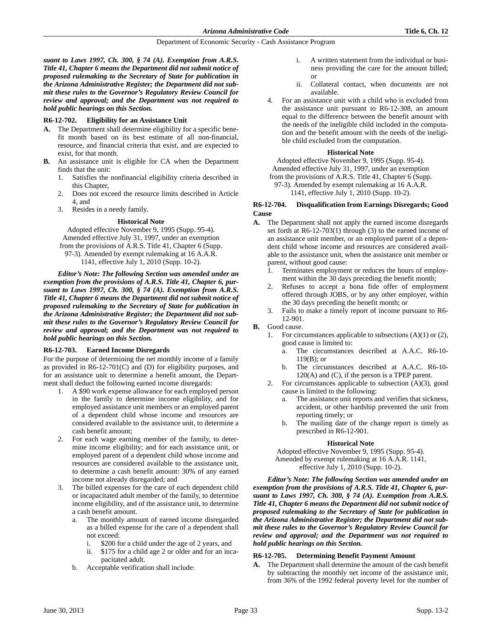*suant to Laws 1997, Ch. 300, § 74 (A). Exemption from A.R.S. Title 41, Chapter 6 means the Department did not submit notice of proposed rulemaking to the Secretary of State for publication in the Arizona Administrative Register; the Department did not submit these rules to the Governor's Regulatory Review Council for review and approval; and the Department was not required to hold public hearings on this Section.*

# **R6-12-702. Eligibility for an Assistance Unit**

- **A.** The Department shall determine eligibility for a specific benefit month based on its best estimate of all non-financial, resource, and financial criteria that exist, and are expected to exist, for that month.
- **B.** An assistance unit is eligible for CA when the Department finds that the unit:
	- 1. Satisfies the nonfinancial eligibility criteria described in this Chapter,
	- 2. Does not exceed the resource limits described in Article 4, and
	- 3. Resides in a needy family.

# **Historical Note**

Adopted effective November 9, 1995 (Supp. 95-4). Amended effective July 31, 1997, under an exemption from the provisions of A.R.S. Title 41, Chapter 6 (Supp. 97-3). Amended by exempt rulemaking at 16 A.A.R. 1141, effective July 1, 2010 (Supp. 10-2).

*Editor's Note: The following Section was amended under an exemption from the provisions of A.R.S. Title 41, Chapter 6, pursuant to Laws 1997, Ch. 300, § 74 (A). Exemption from A.R.S. Title 41, Chapter 6 means the Department did not submit notice of proposed rulemaking to the Secretary of State for publication in the Arizona Administrative Register; the Department did not submit these rules to the Governor's Regulatory Review Council for review and approval; and the Department was not required to hold public hearings on this Section.*

# **R6-12-703. Earned Income Disregards**

For the purpose of determining the net monthly income of a family as provided in R6-12-701(C) and (D) for eligibility purposes, and for an assistance unit to determine a benefit amount, the Department shall deduct the following earned income disregards:

- 1. A \$90 work expense allowance for each employed person in the family to determine income eligibility, and for employed assistance unit members or an employed parent of a dependent child whose income and resources are considered available to the assistance unit, to determine a cash benefit amount;
- 2. For each wage earning member of the family, to determine income eligibility; and for each assistance unit, or employed parent of a dependent child whose income and resources are considered available to the assistance unit, to determine a cash benefit amount: 30% of any earned income not already disregarded; and
- 3. The billed expenses for the care of each dependent child or incapacitated adult member of the family, to determine income eligibility, and of the assistance unit, to determine a cash benefit amount.
	- a. The monthly amount of earned income disregarded as a billed expense for the care of a dependent shall not exceed:
		- i. \$200 for a child under the age of 2 years, and
		- ii. \$175 for a child age 2 or older and for an incapacitated adult.
	- b. Acceptable verification shall include:
- i. A written statement from the individual or business providing the care for the amount billed; or
- ii. Collateral contact, when documents are not available.
- 4. For an assistance unit with a child who is excluded from the assistance unit pursuant to R6-12-308, an amount equal to the difference between the benefit amount with the needs of the ineligible child included in the computation and the benefit amount with the needs of the ineligible child excluded from the computation.

# **Historical Note**

Adopted effective November 9, 1995 (Supp. 95-4). Amended effective July 31, 1997, under an exemption

from the provisions of A.R.S. Title 41, Chapter 6 (Supp.

97-3). Amended by exempt rulemaking at 16 A.A.R. 1141, effective July 1, 2010 (Supp. 10-2).

# **R6-12-704. Disqualification from Earnings Disregards; Good Cause**

- **A.** The Department shall not apply the earned income disregards set forth at R6-12-703(1) through (3) to the earned income of an assistance unit member, or an employed parent of a dependent child whose income and resources are considered available to the assistance unit, when the assistance unit member or parent, without good cause:
	- 1. Terminates employment or reduces the hours of employment within the 30 days preceding the benefit month;
	- 2. Refuses to accept a bona fide offer of employment offered through JOBS, or by any other employer, within the 30 days preceding the benefit month; or
	- 3. Fails to make a timely report of income pursuant to R6- 12-901.
- **B.** Good cause.
	- For circumstances applicable to subsections  $(A)(1)$  or  $(2)$ , good cause is limited to:
		- a. The circumstances described at A.A.C. R6-10-  $119(B)$ ; or
		- b. The circumstances described at A.A.C. R6-10- 120(A) and (C), if the person is a TPEP parent.
	- 2. For circumstances applicable to subsection (A)(3), good cause is limited to the following:
		- a. The assistance unit reports and verifies that sickness, accident, or other hardship prevented the unit from reporting timely; or
		- b. The mailing date of the change report is timely as prescribed in R6-12-901.

# **Historical Note**

Adopted effective November 9, 1995 (Supp. 95-4). Amended by exempt rulemaking at 16 A.A.R. 1141, effective July 1, 2010 (Supp. 10-2).

*Editor's Note: The following Section was amended under an exemption from the provisions of A.R.S. Title 41, Chapter 6, pursuant to Laws 1997, Ch. 300, § 74 (A). Exemption from A.R.S. Title 41, Chapter 6 means the Department did not submit notice of proposed rulemaking to the Secretary of State for publication in the Arizona Administrative Register; the Department did not submit these rules to the Governor's Regulatory Review Council for review and approval; and the Department was not required to hold public hearings on this Section.*

# **R6-12-705. Determining Benefit Payment Amount**

**A.** The Department shall determine the amount of the cash benefit by subtracting the monthly net income of the assistance unit, from 36% of the 1992 federal poverty level for the number of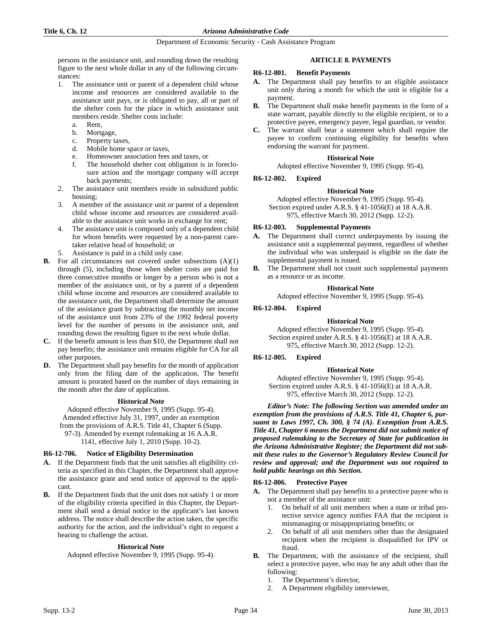persons in the assistance unit, and rounding down the resulting figure to the next whole dollar in any of the following circumstances:

- 1. The assistance unit or parent of a dependent child whose income and resources are considered available to the assistance unit pays, or is obligated to pay, all or part of the shelter costs for the place in which assistance unit members reside. Shelter costs include:
	- a. Rent,
	- b. Mortgage,
	- c. Property taxes,
	- d. Mobile home space or taxes,
	- e. Homeowner association fees and taxes, or
	- f. The household shelter cost obligation is in foreclosure action and the mortgage company will accept back payments;
- 2. The assistance unit members reside in subsidized public housing;
- 3. A member of the assistance unit or parent of a dependent child whose income and resources are considered available to the assistance unit works in exchange for rent;
- 4. The assistance unit is composed only of a dependent child for whom benefits were requested by a non-parent caretaker relative head of household; or
- Assistance is paid in a child only case.
- **B.** For all circumstances not covered under subsections (A)(1) through (5), including those when shelter costs are paid for three consecutive months or longer by a person who is not a member of the assistance unit, or by a parent of a dependent child whose income and resources are considered available to the assistance unit, the Department shall determine the amount of the assistance grant by subtracting the monthly net income of the assistance unit from 23% of the 1992 federal poverty level for the number of persons in the assistance unit, and rounding down the resulting figure to the next whole dollar.
- **C.** If the benefit amount is less than \$10, the Department shall not pay benefits; the assistance unit remains eligible for CA for all other purposes.
- **D.** The Department shall pay benefits for the month of application only from the filing date of the application. The benefit amount is prorated based on the number of days remaining in the month after the date of application.

# **Historical Note**

Adopted effective November 9, 1995 (Supp. 95-4). Amended effective July 31, 1997, under an exemption from the provisions of A.R.S. Title 41, Chapter 6 (Supp. 97-3). Amended by exempt rulemaking at 16 A.A.R. 1141, effective July 1, 2010 (Supp. 10-2).

# **R6-12-706. Notice of Eligibility Determination**

- **A.** If the Department finds that the unit satisfies all eligibility criteria as specified in this Chapter, the Department shall approve the assistance grant and send notice of approval to the applicant.
- **B.** If the Department finds that the unit does not satisfy 1 or more of the eligibility criteria specified in this Chapter, the Department shall send a denial notice to the applicant's last known address. The notice shall describe the action taken, the specific authority for the action, and the individual's right to request a hearing to challenge the action.

# **Historical Note**

Adopted effective November 9, 1995 (Supp. 95-4).

# **ARTICLE 8. PAYMENTS**

#### **R6-12-801. Benefit Payments**

- **A.** The Department shall pay benefits to an eligible assistance unit only during a month for which the unit is eligible for a payment.
- **B.** The Department shall make benefit payments in the form of a state warrant, payable directly to the eligible recipient, or to a protective payee, emergency payee, legal guardian, or vendor.
- **C.** The warrant shall bear a statement which shall require the payee to confirm continuing eligibility for benefits when endorsing the warrant for payment.

# **Historical Note**

Adopted effective November 9, 1995 (Supp. 95-4).

# **R6-12-802. Expired**

# **Historical Note**

Adopted effective November 9, 1995 (Supp. 95-4). Section expired under A.R.S. § 41-1056(E) at 18 A.A.R. 975, effective March 30, 2012 (Supp. 12-2).

# **R6-12-803. Supplemental Payments**

- **A.** The Department shall correct underpayments by issuing the assistance unit a supplemental payment, regardless of whether the individual who was underpaid is eligible on the date the supplemental payment is issued.
- **B.** The Department shall not count such supplemental payments as a resource or as income.

#### **Historical Note**

Adopted effective November 9, 1995 (Supp. 95-4).

# **R6-12-804. Expired**

# **Historical Note**

Adopted effective November 9, 1995 (Supp. 95-4). Section expired under A.R.S. § 41-1056(E) at 18 A.A.R. 975, effective March 30, 2012 (Supp. 12-2).

# **R6-12-805. Expired**

#### **Historical Note**

Adopted effective November 9, 1995 (Supp. 95-4). Section expired under A.R.S. § 41-1056(E) at 18 A.A.R. 975, effective March 30, 2012 (Supp. 12-2).

*Editor's Note: The following Section was amended under an exemption from the provisions of A.R.S. Title 41, Chapter 6, pursuant to Laws 1997, Ch. 300, § 74 (A). Exemption from A.R.S. Title 41, Chapter 6 means the Department did not submit notice of proposed rulemaking to the Secretary of State for publication in the Arizona Administrative Register; the Department did not submit these rules to the Governor's Regulatory Review Council for review and approval; and the Department was not required to hold public hearings on this Section.*

# **R6-12-806. Protective Payee**

- **A.** The Department shall pay benefits to a protective payee who is not a member of the assistance unit:
	- 1. On behalf of all unit members when a state or tribal protective service agency notifies FAA that the recipient is mismanaging or misappropriating benefits; or
	- 2. On behalf of all unit members other than the designated recipient when the recipient is disqualified for IPV or fraud.
- **B.** The Department, with the assistance of the recipient, shall select a protective payee, who may be any adult other than the following:
	- 1. The Department's director,
	- 2. A Department eligibility interviewer,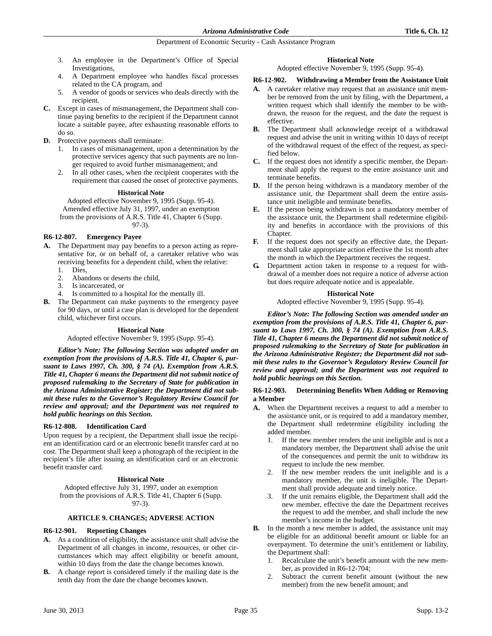- 3. An employee in the Department's Office of Special Investigations,
- 4. A Department employee who handles fiscal processes related to the CA program, and
- 5. A vendor of goods or services who deals directly with the recipient.
- **C.** Except in cases of mismanagement, the Department shall continue paying benefits to the recipient if the Department cannot locate a suitable payee, after exhausting reasonable efforts to do so.
- **D.** Protective payments shall terminate:
	- 1. In cases of mismanagement, upon a determination by the protective services agency that such payments are no longer required to avoid further mismanagement; and
	- 2. In all other cases, when the recipient cooperates with the requirement that caused the onset of protective payments.

# **Historical Note**

Adopted effective November 9, 1995 (Supp. 95-4). Amended effective July 31, 1997, under an exemption from the provisions of A.R.S. Title 41, Chapter 6 (Supp. 97-3).

# **R6-12-807. Emergency Payee**

- **A.** The Department may pay benefits to a person acting as representative for, or on behalf of, a caretaker relative who was receiving benefits for a dependent child, when the relative: 1. Dies,
	- 2. Abandons or deserts the child,
	- 3. Is incarcerated, or
	- 4. Is committed to a hospital for the mentally ill.
- **B.** The Department can make payments to the emergency payee for 90 days, or until a case plan is developed for the dependent child, whichever first occurs.

# **Historical Note**

Adopted effective November 9, 1995 (Supp. 95-4).

*Editor's Note: The following Section was adopted under an exemption from the provisions of A.R.S. Title 41, Chapter 6, pursuant to Laws 1997, Ch. 300, § 74 (A). Exemption from A.R.S. Title 41, Chapter 6 means the Department did not submit notice of proposed rulemaking to the Secretary of State for publication in the Arizona Administrative Register; the Department did not submit these rules to the Governor's Regulatory Review Council for review and approval; and the Department was not required to hold public hearings on this Section.*

# **R6-12-808. Identification Card**

Upon request by a recipient, the Department shall issue the recipient an identification card or an electronic benefit transfer card at no cost. The Department shall keep a photograph of the recipient in the recipient's file after issuing an identification card or an electronic benefit transfer card.

# **Historical Note**

Adopted effective July 31, 1997, under an exemption from the provisions of A.R.S. Title 41, Chapter 6 (Supp. 97-3).

# **ARTICLE 9. CHANGES; ADVERSE ACTION**

# **R6-12-901. Reporting Changes**

- **A.** As a condition of eligibility, the assistance unit shall advise the Department of all changes in income, resources, or other circumstances which may affect eligibility or benefit amount, within 10 days from the date the change becomes known.
- **B.** A change report is considered timely if the mailing date is the tenth day from the date the change becomes known.

# **Historical Note**

Adopted effective November 9, 1995 (Supp. 95-4).

# **R6-12-902. Withdrawing a Member from the Assistance Unit**

- **A.** A caretaker relative may request that an assistance unit member be removed from the unit by filing, with the Department, a written request which shall identify the member to be withdrawn, the reason for the request, and the date the request is effective.
- **B.** The Department shall acknowledge receipt of a withdrawal request and advise the unit in writing within 10 days of receipt of the withdrawal request of the effect of the request, as specified below.
- **C.** If the request does not identify a specific member, the Department shall apply the request to the entire assistance unit and terminate benefits.
- **D.** If the person being withdrawn is a mandatory member of the assistance unit, the Department shall deem the entire assistance unit ineligible and terminate benefits.
- **E.** If the person being withdrawn is not a mandatory member of the assistance unit, the Department shall redetermine eligibility and benefits in accordance with the provisions of this Chapter.
- **F.** If the request does not specify an effective date, the Department shall take appropriate action effective the 1st month after the month in which the Department receives the request.
- **G.** Department action taken in response to a request for withdrawal of a member does not require a notice of adverse action but does require adequate notice and is appealable.

# **Historical Note**

Adopted effective November 9, 1995 (Supp. 95-4).

*Editor's Note: The following Section was amended under an exemption from the provisions of A.R.S. Title 41, Chapter 6, pursuant to Laws 1997, Ch. 300, § 74 (A). Exemption from A.R.S. Title 41, Chapter 6 means the Department did not submit notice of proposed rulemaking to the Secretary of State for publication in the Arizona Administrative Register; the Department did not submit these rules to the Governor's Regulatory Review Council for review and approval; and the Department was not required to hold public hearings on this Section.*

# **R6-12-903. Determining Benefits When Adding or Removing a Member**

- **A.** When the Department receives a request to add a member to the assistance unit, or is required to add a mandatory member, the Department shall redetermine eligibility including the added member.
	- If the new member renders the unit ineligible and is not a mandatory member, the Department shall advise the unit of the consequences and permit the unit to withdraw its request to include the new member.
	- 2. If the new member renders the unit ineligible and is a mandatory member, the unit is ineligible. The Department shall provide adequate and timely notice.
	- 3. If the unit remains eligible, the Department shall add the new member, effective the date the Department receives the request to add the member, and shall include the new member's income in the budget.
- **B.** In the month a new member is added, the assistance unit may be eligible for an additional benefit amount or liable for an overpayment. To determine the unit's entitlement or liability, the Department shall:
	- 1. Recalculate the unit's benefit amount with the new member, as provided in R6-12-704;
	- 2. Subtract the current benefit amount (without the new member) from the new benefit amount; and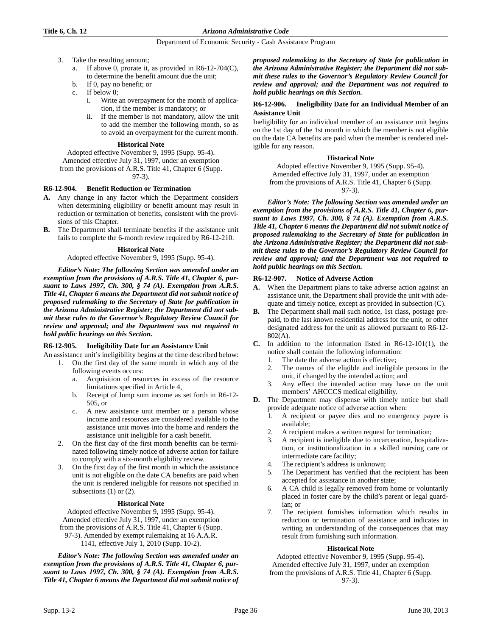- 3. Take the resulting amount;
	- a. If above 0, prorate it, as provided in R6-12-704(C), to determine the benefit amount due the unit;
	- b. If 0, pay no benefit; or
	- c. If below 0;
		- i. Write an overpayment for the month of application, if the member is mandatory; or
		- ii. If the member is not mandatory, allow the unit to add the member the following month, so as to avoid an overpayment for the current month.

#### **Historical Note**

Adopted effective November 9, 1995 (Supp. 95-4).

Amended effective July 31, 1997, under an exemption

from the provisions of A.R.S. Title 41, Chapter 6 (Supp.

97-3).

# **R6-12-904. Benefit Reduction or Termination**

- **A.** Any change in any factor which the Department considers when determining eligibility or benefit amount may result in reduction or termination of benefits, consistent with the provisions of this Chapter.
- **B.** The Department shall terminate benefits if the assistance unit fails to complete the 6-month review required by R6-12-210.

# **Historical Note**

Adopted effective November 9, 1995 (Supp. 95-4).

*Editor's Note: The following Section was amended under an exemption from the provisions of A.R.S. Title 41, Chapter 6, pursuant to Laws 1997, Ch. 300, § 74 (A). Exemption from A.R.S. Title 41, Chapter 6 means the Department did not submit notice of proposed rulemaking to the Secretary of State for publication in the Arizona Administrative Register; the Department did not submit these rules to the Governor's Regulatory Review Council for review and approval; and the Department was not required to hold public hearings on this Section.*

# **R6-12-905. Ineligibility Date for an Assistance Unit**

- An assistance unit's ineligibility begins at the time described below: 1. On the first day of the same month in which any of the following events occurs:
	- a. Acquisition of resources in excess of the resource limitations specified in Article 4,
	- b. Receipt of lump sum income as set forth in R6-12- 505, or
	- c. A new assistance unit member or a person whose income and resources are considered available to the assistance unit moves into the home and renders the assistance unit ineligible for a cash benefit.
	- 2. On the first day of the first month benefits can be terminated following timely notice of adverse action for failure to comply with a six-month eligibility review.
	- 3. On the first day of the first month in which the assistance unit is not eligible on the date CA benefits are paid when the unit is rendered ineligible for reasons not specified in subsections (1) or (2).

# **Historical Note**

Adopted effective November 9, 1995 (Supp. 95-4). Amended effective July 31, 1997, under an exemption from the provisions of A.R.S. Title 41, Chapter 6 (Supp. 97-3). Amended by exempt rulemaking at 16 A.A.R. 1141, effective July 1, 2010 (Supp. 10-2).

*Editor's Note: The following Section was amended under an exemption from the provisions of A.R.S. Title 41, Chapter 6, pursuant to Laws 1997, Ch. 300, § 74 (A). Exemption from A.R.S. Title 41, Chapter 6 means the Department did not submit notice of* *proposed rulemaking to the Secretary of State for publication in the Arizona Administrative Register; the Department did not submit these rules to the Governor's Regulatory Review Council for review and approval; and the Department was not required to hold public hearings on this Section.*

# **R6-12-906. Ineligibility Date for an Individual Member of an Assistance Unit**

Ineligibility for an individual member of an assistance unit begins on the 1st day of the 1st month in which the member is not eligible on the date CA benefits are paid when the member is rendered ineligible for any reason.

### **Historical Note**

Adopted effective November 9, 1995 (Supp. 95-4). Amended effective July 31, 1997, under an exemption from the provisions of A.R.S. Title 41, Chapter 6 (Supp.

97-3).

*Editor's Note: The following Section was amended under an exemption from the provisions of A.R.S. Title 41, Chapter 6, pursuant to Laws 1997, Ch. 300, § 74 (A). Exemption from A.R.S. Title 41, Chapter 6 means the Department did not submit notice of proposed rulemaking to the Secretary of State for publication in the Arizona Administrative Register; the Department did not submit these rules to the Governor's Regulatory Review Council for review and approval; and the Department was not required to hold public hearings on this Section.*

# **R6-12-907. Notice of Adverse Action**

- **A.** When the Department plans to take adverse action against an assistance unit, the Department shall provide the unit with adequate and timely notice, except as provided in subsection (C).
- **B.** The Department shall mail such notice, 1st class, postage prepaid, to the last known residential address for the unit, or other designated address for the unit as allowed pursuant to R6-12- 802(A).
- **C.** In addition to the information listed in R6-12-101(1), the notice shall contain the following information:
	- 1. The date the adverse action is effective;
	- 2. The names of the eligible and ineligible persons in the unit, if changed by the intended action; and
	- Any effect the intended action may have on the unit members' AHCCCS medical eligibility.
- **D.** The Department may dispense with timely notice but shall provide adequate notice of adverse action when:
	- 1. A recipient or payee dies and no emergency payee is available;
	- 2. A recipient makes a written request for termination;
	- 3. A recipient is ineligible due to incarceration, hospitalization, or institutionalization in a skilled nursing care or intermediate care facility;
	- 4. The recipient's address is unknown;
	- The Department has verified that the recipient has been accepted for assistance in another state;
	- 6. A CA child is legally removed from home or voluntarily placed in foster care by the child's parent or legal guardian; or
	- The recipient furnishes information which results in reduction or termination of assistance and indicates in writing an understanding of the consequences that may result from furnishing such information.

# **Historical Note**

Adopted effective November 9, 1995 (Supp. 95-4). Amended effective July 31, 1997, under an exemption from the provisions of A.R.S. Title 41, Chapter 6 (Supp. 97-3).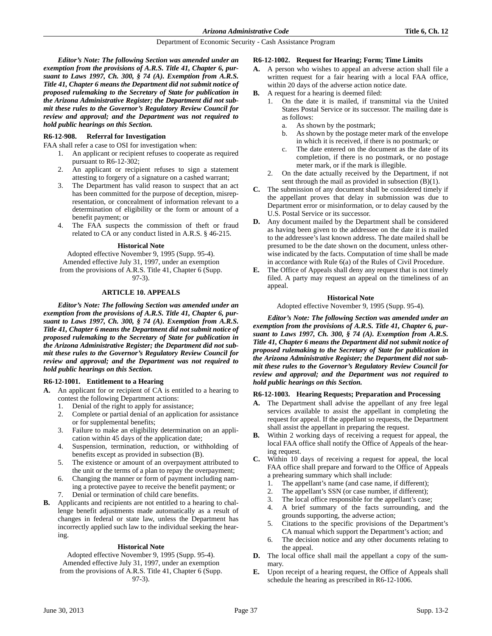*Editor's Note: The following Section was amended under an exemption from the provisions of A.R.S. Title 41, Chapter 6, pursuant to Laws 1997, Ch. 300, § 74 (A). Exemption from A.R.S. Title 41, Chapter 6 means the Department did not submit notice of proposed rulemaking to the Secretary of State for publication in the Arizona Administrative Register; the Department did not submit these rules to the Governor's Regulatory Review Council for review and approval; and the Department was not required to hold public hearings on this Section.*

### **R6-12-908. Referral for Investigation**

FAA shall refer a case to OSI for investigation when:

- 1. An applicant or recipient refuses to cooperate as required pursuant to R6-12-302;
- 2. An applicant or recipient refuses to sign a statement attesting to forgery of a signature on a cashed warrant;
- 3. The Department has valid reason to suspect that an act has been committed for the purpose of deception, misrepresentation, or concealment of information relevant to a determination of eligibility or the form or amount of a benefit payment; or
- 4. The FAA suspects the commission of theft or fraud related to CA or any conduct listed in A.R.S. § 46-215.

#### **Historical Note**

Adopted effective November 9, 1995 (Supp. 95-4). Amended effective July 31, 1997, under an exemption from the provisions of A.R.S. Title 41, Chapter 6 (Supp. 97-3).

#### **ARTICLE 10. APPEALS**

*Editor's Note: The following Section was amended under an exemption from the provisions of A.R.S. Title 41, Chapter 6, pursuant to Laws 1997, Ch. 300, § 74 (A). Exemption from A.R.S. Title 41, Chapter 6 means the Department did not submit notice of proposed rulemaking to the Secretary of State for publication in the Arizona Administrative Register; the Department did not submit these rules to the Governor's Regulatory Review Council for review and approval; and the Department was not required to hold public hearings on this Section.*

#### **R6-12-1001. Entitlement to a Hearing**

- **A.** An applicant for or recipient of CA is entitled to a hearing to contest the following Department actions:
	- 1. Denial of the right to apply for assistance;
	- 2. Complete or partial denial of an application for assistance or for supplemental benefits;
	- 3. Failure to make an eligibility determination on an application within 45 days of the application date;
	- 4. Suspension, termination, reduction, or withholding of benefits except as provided in subsection (B).
	- 5. The existence or amount of an overpayment attributed to the unit or the terms of a plan to repay the overpayment;
	- 6. Changing the manner or form of payment including naming a protective payee to receive the benefit payment; or
	- 7. Denial or termination of child care benefits.
- **B.** Applicants and recipients are not entitled to a hearing to challenge benefit adjustments made automatically as a result of changes in federal or state law, unless the Department has incorrectly applied such law to the individual seeking the hearing.

#### **Historical Note**

Adopted effective November 9, 1995 (Supp. 95-4). Amended effective July 31, 1997, under an exemption from the provisions of A.R.S. Title 41, Chapter 6 (Supp. 97-3).

#### **R6-12-1002. Request for Hearing; Form; Time Limits**

- **A.** A person who wishes to appeal an adverse action shall file a written request for a fair hearing with a local FAA office, within 20 days of the adverse action notice date.
- **B.** A request for a hearing is deemed filed:
	- 1. On the date it is mailed, if transmittal via the United States Postal Service or its successor. The mailing date is as follows:
		- a. As shown by the postmark;
		- b. As shown by the postage meter mark of the envelope in which it is received, if there is no postmark; or
		- c. The date entered on the document as the date of its completion, if there is no postmark, or no postage meter mark, or if the mark is illegible.
	- 2. On the date actually received by the Department, if not sent through the mail as provided in subsection (B)(1).
- **C.** The submission of any document shall be considered timely if the appellant proves that delay in submission was due to Department error or misinformation, or to delay caused by the U.S. Postal Service or its successor.
- **D.** Any document mailed by the Department shall be considered as having been given to the addressee on the date it is mailed to the addressee's last known address. The date mailed shall be presumed to be the date shown on the document, unless otherwise indicated by the facts. Computation of time shall be made in accordance with Rule 6(a) of the Rules of Civil Procedure.
- **E.** The Office of Appeals shall deny any request that is not timely filed. A party may request an appeal on the timeliness of an appeal.

#### **Historical Note**

Adopted effective November 9, 1995 (Supp. 95-4).

*Editor's Note: The following Section was amended under an exemption from the provisions of A.R.S. Title 41, Chapter 6, pursuant to Laws 1997, Ch. 300, § 74 (A). Exemption from A.R.S. Title 41, Chapter 6 means the Department did not submit notice of proposed rulemaking to the Secretary of State for publication in the Arizona Administrative Register; the Department did not submit these rules to the Governor's Regulatory Review Council for review and approval; and the Department was not required to hold public hearings on this Section.*

#### **R6-12-1003. Hearing Requests; Preparation and Processing**

- **A.** The Department shall advise the appellant of any free legal services available to assist the appellant in completing the request for appeal. If the appellant so requests, the Department shall assist the appellant in preparing the request.
- **B.** Within 2 working days of receiving a request for appeal, the local FAA office shall notify the Office of Appeals of the hearing request.
- **C.** Within 10 days of receiving a request for appeal, the local FAA office shall prepare and forward to the Office of Appeals a prehearing summary which shall include:
	- 1. The appellant's name (and case name, if different);
	- 2. The appellant's SSN (or case number, if different);
	- 3. The local office responsible for the appellant's case;
	- 4. A brief summary of the facts surrounding, and the grounds supporting, the adverse action;
	- 5. Citations to the specific provisions of the Department's CA manual which support the Department's action; and
	- 6. The decision notice and any other documents relating to the appeal.
- **D.** The local office shall mail the appellant a copy of the summary.
- **E.** Upon receipt of a hearing request, the Office of Appeals shall schedule the hearing as prescribed in R6-12-1006.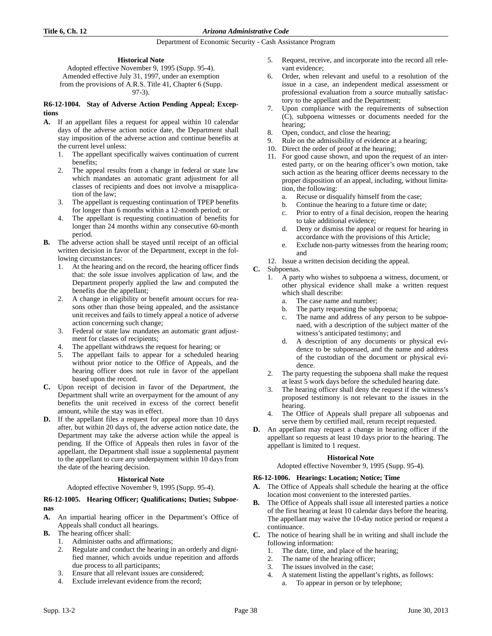# **Historical Note**

Adopted effective November 9, 1995 (Supp. 95-4). Amended effective July 31, 1997, under an exemption from the provisions of A.R.S. Title 41, Chapter 6 (Supp. 97-3).

#### **R6-12-1004. Stay of Adverse Action Pending Appeal; Exceptions**

- **A.** If an appellant files a request for appeal within 10 calendar days of the adverse action notice date, the Department shall stay imposition of the adverse action and continue benefits at the current level unless:
	- 1. The appellant specifically waives continuation of current benefits;
	- 2. The appeal results from a change in federal or state law which mandates an automatic grant adjustment for all classes of recipients and does not involve a misapplication of the law;
	- 3. The appellant is requesting continuation of TPEP benefits for longer than 6 months within a 12-month period; or
	- 4. The appellant is requesting continuation of benefits for longer than 24 months within any consecutive 60-month period.
- **B.** The adverse action shall be stayed until receipt of an official written decision in favor of the Department, except in the following circumstances:
	- 1. At the hearing and on the record, the hearing officer finds that: the sole issue involves application of law, and the Department properly applied the law and computed the benefits due the appellant;
	- 2. A change in eligibility or benefit amount occurs for reasons other than those being appealed, and the assistance unit receives and fails to timely appeal a notice of adverse action concerning such change;
	- 3. Federal or state law mandates an automatic grant adjustment for classes of recipients;
	- The appellant withdraws the request for hearing; or
	- 5. The appellant fails to appear for a scheduled hearing without prior notice to the Office of Appeals, and the hearing officer does not rule in favor of the appellant based upon the record.
- **C.** Upon receipt of decision in favor of the Department, the Department shall write an overpayment for the amount of any benefits the unit received in excess of the correct benefit amount, while the stay was in effect.
- **D.** If the appellant files a request for appeal more than 10 days after, but within 20 days of, the adverse action notice date, the Department may take the adverse action while the appeal is pending. If the Office of Appeals then rules in favor of the appellant, the Department shall issue a supplemental payment to the appellant to cure any underpayment within 10 days from the date of the hearing decision.

# **Historical Note**

# Adopted effective November 9, 1995 (Supp. 95-4).

# **R6-12-1005. Hearing Officer; Qualifications; Duties; Subpoenas**

- **A.** An impartial hearing officer in the Department's Office of Appeals shall conduct all hearings.
- **B.** The hearing officer shall:
	- 1. Administer oaths and affirmations;
	- 2. Regulate and conduct the hearing in an orderly and dignified manner, which avoids undue repetition and affords due process to all participants;
	- 3. Ensure that all relevant issues are considered;
	- 4. Exclude irrelevant evidence from the record;
- 5. Request, receive, and incorporate into the record all relevant evidence;
- 6. Order, when relevant and useful to a resolution of the issue in a case, an independent medical assessment or professional evaluation from a source mutually satisfactory to the appellant and the Department;
- 7. Upon compliance with the requirements of subsection (C), subpoena witnesses or documents needed for the hearing;
- 8. Open, conduct, and close the hearing;
- 9. Rule on the admissibility of evidence at a hearing;
- 10. Direct the order of proof at the hearing;
- 11. For good cause shown, and upon the request of an interested party, or on the hearing officer's own motion, take such action as the hearing officer deems necessary to the proper disposition of an appeal, including, without limitation, the following:
	- a. Recuse or disqualify himself from the case;
	- b. Continue the hearing to a future time or date;
	- c. Prior to entry of a final decision, reopen the hearing to take additional evidence;
	- d. Deny or dismiss the appeal or request for hearing in accordance with the provisions of this Article;
	- e. Exclude non-party witnesses from the hearing room; and
- 12. Issue a written decision deciding the appeal.

# **C.** Subpoenas.

- 1. A party who wishes to subpoena a witness, document, or other physical evidence shall make a written request which shall describe:
	- a. The case name and number;
	- b. The party requesting the subpoena;
	- c. The name and address of any person to be subpoenaed, with a description of the subject matter of the witness's anticipated testimony; and
	- d. A description of any documents or physical evidence to be subpoenaed, and the name and address of the custodian of the document or physical evidence.
- 2. The party requesting the subpoena shall make the request at least 5 work days before the scheduled hearing date.
- 3. The hearing officer shall deny the request if the witness's proposed testimony is not relevant to the issues in the hearing.
- 4. The Office of Appeals shall prepare all subpoenas and serve them by certified mail, return receipt requested.
- **D.** An appellant may request a change in hearing officer if the appellant so requests at least 10 days prior to the hearing. The appellant is limited to 1 request.

# **Historical Note**

Adopted effective November 9, 1995 (Supp. 95-4).

# **R6-12-1006. Hearings: Location; Notice; Time**

- **A.** The Office of Appeals shall schedule the hearing at the office location most convenient to the interested parties.
- **B.** The Office of Appeals shall issue all interested parties a notice of the first hearing at least 10 calendar days before the hearing. The appellant may waive the 10-day notice period or request a continuance.
- **C.** The notice of hearing shall be in writing and shall include the following information:
	- 1. The date, time, and place of the hearing;
	- 2. The name of the hearing officer;
	- 3. The issues involved in the case;
	- 4. A statement listing the appellant's rights, as follows:
		- To appear in person or by telephone;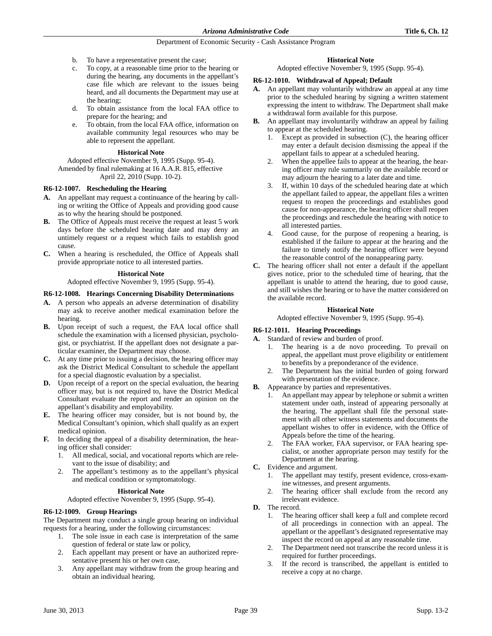- b. To have a representative present the case;
- c. To copy, at a reasonable time prior to the hearing or during the hearing, any documents in the appellant's case file which are relevant to the issues being heard, and all documents the Department may use at the hearing;
- d. To obtain assistance from the local FAA office to prepare for the hearing; and
- To obtain, from the local FAA office, information on available community legal resources who may be able to represent the appellant.

# **Historical Note**

Adopted effective November 9, 1995 (Supp. 95-4). Amended by final rulemaking at 16 A.A.R. 815, effective

April 22, 2010 (Supp. 10-2).

# **R6-12-1007. Rescheduling the Hearing**

- **A.** An appellant may request a continuance of the hearing by calling or writing the Office of Appeals and providing good cause as to why the hearing should be postponed.
- **B.** The Office of Appeals must receive the request at least 5 work days before the scheduled hearing date and may deny an untimely request or a request which fails to establish good cause.
- **C.** When a hearing is rescheduled, the Office of Appeals shall provide appropriate notice to all interested parties.

# **Historical Note**

Adopted effective November 9, 1995 (Supp. 95-4).

# **R6-12-1008. Hearings Concerning Disability Determinations**

- **A.** A person who appeals an adverse determination of disability may ask to receive another medical examination before the hearing.
- **B.** Upon receipt of such a request, the FAA local office shall schedule the examination with a licensed physician, psychologist, or psychiatrist. If the appellant does not designate a particular examiner, the Department may choose.
- **C.** At any time prior to issuing a decision, the hearing officer may ask the District Medical Consultant to schedule the appellant for a special diagnostic evaluation by a specialist.
- **D.** Upon receipt of a report on the special evaluation, the hearing officer may, but is not required to, have the District Medical Consultant evaluate the report and render an opinion on the appellant's disability and employability.
- **E.** The hearing officer may consider, but is not bound by, the Medical Consultant's opinion, which shall qualify as an expert medical opinion.
- **F.** In deciding the appeal of a disability determination, the hearing officer shall consider:
	- 1. All medical, social, and vocational reports which are relevant to the issue of disability; and
	- 2. The appellant's testimony as to the appellant's physical and medical condition or symptomatology.

# **Historical Note**

Adopted effective November 9, 1995 (Supp. 95-4).

# **R6-12-1009. Group Hearings**

The Department may conduct a single group hearing on individual requests for a hearing, under the following circumstances:

- 1. The sole issue in each case is interpretation of the same question of federal or state law or policy,
- 2. Each appellant may present or have an authorized representative present his or her own case,
- 3. Any appellant may withdraw from the group hearing and obtain an individual hearing.

# **Historical Note**

Adopted effective November 9, 1995 (Supp. 95-4).

# **R6-12-1010. Withdrawal of Appeal; Default**

- **A.** An appellant may voluntarily withdraw an appeal at any time prior to the scheduled hearing by signing a written statement expressing the intent to withdraw. The Department shall make a withdrawal form available for this purpose.
- **B.** An appellant may involuntarily withdraw an appeal by failing to appear at the scheduled hearing.
	- Except as provided in subsection  $(C)$ , the hearing officer may enter a default decision dismissing the appeal if the appellant fails to appear at a scheduled hearing.
	- 2. When the appellee fails to appear at the hearing, the hearing officer may rule summarily on the available record or may adjourn the hearing to a later date and time.
	- 3. If, within 10 days of the scheduled hearing date at which the appellant failed to appear, the appellant files a written request to reopen the proceedings and establishes good cause for non-appearance, the hearing officer shall reopen the proceedings and reschedule the hearing with notice to all interested parties.
	- 4. Good cause, for the purpose of reopening a hearing, is established if the failure to appear at the hearing and the failure to timely notify the hearing officer were beyond the reasonable control of the nonappearing party.
- **C.** The hearing officer shall not enter a default if the appellant gives notice, prior to the scheduled time of hearing, that the appellant is unable to attend the hearing, due to good cause, and still wishes the hearing or to have the matter considered on the available record.

# **Historical Note**

Adopted effective November 9, 1995 (Supp. 95-4).

# **R6-12-1011. Hearing Proceedings**

- **A.** Standard of review and burden of proof.
	- 1. The hearing is a de novo proceeding. To prevail on appeal, the appellant must prove eligibility or entitlement to benefits by a preponderance of the evidence.
	- 2. The Department has the initial burden of going forward with presentation of the evidence.
- **B.** Appearance by parties and representatives.
	- 1. An appellant may appear by telephone or submit a written statement under oath, instead of appearing personally at the hearing. The appellant shall file the personal statement with all other witness statements and documents the appellant wishes to offer in evidence, with the Office of Appeals before the time of the hearing.
	- 2. The FAA worker, FAA supervisor, or FAA hearing specialist, or another appropriate person may testify for the Department at the hearing.
- **C.** Evidence and argument.
	- 1. The appellant may testify, present evidence, cross-examine witnesses, and present arguments.
	- 2. The hearing officer shall exclude from the record any irrelevant evidence.
- **D.** The record.
	- 1. The hearing officer shall keep a full and complete record of all proceedings in connection with an appeal. The appellant or the appellant's designated representative may inspect the record on appeal at any reasonable time.
	- 2. The Department need not transcribe the record unless it is required for further proceedings.
	- 3. If the record is transcribed, the appellant is entitled to receive a copy at no charge.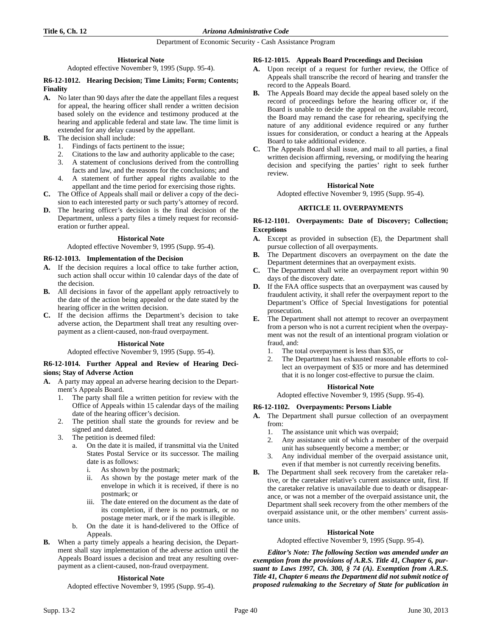# **Historical Note**

Adopted effective November 9, 1995 (Supp. 95-4).

# **R6-12-1012. Hearing Decision; Time Limits; Form; Contents; Finality**

- **A.** No later than 90 days after the date the appellant files a request for appeal, the hearing officer shall render a written decision based solely on the evidence and testimony produced at the hearing and applicable federal and state law. The time limit is extended for any delay caused by the appellant.
- **B.** The decision shall include:
	- 1. Findings of facts pertinent to the issue;
	- 2. Citations to the law and authority applicable to the case;
	- 3. A statement of conclusions derived from the controlling facts and law, and the reasons for the conclusions; and
	- 4. A statement of further appeal rights available to the appellant and the time period for exercising those rights.
- **C.** The Office of Appeals shall mail or deliver a copy of the decision to each interested party or such party's attorney of record.
- **D.** The hearing officer's decision is the final decision of the Department, unless a party files a timely request for reconsideration or further appeal.

# **Historical Note**

Adopted effective November 9, 1995 (Supp. 95-4).

# **R6-12-1013. Implementation of the Decision**

- **A.** If the decision requires a local office to take further action, such action shall occur within 10 calendar days of the date of the decision.
- **B.** All decisions in favor of the appellant apply retroactively to the date of the action being appealed or the date stated by the hearing officer in the written decision.
- **C.** If the decision affirms the Department's decision to take adverse action, the Department shall treat any resulting overpayment as a client-caused, non-fraud overpayment.

#### **Historical Note**

Adopted effective November 9, 1995 (Supp. 95-4).

# **R6-12-1014. Further Appeal and Review of Hearing Decisions; Stay of Adverse Action**

- **A.** A party may appeal an adverse hearing decision to the Department's Appeals Board.
	- 1. The party shall file a written petition for review with the Office of Appeals within 15 calendar days of the mailing date of the hearing officer's decision.
	- 2. The petition shall state the grounds for review and be signed and dated.
	- 3. The petition is deemed filed:
		- a. On the date it is mailed, if transmittal via the United States Postal Service or its successor. The mailing date is as follows:
			- i. As shown by the postmark;
			- ii. As shown by the postage meter mark of the envelope in which it is received, if there is no postmark; or
			- iii. The date entered on the document as the date of its completion, if there is no postmark, or no postage meter mark, or if the mark is illegible.
		- b. On the date it is hand-delivered to the Office of Appeals.
- **B.** When a party timely appeals a hearing decision, the Department shall stay implementation of the adverse action until the Appeals Board issues a decision and treat any resulting overpayment as a client-caused, non-fraud overpayment.

# **Historical Note**

Adopted effective November 9, 1995 (Supp. 95-4).

# **R6-12-1015. Appeals Board Proceedings and Decision**

- **A.** Upon receipt of a request for further review, the Office of Appeals shall transcribe the record of hearing and transfer the record to the Appeals Board.
- **B.** The Appeals Board may decide the appeal based solely on the record of proceedings before the hearing officer or, if the Board is unable to decide the appeal on the available record, the Board may remand the case for rehearing, specifying the nature of any additional evidence required or any further issues for consideration, or conduct a hearing at the Appeals Board to take additional evidence.
- **C.** The Appeals Board shall issue, and mail to all parties, a final written decision affirming, reversing, or modifying the hearing decision and specifying the parties' right to seek further review.

# **Historical Note**

Adopted effective November 9, 1995 (Supp. 95-4).

# **ARTICLE 11. OVERPAYMENTS**

# **R6-12-1101. Overpayments: Date of Discovery; Collection; Exceptions**

- **A.** Except as provided in subsection (E), the Department shall pursue collection of all overpayments.
- **B.** The Department discovers an overpayment on the date the Department determines that an overpayment exists.
- **C.** The Department shall write an overpayment report within 90 days of the discovery date.
- **D.** If the FAA office suspects that an overpayment was caused by fraudulent activity, it shall refer the overpayment report to the Department's Office of Special Investigations for potential prosecution.
- **E.** The Department shall not attempt to recover an overpayment from a person who is not a current recipient when the overpayment was not the result of an intentional program violation or fraud, and:
	- 1. The total overpayment is less than \$35, or
	- 2. The Department has exhausted reasonable efforts to collect an overpayment of \$35 or more and has determined that it is no longer cost-effective to pursue the claim.

# **Historical Note**

Adopted effective November 9, 1995 (Supp. 95-4).

# **R6-12-1102. Overpayments: Persons Liable**

- **A.** The Department shall pursue collection of an overpayment from:
	- 1. The assistance unit which was overpaid;
	- 2. Any assistance unit of which a member of the overpaid unit has subsequently become a member; or
	- 3. Any individual member of the overpaid assistance unit, even if that member is not currently receiving benefits.
- **B.** The Department shall seek recovery from the caretaker relative, or the caretaker relative's current assistance unit, first. If the caretaker relative is unavailable due to death or disappearance, or was not a member of the overpaid assistance unit, the Department shall seek recovery from the other members of the overpaid assistance unit, or the other members' current assistance units.

# **Historical Note**

Adopted effective November 9, 1995 (Supp. 95-4).

*Editor's Note: The following Section was amended under an exemption from the provisions of A.R.S. Title 41, Chapter 6, pursuant to Laws 1997, Ch. 300, § 74 (A). Exemption from A.R.S. Title 41, Chapter 6 means the Department did not submit notice of proposed rulemaking to the Secretary of State for publication in*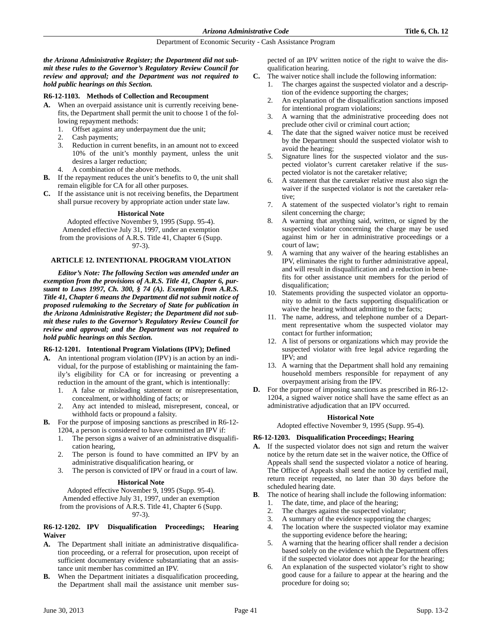*the Arizona Administrative Register; the Department did not submit these rules to the Governor's Regulatory Review Council for review and approval; and the Department was not required to hold public hearings on this Section.*

#### **R6-12-1103. Methods of Collection and Recoupment**

- **A.** When an overpaid assistance unit is currently receiving benefits, the Department shall permit the unit to choose 1 of the following repayment methods:
	- 1. Offset against any underpayment due the unit;
	- 2. Cash payments;
	- 3. Reduction in current benefits, in an amount not to exceed 10% of the unit's monthly payment, unless the unit desires a larger reduction;
	- 4. A combination of the above methods.
- **B.** If the repayment reduces the unit's benefits to 0, the unit shall remain eligible for CA for all other purposes.
- **C.** If the assistance unit is not receiving benefits, the Department shall pursue recovery by appropriate action under state law.

#### **Historical Note**

Adopted effective November 9, 1995 (Supp. 95-4). Amended effective July 31, 1997, under an exemption from the provisions of A.R.S. Title 41, Chapter 6 (Supp. 97-3).

#### **ARTICLE 12. INTENTIONAL PROGRAM VIOLATION**

*Editor's Note: The following Section was amended under an exemption from the provisions of A.R.S. Title 41, Chapter 6, pursuant to Laws 1997, Ch. 300, § 74 (A). Exemption from A.R.S. Title 41, Chapter 6 means the Department did not submit notice of proposed rulemaking to the Secretary of State for publication in the Arizona Administrative Register; the Department did not submit these rules to the Governor's Regulatory Review Council for review and approval; and the Department was not required to hold public hearings on this Section.*

#### **R6-12-1201. Intentional Program Violations (IPV); Defined**

- **A.** An intentional program violation (IPV) is an action by an individual, for the purpose of establishing or maintaining the family's eligibility for CA or for increasing or preventing a reduction in the amount of the grant, which is intentionally:
	- 1. A false or misleading statement or misrepresentation, concealment, or withholding of facts; or
	- 2. Any act intended to mislead, misrepresent, conceal, or withhold facts or propound a falsity.
- **B.** For the purpose of imposing sanctions as prescribed in R6-12- 1204, a person is considered to have committed an IPV if:
	- 1. The person signs a waiver of an administrative disqualification hearing,
	- 2. The person is found to have committed an IPV by an administrative disqualification hearing, or
	- 3. The person is convicted of IPV or fraud in a court of law.

# **Historical Note**

Adopted effective November 9, 1995 (Supp. 95-4). Amended effective July 31, 1997, under an exemption from the provisions of A.R.S. Title 41, Chapter 6 (Supp. 97-3).

# **R6-12-1202. IPV Disqualification Proceedings; Hearing Waiver**

- **A.** The Department shall initiate an administrative disqualification proceeding, or a referral for prosecution, upon receipt of sufficient documentary evidence substantiating that an assistance unit member has committed an IPV.
- **B.** When the Department initiates a disqualification proceeding, the Department shall mail the assistance unit member sus-

pected of an IPV written notice of the right to waive the disqualification hearing.

- **C.** The waiver notice shall include the following information:
	- 1. The charges against the suspected violator and a description of the evidence supporting the charges;
	- 2. An explanation of the disqualification sanctions imposed for intentional program violations;
	- 3. A warning that the administrative proceeding does not preclude other civil or criminal court action;
	- 4. The date that the signed waiver notice must be received by the Department should the suspected violator wish to avoid the hearing;
	- 5. Signature lines for the suspected violator and the suspected violator's current caretaker relative if the suspected violator is not the caretaker relative;
	- 6. A statement that the caretaker relative must also sign the waiver if the suspected violator is not the caretaker relative;
	- 7. A statement of the suspected violator's right to remain silent concerning the charge;
	- 8. A warning that anything said, written, or signed by the suspected violator concerning the charge may be used against him or her in administrative proceedings or a court of law;
	- 9. A warning that any waiver of the hearing establishes an IPV, eliminates the right to further administrative appeal, and will result in disqualification and a reduction in benefits for other assistance unit members for the period of disqualification;
	- 10. Statements providing the suspected violator an opportunity to admit to the facts supporting disqualification or waive the hearing without admitting to the facts;
	- 11. The name, address, and telephone number of a Department representative whom the suspected violator may contact for further information;
	- 12. A list of persons or organizations which may provide the suspected violator with free legal advice regarding the IPV; and
	- 13. A warning that the Department shall hold any remaining household members responsible for repayment of any overpayment arising from the IPV.
- **D.** For the purpose of imposing sanctions as prescribed in R6-12- 1204, a signed waiver notice shall have the same effect as an administrative adjudication that an IPV occurred.

# **Historical Note**

Adopted effective November 9, 1995 (Supp. 95-4).

# **R6-12-1203. Disqualification Proceedings; Hearing**

- **A.** If the suspected violator does not sign and return the waiver notice by the return date set in the waiver notice, the Office of Appeals shall send the suspected violator a notice of hearing. The Office of Appeals shall send the notice by certified mail, return receipt requested, no later than 30 days before the scheduled hearing date.
- **B**. The notice of hearing shall include the following information:
	- 1. The date, time, and place of the hearing;
	- 2. The charges against the suspected violator;
	- 3. A summary of the evidence supporting the charges;
	- 4. The location where the suspected violator may examine the supporting evidence before the hearing;
	- 5. A warning that the hearing officer shall render a decision based solely on the evidence which the Department offers if the suspected violator does not appear for the hearing;
	- 6. An explanation of the suspected violator's right to show good cause for a failure to appear at the hearing and the procedure for doing so;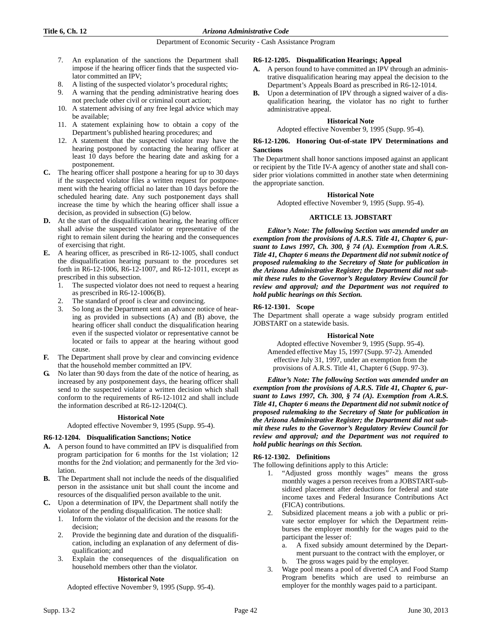- 7. An explanation of the sanctions the Department shall impose if the hearing officer finds that the suspected violator committed an IPV;
- A listing of the suspected violator's procedural rights;
- 9. A warning that the pending administrative hearing does not preclude other civil or criminal court action;
- 10. A statement advising of any free legal advice which may be available;
- 11. A statement explaining how to obtain a copy of the Department's published hearing procedures; and
- 12. A statement that the suspected violator may have the hearing postponed by contacting the hearing officer at least 10 days before the hearing date and asking for a postponement.
- **C.** The hearing officer shall postpone a hearing for up to 30 days if the suspected violator files a written request for postponement with the hearing official no later than 10 days before the scheduled hearing date. Any such postponement days shall increase the time by which the hearing officer shall issue a decision, as provided in subsection (G) below.
- **D.** At the start of the disqualification hearing, the hearing officer shall advise the suspected violator or representative of the right to remain silent during the hearing and the consequences of exercising that right.
- **E.** A hearing officer, as prescribed in R6-12-1005, shall conduct the disqualification hearing pursuant to the procedures set forth in R6-12-1006, R6-12-1007, and R6-12-1011, except as prescribed in this subsection.
	- 1. The suspected violator does not need to request a hearing as prescribed in R6-12-1006(B).
	- 2. The standard of proof is clear and convincing.
	- 3. So long as the Department sent an advance notice of hearing as provided in subsections (A) and (B) above, the hearing officer shall conduct the disqualification hearing even if the suspected violator or representative cannot be located or fails to appear at the hearing without good cause.
- **F.** The Department shall prove by clear and convincing evidence that the household member committed an IPV.
- **G.** No later than 90 days from the date of the notice of hearing, as increased by any postponement days, the hearing officer shall send to the suspected violator a written decision which shall conform to the requirements of R6-12-1012 and shall include the information described at R6-12-1204(C).

# **Historical Note**

Adopted effective November 9, 1995 (Supp. 95-4).

# **R6-12-1204. Disqualification Sanctions; Notice**

- **A.** A person found to have committed an IPV is disqualified from program participation for 6 months for the 1st violation; 12 months for the 2nd violation; and permanently for the 3rd violation.
- **B.** The Department shall not include the needs of the disqualified person in the assistance unit but shall count the income and resources of the disqualified person available to the unit.
- **C.** Upon a determination of IPV, the Department shall notify the violator of the pending disqualification. The notice shall:
	- 1. Inform the violator of the decision and the reasons for the decision;
	- 2. Provide the beginning date and duration of the disqualification, including an explanation of any deferment of disqualification; and
	- 3. Explain the consequences of the disqualification on household members other than the violator.

#### **Historical Note**

Adopted effective November 9, 1995 (Supp. 95-4).

### **R6-12-1205. Disqualification Hearings; Appeal**

- **A.** A person found to have committed an IPV through an administrative disqualification hearing may appeal the decision to the Department's Appeals Board as prescribed in R6-12-1014.
- **B.** Upon a determination of IPV through a signed waiver of a disqualification hearing, the violator has no right to further administrative appeal.

### **Historical Note**

Adopted effective November 9, 1995 (Supp. 95-4).

#### **R6-12-1206. Honoring Out-of-state IPV Determinations and Sanctions**

The Department shall honor sanctions imposed against an applicant or recipient by the Title IV-A agency of another state and shall consider prior violations committed in another state when determining the appropriate sanction.

#### **Historical Note**

Adopted effective November 9, 1995 (Supp. 95-4).

# **ARTICLE 13. JOBSTART**

*Editor's Note: The following Section was amended under an exemption from the provisions of A.R.S. Title 41, Chapter 6, pursuant to Laws 1997, Ch. 300, § 74 (A). Exemption from A.R.S. Title 41, Chapter 6 means the Department did not submit notice of proposed rulemaking to the Secretary of State for publication in the Arizona Administrative Register; the Department did not submit these rules to the Governor's Regulatory Review Council for review and approval; and the Department was not required to hold public hearings on this Section.*

# **R6-12-1301. Scope**

The Department shall operate a wage subsidy program entitled JOBSTART on a statewide basis.

# **Historical Note**

Adopted effective November 9, 1995 (Supp. 95-4). Amended effective May 15, 1997 (Supp. 97-2). Amended effective July 31, 1997, under an exemption from the provisions of A.R.S. Title 41, Chapter 6 (Supp. 97-3).

*Editor's Note: The following Section was amended under an exemption from the provisions of A.R.S. Title 41, Chapter 6, pursuant to Laws 1997, Ch. 300, § 74 (A). Exemption from A.R.S. Title 41, Chapter 6 means the Department did not submit notice of proposed rulemaking to the Secretary of State for publication in the Arizona Administrative Register; the Department did not submit these rules to the Governor's Regulatory Review Council for review and approval; and the Department was not required to hold public hearings on this Section.*

# **R6-12-1302. Definitions**

The following definitions apply to this Article:

- 1. "Adjusted gross monthly wages" means the gross monthly wages a person receives from a JOBSTART-subsidized placement after deductions for federal and state income taxes and Federal Insurance Contributions Act (FICA) contributions.
- 2. Subsidized placement means a job with a public or private sector employer for which the Department reimburses the employer monthly for the wages paid to the participant the lesser of:
	- a. A fixed subsidy amount determined by the Department pursuant to the contract with the employer, or The gross wages paid by the employer.
- 3. Wage pool means a pool of diverted CA and Food Stamp Program benefits which are used to reimburse an employer for the monthly wages paid to a participant.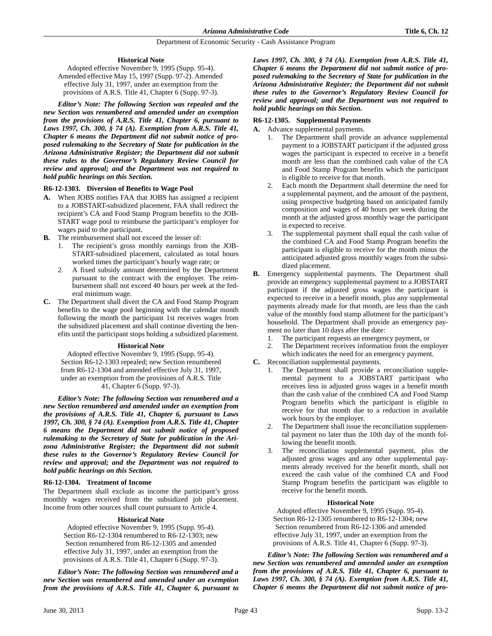# **Historical Note**

Adopted effective November 9, 1995 (Supp. 95-4). Amended effective May 15, 1997 (Supp. 97-2). Amended effective July 31, 1997, under an exemption from the provisions of A.R.S. Title 41, Chapter 6 (Supp. 97-3).

*Editor's Note: The following Section was repealed and the new Section was renumbered and amended under an exemption from the provisions of A.R.S. Title 41, Chapter 6, pursuant to Laws 1997, Ch. 300, § 74 (A). Exemption from A.R.S. Title 41, Chapter 6 means the Department did not submit notice of proposed rulemaking to the Secretary of State for publication in the Arizona Administrative Register; the Department did not submit these rules to the Governor's Regulatory Review Council for review and approval; and the Department was not required to hold public hearings on this Section.*

# **R6-12-1303. Diversion of Benefits to Wage Pool**

- **A.** When JOBS notifies FAA that JOBS has assigned a recipient to a JOBSTART-subsidized placement, FAA shall redirect the recipient's CA and Food Stamp Program benefits to the JOB-START wage pool to reimburse the participant's employer for wages paid to the participant.
- **B.** The reimbursement shall not exceed the lesser of:
	- 1. The recipient's gross monthly earnings from the JOB-START-subsidized placement, calculated as total hours worked times the participant's hourly wage rate; or
	- 2. A fixed subsidy amount determined by the Department pursuant to the contract with the employer. The reimbursement shall not exceed 40 hours per week at the federal minimum wage.
- **C.** The Department shall divert the CA and Food Stamp Program benefits to the wage pool beginning with the calendar month following the month the participant 1st receives wages from the subsidized placement and shall continue diverting the benefits until the participant stops holding a subsidized placement.

#### **Historical Note**

Adopted effective November 9, 1995 (Supp. 95-4). Section R6-12-1303 repealed; new Section renumbered from R6-12-1304 and amended effective July 31, 1997, under an exemption from the provisions of A.R.S. Title 41, Chapter 6 (Supp. 97-3).

*Editor's Note: The following Section was renumbered and a new Section renumbered and amended under an exemption from the provisions of A.R.S. Title 41, Chapter 6, pursuant to Laws 1997, Ch. 300, § 74 (A). Exemption from A.R.S. Title 41, Chapter 6 means the Department did not submit notice of proposed rulemaking to the Secretary of State for publication in the Arizona Administrative Register; the Department did not submit these rules to the Governor's Regulatory Review Council for review and approval; and the Department was not required to hold public hearings on this Section.*

# **R6-12-1304. Treatment of Income**

The Department shall exclude as income the participant's gross monthly wages received from the subsidized job placement. Income from other sources shall count pursuant to Article 4.

# **Historical Note**

Adopted effective November 9, 1995 (Supp. 95-4). Section R6-12-1304 renumbered to R6-12-1303; new Section renumbered from R6-12-1305 and amended effective July 31, 1997, under an exemption from the provisions of A.R.S. Title 41, Chapter 6 (Supp. 97-3).

*Editor's Note: The following Section was renumbered and a new Section was renumbered and amended under an exemption from the provisions of A.R.S. Title 41, Chapter 6, pursuant to* *Laws 1997, Ch. 300, § 74 (A). Exemption from A.R.S. Title 41, Chapter 6 means the Department did not submit notice of proposed rulemaking to the Secretary of State for publication in the Arizona Administrative Register; the Department did not submit these rules to the Governor's Regulatory Review Council for review and approval; and the Department was not required to hold public hearings on this Section.*

# **R6-12-1305. Supplemental Payments**

- **A.** Advance supplemental payments.
	- 1. The Department shall provide an advance supplemental payment to a JOBSTART participant if the adjusted gross wages the participant is expected to receive in a benefit month are less than the combined cash value of the CA and Food Stamp Program benefits which the participant is eligible to receive for that month.
	- 2. Each month the Department shall determine the need for a supplemental payment, and the amount of the payment, using prospective budgeting based on anticipated family composition and wages of 40 hours per week during the month at the adjusted gross monthly wage the participant is expected to receive.
	- 3. The supplemental payment shall equal the cash value of the combined CA and Food Stamp Program benefits the participant is eligible to receive for the month minus the anticipated adjusted gross monthly wages from the subsidized placement.
- **B.** Emergency supplemental payments. The Department shall provide an emergency supplemental payment to a JOBSTART participant if the adjusted gross wages the participant is expected to receive in a benefit month, plus any supplemental payments already made for that month, are less than the cash value of the monthly food stamp allotment for the participant's household. The Department shall provide an emergency payment no later than 10 days after the date:
	- 1. The participant requests an emergency payment, or
	- 2. The Department receives information from the employer which indicates the need for an emergency payment.
- **C.** Reconciliation supplemental payments.
	- 1. The Department shall provide a reconciliation supplemental payment to a JOBSTART participant who receives less in adjusted gross wages in a benefit month than the cash value of the combined CA and Food Stamp Program benefits which the participant is eligible to receive for that month due to a reduction in available work hours by the employer.
	- The Department shall issue the reconciliation supplemental payment no later than the 10th day of the month following the benefit month.
	- 3. The reconciliation supplemental payment, plus the adjusted gross wages and any other supplemental payments already received for the benefit month, shall not exceed the cash value of the combined CA and Food Stamp Program benefits the participant was eligible to receive for the benefit month.

#### **Historical Note**

Adopted effective November 9, 1995 (Supp. 95-4). Section R6-12-1305 renumbered to R6-12-1304; new Section renumbered from R6-12-1306 and amended effective July 31, 1997, under an exemption from the provisions of A.R.S. Title 41, Chapter 6 (Supp. 97-3).

*Editor's Note: The following Section was renumbered and a new Section was renumbered and amended under an exemption from the provisions of A.R.S. Title 41, Chapter 6, pursuant to Laws 1997, Ch. 300, § 74 (A). Exemption from A.R.S. Title 41, Chapter 6 means the Department did not submit notice of pro-*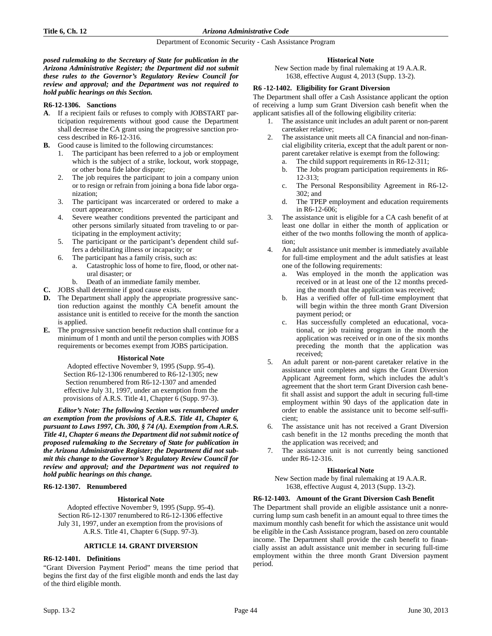### **Title 6, Ch. 12** *Arizona Administrative Code*

#### Department of Economic Security - Cash Assistance Program

*posed rulemaking to the Secretary of State for publication in the Arizona Administrative Register; the Department did not submit these rules to the Governor's Regulatory Review Council for review and approval; and the Department was not required to hold public hearings on this Section.*

# **R6-12-1306. Sanctions**

- **A**. If a recipient fails or refuses to comply with JOBSTART participation requirements without good cause the Department shall decrease the CA grant using the progressive sanction process described in R6-12-316.
- **B.** Good cause is limited to the following circumstances:
	- 1. The participant has been referred to a job or employment which is the subject of a strike, lockout, work stoppage, or other bona fide labor dispute;
	- 2. The job requires the participant to join a company union or to resign or refrain from joining a bona fide labor organization;
	- 3. The participant was incarcerated or ordered to make a court appearance;
	- 4. Severe weather conditions prevented the participant and other persons similarly situated from traveling to or participating in the employment activity;
	- 5. The participant or the participant's dependent child suffers a debilitating illness or incapacity; or
	- 6. The participant has a family crisis, such as:
		- a. Catastrophic loss of home to fire, flood, or other natural disaster; or
		- b. Death of an immediate family member.
- **C.** JOBS shall determine if good cause exists.
- **D.** The Department shall apply the appropriate progressive sanction reduction against the monthly CA benefit amount the assistance unit is entitled to receive for the month the sanction is applied.
- **E.** The progressive sanction benefit reduction shall continue for a minimum of 1 month and until the person complies with JOBS requirements or becomes exempt from JOBS participation.

# **Historical Note**

Adopted effective November 9, 1995 (Supp. 95-4). Section R6-12-1306 renumbered to R6-12-1305; new Section renumbered from R6-12-1307 and amended effective July 31, 1997, under an exemption from the provisions of A.R.S. Title 41, Chapter 6 (Supp. 97-3).

*Editor's Note: The following Section was renumbered under an exemption from the provisions of A.R.S. Title 41, Chapter 6, pursuant to Laws 1997, Ch. 300, § 74 (A). Exemption from A.R.S. Title 41, Chapter 6 means the Department did not submit notice of proposed rulemaking to the Secretary of State for publication in the Arizona Administrative Register; the Department did not submit this change to the Governor's Regulatory Review Council for review and approval; and the Department was not required to hold public hearings on this change.*

# **R6-12-1307. Renumbered**

# **Historical Note**

Adopted effective November 9, 1995 (Supp. 95-4). Section R6-12-1307 renumbered to R6-12-1306 effective July 31, 1997, under an exemption from the provisions of A.R.S. Title 41, Chapter 6 (Supp. 97-3).

# **ARTICLE 14. GRANT DIVERSION**

# **R6-12-1401. Definitions**

"Grant Diversion Payment Period" means the time period that begins the first day of the first eligible month and ends the last day of the third eligible month.

# **Historical Note**

New Section made by final rulemaking at 19 A.A.R. 1638, effective August 4, 2013 (Supp. 13-2).

# **R6 -12-1402. Eligibility for Grant Diversion**

The Department shall offer a Cash Assistance applicant the option of receiving a lump sum Grant Diversion cash benefit when the applicant satisfies all of the following eligibility criteria:

- 1. The assistance unit includes an adult parent or non-parent caretaker relative;
- 2. The assistance unit meets all CA financial and non-financial eligibility criteria, except that the adult parent or nonparent caretaker relative is exempt from the following:
	- a. The child support requirements in R6-12-311;
	- b. The Jobs program participation requirements in R6- 12-313;
	- c. The Personal Responsibility Agreement in R6-12- 302; and
	- d. The TPEP employment and education requirements in R6-12-606;
- 3. The assistance unit is eligible for a CA cash benefit of at least one dollar in either the month of application or either of the two months following the month of application;
- An adult assistance unit member is immediately available for full-time employment and the adult satisfies at least one of the following requirements:
	- a. Was employed in the month the application was received or in at least one of the 12 months preceding the month that the application was received;
	- b. Has a verified offer of full-time employment that will begin within the three month Grant Diversion payment period; or
	- c. Has successfully completed an educational, vocational, or job training program in the month the application was received or in one of the six months preceding the month that the application was received;
- 5. An adult parent or non-parent caretaker relative in the assistance unit completes and signs the Grant Diversion Applicant Agreement form, which includes the adult's agreement that the short term Grant Diversion cash benefit shall assist and support the adult in securing full-time employment within 90 days of the application date in order to enable the assistance unit to become self-sufficient;
- 6. The assistance unit has not received a Grant Diversion cash benefit in the 12 months preceding the month that the application was received; and
- 7. The assistance unit is not currently being sanctioned under R6-12-316.

# **Historical Note**

New Section made by final rulemaking at 19 A.A.R. 1638, effective August 4, 2013 (Supp. 13-2).

# **R6-12-1403. Amount of the Grant Diversion Cash Benefit**

The Department shall provide an eligible assistance unit a nonrecurring lump sum cash benefit in an amount equal to three times the maximum monthly cash benefit for which the assistance unit would be eligible in the Cash Assistance program, based on zero countable income. The Department shall provide the cash benefit to financially assist an adult assistance unit member in securing full-time employment within the three month Grant Diversion payment period.